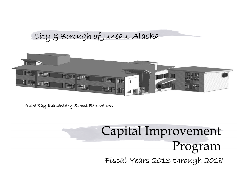## City & Borough of Juneau, Alaska



Auke Bay Elementary School Renovation

# Capital Improvement Program Fiscal Years 2013 through 2018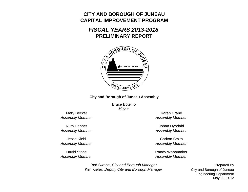## **CITY AND BOROUGH OF JUNEAUCAPITAL IMPROVEMENT PROGRAM**

## *FISCAL YEARS 2013-2018***PRELIMINARY REPORT**



#### **City and Borough of Juneau Assembly**

Bruce Botelho*Mayor*

Mary Becker *Assembly Member*

Ruth Danner*Assembly Member*

*Assembly Member*

David Stone*Assembly Member*

Karen Crane*Assembly Member*

Johan Dybdahl *Assembly Member*

**Jesse Kiehl** Carlton Smith *Assembly Member*

> Randy Wanamaker *Assembly Member*

Rod Swope, *City and Borough Manager* Kim Kiefer, *Deputy City and Borough Manager*

May 29, 2012 Prepared By City and Borough of Juneau Engineering Department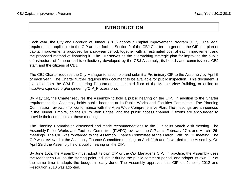## **INTRODUCTION**

Each year, the City and Borough of Juneau (CBJ) adopts <sup>a</sup> Capital Improvement Program (CIP). The legal requirements applicable to the CIP are set forth in Section 9 of the CBJ Charter. In general, the CIP is <sup>a</sup> plan of capital improvements proposed for <sup>a</sup> six-year period, together with an estimated cost of each improvement and the proposed method of financing it. The CIP serves as the overarching strategic plan for improving the public infrastructure of Juneau and is collectively developed by the CBJ Assembly, its boards and commissions, CBJ staff, and the citizens of CBJ.

The CBJ Charter requires the City Manager to assemble and submit <sup>a</sup> Preliminary CIP to the Assembly by April 5 of each year. The Charter further requires this document to be available for public inspection. This document is available from the CBJ Engineering Department at the third floor of the Marine View Building, or online at http://www.juneau.org/engineering/CIP\_Process.php.

By May 1st, the Charter requires the Assembly to hold <sup>a</sup> public hearing on the CIP. In addition to the Charter requirement, the Assembly holds public hearings at its Public Works and Facilities Committee. The Planning Commission reviews it for conformance with the Area Wide Comprehensive Plan. The meetings are announced in the Juneau Empire, on the CBJ's Web Pages, and the public access channel. Citizens are encouraged to provide their comments at these meetings.

The Planning Commission discussed and made recommendations to the CIP at its March 27th meeting. The Assembly Public Works and Facilities Committee (PWFC) reviewed the CIP at its February 27th, and March 12th meetings. The CIP was forwarded to the Assembly Finance Committee at the March 12th PWFC meeting. The CIP was reviewed at the Assembly Finance Committee meeting on April 11th and forwarded to the Assembly. On April 23rd the Assembly held a public hearing on the CIP.

By June 15th, the Assembly must adopt its own CIP or the City Manager's CIP. In practice, the Assembly uses the Manager's CIP as the starting point, adjusts it during the public comment period, and adopts its own CIP at the same time it adopts the budget in early June. The Assembly approved this CIP on June 4, 2012 and Resolution 2610 was adopted.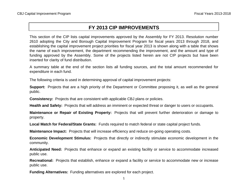## **FY 2013 CIP IMPROVEMENTS**

This section of the CIP lists capital improvements approved by the Assembly for FY 2013. Resolution number 2610 adopting the City and Borough Capital Improvement Program for fiscal years 2013 through 2018, and establishing the capital improvement project priorities for fiscal year 2013 is shown along with <sup>a</sup> table that shows the name of each improvement, the department recommending the improvement, and the amount and type of funding approved by the Assembly. Some of the projects listed herein are not CIP projects but have been inserted for clarity of fund distribution.

A summary table at the end of the section lists all funding sources, and the total amount recommended for expenditure in each fund.

The following criteria is used in determining approval of capital improvement projects:

**Support:** Projects that are <sup>a</sup> high priority of the Department or Committee proposing it, as well as the general public.

**Consistency:** Projects that are consistent with applicable CBJ plans or policies.

**Health and Safety:** Projects that will address an imminent or expected threat or danger to users or occupants.

**Maintenance or Repair of Existing Property:** Projects that will prevent further deterioration or damage to property.

**Local Match for Federal/State Grants:** Funds required to match federal or state capital project funds.

**Maintenance Impact:** Projects that will increase efficiency and reduce on-going operating costs.

**Economic Development Stimulus:** Projects that directly or indirectly stimulate economic development in the community.

**Anticipated Need:** Projects that enhance or expand an existing facility or service to accommodate increased public use.

**Recreational:** Projects that establish, enhance or expand <sup>a</sup> facility or service to accommodate new or increase public use.

**Funding Alternatives:** Funding alternatives are explored for each project.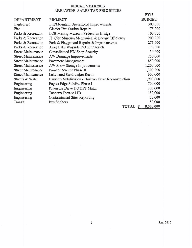#### FISCAL YEAR 2013 AREAWIDE SALES TAX PRIORITIES

|                           |                                                    | <b>FY13</b>   |
|---------------------------|----------------------------------------------------|---------------|
| <b>DEPARTMENT</b>         | <b>PROJECT</b>                                     | <b>BUDGET</b> |
| Eaglecrest                | Lift/Mountain Operational Improvements             | 300,000       |
| Fire                      | Glacier Fire Station Repairs                       | 75,000        |
| Parks & Recreation        | LCB Mining Museum Pedestrian Bridge                | 100,000       |
| Parks & Recreation        | JD City Museum Mechanical & Energy Efficiency      | 200,000       |
| Parks & Recreation        | Park & Playground Repairs & Improvements           | 275,000       |
| Parks & Recreation        | Auke Lake Wayside DOT/PF Match                     | 170,000       |
| <b>Street Maintenance</b> | Consolidated PW Shop Security                      | 30,000        |
| <b>Street Maintenance</b> | AW Drainage Improvements                           | 250,000       |
| <b>Street Maintenance</b> | Pavement Management                                | 850,000       |
| <b>Street Maintenance</b> | AW Snow Storage Improvements                       | 1,200,000     |
| <b>Street Maintenance</b> | Pioneer Avenue Phase II                            | 1,300,000     |
| <b>Street Maintenance</b> | Lakewood Subdivision Recon                         | 600,000       |
| Streets & Water           | Bayview Subdivision - Horizon Drive Reconstruction | 1,900,000     |
| Engineering               | Eagles Edge Subdiv. Phase I                        | 700,000       |
| Engineering               | Riverside Drive DOT/PF Match                       | 300,000       |
| Engineering               | Tanner's Terrace LID                               | 150,000       |
| Engineering               | Contaminated Sites Reporting                       | 50,000        |
| Transit                   | <b>Bus Shelters</b>                                | 50,000        |
|                           | TOTAL                                              | 8,500,000     |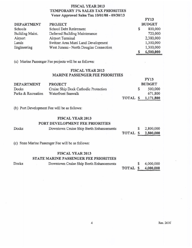#### FISCAL YEAR 2013 **TEMPORARY 1% SALES TAX PRIORITIES** Voter Approved Sales Tax 10/01/08 - 09/30/13

| <b>DEPARTMENT</b> | <b>PROJECT</b>                         | <b>BUDGET</b> |
|-------------------|----------------------------------------|---------------|
| Schools           | School Debt Retirement                 | \$<br>800,000 |
| Building Maint.   | Deferred Building Maintenance          | 720,000       |
| Airport           | Airport Terminal                       | 2,380,000     |
| Lands             | Switzer Area Muni Land Development     | 1,300,000     |
| Engineering       | West Juneau - North Douglas Connection | 1,300,000     |
|                   |                                        | 6,500,000     |

(a) Marine Passenger Fee projects will be as follows:

#### **FISCAL YEAR 2013 MARINE PASSENGER FEE PRIORITIES**

|                    |                                      |          |               | <b>FY15</b> |  |
|--------------------|--------------------------------------|----------|---------------|-------------|--|
| <b>DEPARTMENT</b>  | <b>PROJECT</b>                       |          | <b>BUDGET</b> |             |  |
| Docks              | Cruise Ship Dock Cathodic Protection |          |               | 500,000     |  |
| Parks & Recreation | Waterfront Seawalk                   |          |               | 671,800     |  |
|                    |                                      | TOTAL \$ |               | 1,171,800   |  |

(b) Port Development Fee will be as follows:

#### **FISCAL YEAR 2013**

#### PORT DEVELOPMENT FEE PRIORITIES

| Docks | Downtown Cruise Ship Berth Enhancements |          | 2,800,000 |
|-------|-----------------------------------------|----------|-----------|
|       |                                         | TOTAL \$ | 2,800,000 |
|       |                                         |          |           |

(c) State Marine Passenger Fee will be as follows:

#### **FISCAL YEAR 2013**

#### STATE MARINE PASSENGER FEE PRIORITIES

Downtown Cruise Ship Berth Enhancements 4,000,000 \$ TOTAL \$ 4,000,000

 $FY13$ 

Docks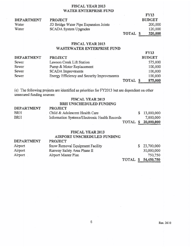#### FISCAL YEAR 2013 WATER ENTERPRISE FUND

|                   |                                       |         | <b>FY13</b>   |
|-------------------|---------------------------------------|---------|---------------|
| <b>DEPARTMENT</b> | <b>PROJECT</b>                        |         | <b>BUDGET</b> |
| Water             | JD Bridge Water Pipe Expansion Joints |         | 200,000       |
| Water             | <b>SCADA System Upgrades</b>          |         | 120,000       |
|                   |                                       | TOTAL S | 320,000       |

#### **FISCAL YEAR 2013 WASTEWATER ENTERPRISE FUND**

|                   |                                             |          | P Y 1.3       |
|-------------------|---------------------------------------------|----------|---------------|
| <b>DEPARTMENT</b> | <b>PROJECT</b>                              |          | <b>BUDGET</b> |
| Sewer             | Lawson Creek Lift Station                   |          | 575,000       |
| Sewer             | Pump & Motor Replacement                    |          | 100,000       |
| Sewer             | <b>SCADA</b> Improvments                    |          | 100,000       |
| Sewer             | Energy Efficiency and Security Improvmeents |          | 100,000       |
|                   |                                             | TOTAL \$ | 875,000       |

(c) The following projects are identified as priorities for FY2013 but are dependent on other unsecured funding sources:

#### **FISCAL YEAR 2013** BRH UNSCHEDULED FUNDING

| <b>DEPARTMENT</b> | <b>PROJECT</b>                                |  |                            |
|-------------------|-----------------------------------------------|--|----------------------------|
| <b>BRH</b>        | Child & Adolescent Health Care                |  | \$13,000,000               |
| BRH               | Information Systems/Electronic Health Records |  | 7,000,000                  |
|                   |                                               |  | <b>TOTAL \$ 20,000,000</b> |

#### **FISCAL YEAR 2013**

#### AIRPORT UNSCHEDULED FUNDING

| <b>DEPARTMENT</b> | <b>PROJECT</b>                  |  |                            |
|-------------------|---------------------------------|--|----------------------------|
| Airport           | Snow Removal Equipment Facility |  | \$23,700,000               |
| Airport           | Runway Safety Area Phase II     |  | 30,000,000                 |
| Airport           | Airport Master Plan             |  | 750,750                    |
|                   |                                 |  | <b>TOTAL \$ 54,450,750</b> |

 $TNTA$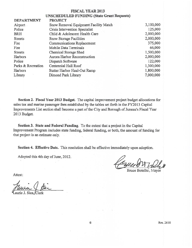#### **FISCAL YEAR 2013 UNSCHEDULED FUNDING (State Grant Requests)**

| <b>DEPARTMENT</b>  | <b>PROJECT</b>                        |           |
|--------------------|---------------------------------------|-----------|
| Airport            | Snow Removal Equipment Facility Match | 3,100,000 |
| Police             | Crisis Intervention Specialist        | 125,000   |
| <b>BRH</b>         | Child & Adolescent Health Care        | 2,000,000 |
| <b>Streets</b>     | Snow Storage Facilities               | 2,000,000 |
| Fire               | Communications Replacement            | 375,000   |
| Fire               | Mobile Data Terminals                 | 66,000    |
| <b>Streets</b>     | Chemical Storage Shed                 | 1,500,000 |
| Harbors            | Aurora Harbor Reconstruction          | 2,000,000 |
| Police             | Dispatch Software                     | 122,000   |
| Parks & Recreation | Centennial Hall Roof                  | 1,300,000 |
| Harbors            | Statter Harbor Haul-Out Ramp          | 1,800,000 |
| Library            | Dimond Park Library                   | 7,000,000 |

Section 2. Fiscal Year 2013 Budget. The capital improvement project budget allocations for sales tax and marine passenger fees established by the tables set forth in the FY2013 Capital Improvements List section shall become a part of the City and Borough of Juneau's Fiscal Year 2013 Budget.

Section 3. State and Federal Funding. To the extent that a project in the Capital Improvement Program includes state funding, federal funding, or both, the amount of funding for that project is an estimate only.

Section 4. Effective Date. This resolution shall be effective immediately upon adoption.

Adopted this 4th day of June, 2012.

Bruce Botelho, Mayor

Attest: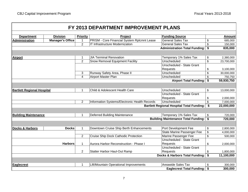|                                   |                         |                         | FY 2013 DEPARTMENT IMPROVEMENT PLANS               |                                                  |                         |               |
|-----------------------------------|-------------------------|-------------------------|----------------------------------------------------|--------------------------------------------------|-------------------------|---------------|
| <b>Department</b>                 | <b>Division</b>         | <b>Priority</b>         | Project                                            | <b>Funding Source</b>                            |                         | <b>Amount</b> |
| <b>Administration</b>             | <b>Manager's Office</b> | 1                       | <b>PRISM - Core Financial System Rplcmnt Lease</b> | <b>General Sales Tax</b>                         | \$                      | 685,000       |
|                                   |                         | $\overline{2}$          | <b>IT Infrastructure Modernization</b>             | <b>General Sales Tax</b>                         | \$                      | 150,000       |
|                                   |                         |                         |                                                    | <b>Administration Total Funding:</b>             | \$                      | 835,000       |
|                                   |                         |                         |                                                    |                                                  |                         |               |
| <b>Airport</b>                    |                         | $\mathbf{1}$            | <b>JIA Terminal Renovation</b>                     | Temporary 1% Sales Tax                           | \$                      | 2,380,000     |
|                                   |                         | $\overline{2}$          | Snow Removal Equipment Facility                    | Unscheduled                                      | \$                      | 23,700,000    |
|                                   |                         |                         |                                                    | <b>Unscheduled - State Grant</b>                 |                         |               |
|                                   |                         |                         |                                                    | Requests                                         | \$                      | 3,100,000     |
|                                   |                         | 3                       | Runway Safety Area, Phase II                       | Unscheduled                                      | \$                      | 30,000,000    |
|                                   |                         | $\overline{\mathbf{A}}$ | <b>Airport Master Plan</b>                         | Unscheduled                                      | \$                      | 750,750       |
|                                   |                         |                         |                                                    | <b>Airport Total Funding:</b>                    | \$                      | 59,930,750    |
|                                   |                         |                         |                                                    |                                                  |                         |               |
| <b>Bartlett Regional Hospital</b> |                         | 1                       | Child & Adolescent Health Care                     | Unscheduled                                      | \$                      | 13,000,000    |
|                                   |                         |                         |                                                    | Unscheduled - State Grant                        |                         |               |
|                                   |                         |                         |                                                    | Requests                                         | \$                      | 2,000,000     |
|                                   |                         | $\overline{2}$          | Information Systems/Electronic Health Records      | Unscheduled                                      | \$                      | 7,000,000     |
|                                   |                         |                         |                                                    | <b>Bartlett Regional Hospital Total Funding:</b> | \$                      | 22,000,000    |
|                                   |                         |                         |                                                    |                                                  |                         |               |
| <b>Building Maintenance</b>       |                         | 1                       | <b>Deferred Building Maintenance</b>               | Temporary 1% Sales Tax                           | \$                      | 720,000       |
|                                   |                         |                         |                                                    | <b>Building Maintenance Total Funding:</b>       | $\overline{\mathbf{s}}$ | 720,000       |
|                                   |                         |                         |                                                    |                                                  |                         |               |
| <b>Docks &amp; Harbors</b>        | <b>Docks</b>            | $\mathbf{1}$            | Downtown Cruise Ship Berth Enhancements            | Port Development Fee                             | \$                      | 2,800,000     |
|                                   |                         |                         |                                                    | State Marine Passenger Fee                       | \$                      | 4,000,000     |
|                                   |                         | $\overline{2}$          | Cruise Ship Dock Cathodic Protection               | Marine Passenger Fee                             | \$                      | 500,000       |
|                                   |                         |                         |                                                    | Unscheduled - State Grant                        |                         |               |
|                                   | <b>Harbors</b>          | 1                       | Aurora Harbor Reconstruction - Phase I             | <b>Requests</b>                                  | \$                      | 2,000,000     |
|                                   |                         |                         |                                                    | Unscheduled - State Grant                        |                         |               |
|                                   |                         | $\overline{2}$          | <b>Statter Harbor Haul-Out Ramp</b>                | <b>Requests</b>                                  | \$                      | 1,800,000     |
|                                   |                         |                         |                                                    | <b>Docks &amp; Harbors Total Funding:</b>        | \$                      | 11,100,000    |
|                                   |                         |                         |                                                    |                                                  |                         |               |
| <b>Eaglecrest</b>                 |                         | 1                       | Lift/Mountain Operational Improvements             | Areawide Sales Tax                               | \$                      | 300,000       |
|                                   |                         |                         |                                                    | <b>Eaglecrest Total Funding:</b>                 | \$                      | 300,000       |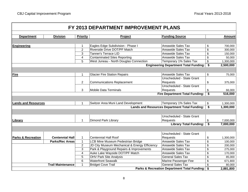| FY 2013 DEPARTMENT IMPROVEMENT PLANS |                          |                 |                                               |                                                      |    |               |
|--------------------------------------|--------------------------|-----------------|-----------------------------------------------|------------------------------------------------------|----|---------------|
| <b>Department</b>                    | <b>Division</b>          | <b>Priority</b> | Project                                       | <b>Funding Source</b>                                |    | <b>Amount</b> |
|                                      |                          |                 |                                               |                                                      |    |               |
| Engineering                          |                          | 1               | Eagles Edge Subdivision - Phase I             | <b>Areawide Sales Tax</b>                            | \$ | 700,000       |
|                                      |                          | $\overline{2}$  | Riverside Drive DOT/PF Match                  | <b>Areawide Sales Tax</b>                            | \$ | 300,000       |
|                                      |                          | 3               | <b>Tanner's Terrace LID</b>                   | Areawide Sales Tax                                   | \$ | 150,000       |
|                                      |                          | 4               | <b>Contaminated Sites Reporting</b>           | Areawide Sales Tax                                   | \$ | 50,000        |
|                                      |                          | 5               | West Juneau - North Douglas Connection        | Temporary 1% Sales Tax                               | \$ | 1,300,000     |
|                                      |                          |                 |                                               | <b>Engineering Department Total Funding:</b>         | \$ | 2,500,000     |
|                                      |                          |                 |                                               |                                                      |    |               |
| Fire                                 |                          | 1               | <b>Glacier Fire Station Repairs</b>           | Areawide Sales Tax                                   | \$ | 75,000        |
|                                      |                          |                 |                                               | Unscheduled - State Grant                            |    |               |
|                                      |                          | 2               | <b>Communications Replacement</b>             | Requests                                             | \$ | 375,000       |
|                                      |                          |                 |                                               | <b>Unscheduled - State Grant</b>                     |    |               |
|                                      |                          | 3               | <b>Mobile Data Terminals</b>                  | Requests                                             | \$ | 66,000        |
|                                      |                          |                 |                                               | <b>Fire Department Total Funding:</b>                | \$ | 516,000       |
|                                      |                          |                 |                                               |                                                      |    |               |
| <b>Lands and Resources</b>           |                          | 1               | Switzer Area Muni Land Development            | Temporary 1% Sales Tax                               | \$ | 1,300,000     |
|                                      |                          |                 |                                               | <b>Lands and Resources Department Total Funding:</b> | \$ | 1,300,000     |
|                                      |                          |                 |                                               |                                                      |    |               |
|                                      |                          |                 |                                               | Unscheduled - State Grant                            |    |               |
| Library                              |                          | $\mathbf{1}$    | <b>Dimond Park Library</b>                    | <b>Requests</b>                                      | \$ | 7,000,000     |
|                                      |                          |                 |                                               | <b>Library Total Funding:</b>                        | \$ | 7,000,000     |
|                                      |                          |                 |                                               |                                                      |    |               |
|                                      |                          |                 |                                               |                                                      |    |               |
|                                      |                          |                 |                                               | Unscheduled - State Grant                            |    |               |
| <b>Parks &amp; Recreation</b>        | <b>Centennial Hall</b>   | $\mathbf{1}$    | <b>Centennial Hall Roof</b>                   | <b>Requests</b>                                      | \$ | 1,300,000     |
|                                      | <b>Parks/Rec Areas</b>   | $\mathbf{1}$    | LCB Mine Museum Pedestrian Bridge             | Areawide Sales Tax                                   | \$ | 100,000       |
|                                      |                          | $\overline{2}$  | JD City Museum Mechanical & Energy Efficiency | Areawide Sales Tax                                   | \$ | 200,000       |
|                                      |                          | 3               | Park & Playground Repairs & Improvements      | Areawide Sales Tax                                   | \$ | 275,000       |
|                                      |                          | $\overline{4}$  | Auke Lake Wayside DOT/PF Match                | <b>Areawide Sales Tax</b>                            | \$ | 170,000       |
|                                      |                          | 5               | <b>OHV Park Site Analysis</b>                 | <b>General Sales Tax</b>                             | \$ | 85,000        |
|                                      |                          | 6               | <b>Waterfront Seawalk</b>                     | Marine Passenger Fee                                 | \$ | 671,800       |
|                                      | <b>Trail Maintenance</b> | 1               | <b>Bridget Cove Trail</b>                     | <b>General Sales Tax</b>                             | \$ | 80,000        |
|                                      |                          |                 |                                               | Parks & Recreation Department Total Funding:         | \$ | 2,881,800     |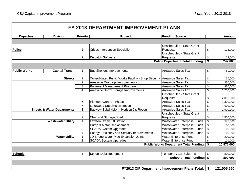| FY 2013 DEPARTMENT IMPROVEMENT PLANS |                                        |                         |                                                    |                                                       |                           |               |
|--------------------------------------|----------------------------------------|-------------------------|----------------------------------------------------|-------------------------------------------------------|---------------------------|---------------|
|                                      |                                        |                         |                                                    |                                                       |                           |               |
| <b>Department</b>                    | <b>Division</b>                        | <b>Priority</b>         | Project                                            | <b>Funding Source</b>                                 |                           | <b>Amount</b> |
|                                      |                                        |                         |                                                    |                                                       |                           |               |
|                                      |                                        |                         |                                                    | Unscheduled - State Grant                             |                           |               |
| Police                               |                                        | 1                       | <b>Crises Intervention Specialist</b>              | Requests                                              | \$                        | 125,000       |
|                                      |                                        |                         |                                                    | Unscheduled - State Grant                             |                           |               |
|                                      |                                        | $\overline{2}$          | <b>Dispatch Software</b>                           | Requests                                              | \$                        | 122,000       |
|                                      |                                        |                         |                                                    | <b>Police Department Total Funding:</b>               | \$                        | 247,000       |
|                                      |                                        |                         |                                                    |                                                       |                           |               |
| <b>Public Works</b>                  | <b>Capital Transit</b>                 | $\mathbf{1}$            | <b>Bus Shelters Improvements</b>                   | Areawide Sales Tax                                    | \$                        | 50,000        |
|                                      |                                        |                         |                                                    |                                                       |                           |               |
|                                      | <b>Streets</b>                         | $\mathbf{1}$            | Consolidated Public Works Facility - Shop Security | Areawide Sales Tax                                    | \$                        | 30,000        |
|                                      |                                        | $\overline{2}$          | Areawide Drainage Improvements                     | Areawide Sales Tax                                    | \$                        | 250,000       |
|                                      |                                        | 3                       | Pavement Management Program                        | <b>Areawide Sales Tax</b>                             | \$                        | 850,000       |
|                                      |                                        | $\overline{\mathbf{4}}$ | Areawide Snow Storage Improvements                 | Areawide Sales Tax                                    | \$                        | 1,200,000     |
|                                      |                                        |                         |                                                    | Unscheduled - State Grant                             |                           |               |
|                                      |                                        |                         |                                                    | Requests                                              | \$                        | 2,000,000     |
|                                      |                                        | 6                       | Pioneer Avenue - Phase II                          | Areawide Sales Tax                                    | \$                        | 1,300,000     |
|                                      |                                        | $\overline{7}$          | Lakewood Subdivision Recon                         | Areawide Sales Tax                                    | \$                        | 600,000       |
|                                      | <b>Streets &amp; Water Departments</b> | 8                       | Bayview Subdivision - Horison Dr. Recon            | Areawide Sales Tax                                    | \$                        | 1,900,000     |
|                                      |                                        |                         |                                                    | Unscheduled - State Grant                             |                           |               |
|                                      |                                        | 9                       | <b>Chemical Storage Shed</b>                       | Requests                                              | \$                        | 1,500,000     |
|                                      | <b>Wastewater Utility</b>              | $\mathbf{1}$            | <b>Lawson Creek Lift Station</b>                   | <b>Wastewater Enterprise Funds</b>                    | $\boldsymbol{\mathsf{S}}$ | 575,000       |
|                                      |                                        | $\overline{2}$          | Pump & Motor Replacement                           | <b>Wastewater Enterprise Funds</b>                    | \$                        | 100,000       |
|                                      |                                        | 3                       | <b>SCADA System Upgrades</b>                       | <b>Wastewater Enterprise Funds</b>                    | $\boldsymbol{\mathsf{S}}$ | 100,000       |
|                                      |                                        | $\overline{4}$          | <b>Energy Efficiency and Security Improvements</b> | Wastewater Enterprise Funds                           | \$                        | 100,000       |
|                                      | <b>Water Utility</b>                   | $\mathbf 1$             | JD Bridge Water Pipe Expansion Joints              | <b>Water Enterprise Fund</b>                          | \$                        | 200,000       |
|                                      |                                        | $\overline{2}$          | <b>SCADA System Upgrades</b>                       | Water Enterprise Fund                                 | \$                        | 120,000       |
|                                      |                                        |                         |                                                    | Public Works Department Total Funding: \$             |                           | 10,875,000    |
|                                      |                                        |                         |                                                    |                                                       |                           |               |
| <b>Schools</b>                       |                                        | 1                       | <b>School Debt Retirement</b>                      | Temporary 1% Sales Tax                                | \$                        | 800,000       |
| <b>Schools Total Funding: \$</b>     |                                        |                         |                                                    |                                                       |                           | 800,000       |
|                                      |                                        |                         |                                                    |                                                       |                           |               |
|                                      |                                        |                         |                                                    |                                                       |                           |               |
|                                      |                                        |                         |                                                    | <b>FY2013 CIP Department Improvement Plans Total:</b> | \$                        | 121,005,550   |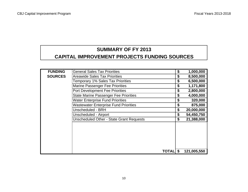## **SUMMARY OF FY 2013 CAPITAL IMPROVEMENT PROJECTS FUNDING SOURCES**

| <b>FUNDING</b> | <b>General Sales Tax Priorities</b>             | \$<br>1,000,000   |
|----------------|-------------------------------------------------|-------------------|
| <b>SOURCES</b> | <b>Areawide Sales Tax Priorities</b>            | \$<br>8,500,000   |
|                | <b>Temporary 1% Sales Tax Priorities</b>        | \$<br>6,500,000   |
|                | <b>Marine Passenger Fee Priorities</b>          | \$<br>1,171,800   |
|                | <b>Port Development Fee Priorities</b>          | \$<br>2,800,000   |
|                | <b>State Marine Passenger Fee Priorities</b>    | \$<br>4,000,000   |
|                | <b>Water Enterprise Fund Priorities</b>         | \$<br>320,000     |
|                | <b>Wastewater Enterprise Fund Priorities</b>    | \$<br>875,000     |
|                | Unscheduled - BRH                               | \$<br>20,000,000  |
|                | Unscheduled - Airport                           | \$<br>54,450,750  |
|                | <b>Unscheduled Other - State Grant Requests</b> | \$<br>21,388,000  |
|                |                                                 |                   |
|                | <b>TOTALI</b>                                   | \$<br>121,005,550 |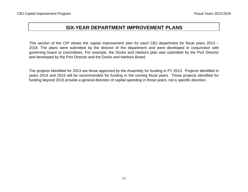This section of the CIP shows the capital improvement plan for each CBJ department for fiscal years 2013 – 2018. The plans were submitted by the director of the department and were developed in conjunction with governing board or committees. For example, the Docks and Harbors plan was submitted by the Port Director and developed by the Port Director and the Docks and Harbors Board.

The projects identified for 2013 are those approved by the Assembly for funding in FY 2013. Projects identified in years 2014 and 2015 will be recommended for funding in the coming fiscal years. Those projects identified for funding beyond 2015 provide a general direction of capital spending in those years, not a specific direction.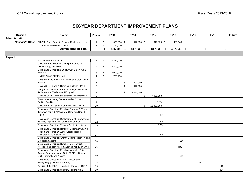| <b>Division</b>         | Project                                                                                  | Priority       | <b>FY13</b>      | <b>FY14</b>        | <b>FY15</b>      |               | <b>FY16</b>  | <b>FY17</b>    | <b>FY18</b> |                | <b>Future</b> |  |
|-------------------------|------------------------------------------------------------------------------------------|----------------|------------------|--------------------|------------------|---------------|--------------|----------------|-------------|----------------|---------------|--|
| <b>Administration</b>   |                                                                                          |                |                  |                    |                  |               |              |                |             |                |               |  |
| <b>Manager's Office</b> | PRISM - Core Financial System Replcment Lease                                            | -1             | \$<br>685,000 \$ | $817,830$ \$       | $817,830$ \$     |               | 487,940      |                |             |                |               |  |
|                         | IT Infrastructure Modernization                                                          | $\overline{2}$ | \$<br>150,000    |                    |                  |               |              |                |             |                |               |  |
|                         | <b>Administration Total:</b>                                                             |                | \$<br>835,000    | \$<br>$817,830$ \$ | 817,830          | $\sqrt[6]{3}$ | $487,940$ \$ | $\blacksquare$ | \$          | $\blacksquare$ | \$            |  |
|                         |                                                                                          |                |                  |                    |                  |               |              |                |             |                |               |  |
| <b>Airport</b>          |                                                                                          |                |                  |                    |                  |               |              |                |             |                |               |  |
|                         | <b>JIA Terminal Renovation</b>                                                           | $\overline{1}$ | \$<br>2,380,000  |                    |                  |               |              |                |             |                |               |  |
|                         | <b>Construct Snow Removal Equipment Facility</b>                                         |                |                  |                    |                  |               |              |                |             |                |               |  |
|                         | (SREF/Shop) - Phase II                                                                   | 2              | \$<br>26,800,000 |                    |                  |               |              |                |             |                |               |  |
|                         | Design and Construct 8-26 Runway Safety Area -                                           |                |                  |                    |                  |               |              |                |             |                |               |  |
|                         | Phase II                                                                                 | 3              | \$<br>30,000,000 |                    |                  |               |              |                |             |                |               |  |
|                         | Update Airport Master Plan                                                               | $\overline{4}$ | \$<br>750,750    |                    |                  |               |              |                |             |                |               |  |
|                         | Design Work to New North Terminal and/or Parking                                         |                |                  |                    |                  |               |              |                |             |                |               |  |
|                         | Facility                                                                                 | 5              |                  | \$<br>1,000,000    |                  |               |              |                |             |                |               |  |
|                         | Design SREF Sand & Chemical Building - Ph III                                            | 6              |                  | \$<br>612,000      |                  |               |              |                |             |                |               |  |
|                         | Design and Construct Apron, Drainage, Electrical,                                        |                |                  |                    |                  |               |              |                |             |                |               |  |
|                         | Taxiways and Tie-Downs (NE Quad)                                                         | $\overline{7}$ |                  | \$<br>6,444,000    |                  |               |              |                |             |                |               |  |
|                         | Replace Snow Removal Equipment and Vehicles                                              | 8              |                  |                    | \$<br>7,663,300  |               |              |                |             |                |               |  |
|                         | Replace North Wing Terminal and/or Construct                                             |                |                  |                    |                  |               |              |                |             |                |               |  |
|                         | Parking Facility                                                                         | 9              |                  |                    | <b>TBD</b>       |               |              |                |             |                |               |  |
|                         | Construct SREF Sand & Chemical Bldg - Ph III                                             | 10             |                  |                    | \$<br>13,400,000 |               |              |                |             |                |               |  |
|                         | Design and Construct Rehab of Runway 8-26 and                                            |                |                  |                    |                  |               |              |                |             |                |               |  |
|                         | Taxiways per 2007 Pavement Condition Report<br>(PCR)                                     |                |                  |                    | <b>TBD</b>       |               |              |                |             |                |               |  |
|                         |                                                                                          | 11             |                  |                    |                  |               |              |                |             |                |               |  |
|                         | Design and Construct Replacement of Runway and                                           |                |                  |                    |                  |               |              |                |             |                |               |  |
|                         | Taxiway Lighting Cans, Cable and Conduit                                                 | 12             |                  |                    | <b>TBD</b>       |               |              |                |             |                |               |  |
|                         | Design and Construct Taxiway Centerline Lights                                           | 13             |                  |                    | <b>TBD</b>       |               |              |                |             |                |               |  |
|                         | Design and Construct Rehab of Cessna Drive, Alex<br>Holden and Renshaw Ways Access Roads |                |                  |                    |                  |               |              |                |             |                |               |  |
|                         | Drainage, Curb & Sidewalk.                                                               | 14             |                  |                    | <b>TBD</b>       |               |              |                |             |                |               |  |
|                         | Design and Construct Aircraft Deicing Recovery and                                       |                |                  |                    |                  |               |              |                |             |                |               |  |
|                         | <b>Collection System</b>                                                                 | 15             |                  |                    |                  |               | <b>TBD</b>   |                |             |                |               |  |
|                         | Design and Construct Rehab of Crest Street ARFF                                          |                |                  |                    |                  |               |              |                |             |                |               |  |
|                         | Access Road from ARFF Station to Yandukin Drive.                                         | 16             |                  |                    |                  |               | TBD          |                |             |                |               |  |
|                         | Design and Construct Rehab of Yandukin Drive                                             |                |                  |                    |                  |               |              |                |             |                |               |  |
|                         | Access Road from Ward Air to FEDEX - Drainage,                                           |                |                  |                    |                  |               |              |                |             |                |               |  |
|                         | Curb, Sidewalk and Access                                                                | 17             |                  |                    |                  |               | <b>TBD</b>   |                |             |                |               |  |
|                         | Design and Construct Aircraft Rescue and                                                 |                |                  |                    |                  |               |              |                |             |                |               |  |
|                         | Firefighting (ARFF) Vehicle Bay                                                          | 18             |                  |                    |                  |               |              | <b>TBD</b>     |             |                |               |  |
|                         | Acquire 3000-gal ARFF Vehicle - Index C - Unit A-3                                       | 19             |                  |                    |                  |               |              |                |             | <b>TBD</b>     |               |  |
|                         | Design and Construct Overflow Parking Area                                               | 20             |                  |                    |                  |               |              |                |             | <b>TBD</b>     |               |  |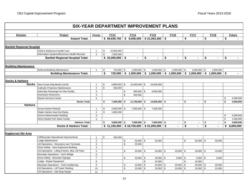|                                   | <b>SIX-YEAR DEPARTMENT IMPROVEMENT PLANS</b>      |                 |                           |                    |                |                                               |             |                 |                      |               |                |                                                                               |                           |               |
|-----------------------------------|---------------------------------------------------|-----------------|---------------------------|--------------------|----------------|-----------------------------------------------|-------------|-----------------|----------------------|---------------|----------------|-------------------------------------------------------------------------------|---------------------------|---------------|
| <b>Division</b>                   | Project                                           | <b>Priority</b> |                           | <b>FY13</b>        |                | <b>FY14</b>                                   |             | <b>FY15</b>     | <b>FY16</b>          |               | <b>FY17</b>    | <b>FY18</b>                                                                   |                           | <b>Future</b> |
|                                   | <b>Airport Total:</b>                             |                 |                           | \$59,930,750       |                | \$8,056,000                                   |             | \$21,063,300    | \$<br>$\sim$         | \$            |                | \$                                                                            | \$                        |               |
|                                   |                                                   |                 |                           |                    |                |                                               |             |                 |                      |               |                |                                                                               |                           |               |
|                                   |                                                   |                 |                           |                    |                |                                               |             |                 |                      |               |                |                                                                               |                           |               |
| <b>Bartlett Regional Hospital</b> |                                                   |                 |                           |                    |                |                                               |             |                 |                      |               |                |                                                                               |                           |               |
|                                   | Child & Adolescent Health Care                    | $\mathbf{1}$    | \$                        | 15,000,000         |                |                                               |             |                 |                      |               |                |                                                                               |                           |               |
|                                   | Information Systems/Electronic Health Records     | $\overline{2}$  | $\mathfrak s$             | 7,000,000          |                |                                               |             |                 |                      |               |                |                                                                               |                           |               |
|                                   | <b>Bartlett Regional Hospital Total:</b>          |                 |                           | $$22,000,000$ \ \$ |                |                                               | \$          |                 | \$<br>$\blacksquare$ | \$            | $\blacksquare$ | \$                                                                            | \$                        |               |
|                                   |                                                   |                 |                           |                    |                |                                               |             |                 |                      |               |                |                                                                               |                           |               |
| <b>Building Maintenance</b>       |                                                   |                 |                           |                    |                |                                               |             |                 |                      |               |                |                                                                               |                           |               |
|                                   | Deferred Building Maintenance                     | $\mathbf{1}$    | \$                        | 720,000 \$         |                | $1,000,000$ \$                                |             | $1,000,000$ \$  | $1,000,000$ \$       |               | $1,000,000$ \$ | 1,000,000                                                                     |                           |               |
|                                   | <b>Building Maintenance Total:</b>                |                 | \$                        |                    |                |                                               |             |                 |                      |               |                | $720,000$ \$ 1,000,000 \$ 1,000,000 \$ 1,000,000 \$ 1,000,000 \$ 1,000,000 \$ |                           |               |
|                                   |                                                   |                 |                           |                    |                |                                               |             |                 |                      |               |                |                                                                               |                           |               |
| <b>Docks &amp; Harbors</b>        |                                                   |                 |                           |                    |                |                                               |             |                 |                      |               |                |                                                                               |                           |               |
| <b>Docks</b>                      | New Cruise Ship Berths (16-B)                     | $\mathbf{1}$    | $\boldsymbol{\mathsf{S}}$ | $6,800,000$ \$     |                | 10,400,000 \$                                 |             | 10,000,000      |                      |               |                |                                                                               |                           |               |
|                                   | <b>Cathodic Protection Maintenance</b>            | $\overline{2}$  | $\mathfrak s$             | 500,000            |                |                                               |             |                 |                      |               |                |                                                                               |                           |               |
|                                   | Auke Bay Passenger for Hire Facility              | 3               |                           |                    | \$             | 800,000 \$                                    |             | 4,000,000       |                      |               |                |                                                                               |                           |               |
|                                   | Downtown Restrooms                                | $\overline{4}$  |                           |                    | \$             | 500,000                                       |             |                 |                      |               |                |                                                                               |                           |               |
|                                   | Marine Services Center                            | 5               |                           |                    |                |                                               |             |                 |                      |               |                |                                                                               | \$                        | 4,000,000     |
|                                   | <b>Docks Total:</b>                               |                 | \$                        | $7,300,000$ \$     |                | $11,700,000$ \$                               |             | $14,000,000$ \$ | $\overline{a}$       | \$            | $\sim$         | \$<br>$\blacksquare$                                                          | \$                        | 4,000,000     |
| <b>Harbors</b>                    |                                                   |                 |                           |                    |                |                                               |             |                 |                      |               |                |                                                                               |                           |               |
|                                   | Aurora Harbor Rebuild                             | $\mathbf{1}$    | \$                        | $2,000,000$ \$     |                | 7,000,000 \$                                  |             | 7,000,000       |                      |               |                |                                                                               |                           |               |
|                                   | Statter Harbor Haul-Out Ramp                      | $\overline{2}$  | \$                        | 1,800,000          |                |                                               |             |                 |                      |               |                |                                                                               |                           |               |
|                                   | Aurora Harbormaster Building                      | 3               |                           |                    |                |                                               |             |                 |                      |               |                |                                                                               | \$                        | 3,000,000     |
|                                   | Direct Market Fish Sales Facility                 | $\overline{4}$  |                           |                    |                |                                               |             |                 |                      |               |                |                                                                               | $\boldsymbol{\mathsf{S}}$ | 1,000,000     |
|                                   | <b>Harbors Total:</b>                             |                 | \$                        | $3,800,000$ \$     |                | $7,000,000$ \$                                |             | $7,000,000$ \$  |                      | \$            |                | \$<br>$\sim$                                                                  | \$                        | 4,000,000     |
|                                   | <b>Docks &amp; Harbors Total:</b>                 |                 |                           |                    |                | $$11,100,000$ $$18,700,000$ $$21,000,000$ $$$ |             |                 | $\blacksquare$       | \$            |                | \$                                                                            |                           | \$8,000,000   |
|                                   |                                                   |                 |                           |                    |                |                                               |             |                 |                      |               |                |                                                                               |                           |               |
| Eaglecrest Ski Area               |                                                   |                 |                           |                    |                |                                               |             |                 |                      |               |                |                                                                               |                           |               |
|                                   | Lift/Mountain Operational Improvements            | $\mathbf{1}$    | $\boldsymbol{\mathsf{S}}$ | 300,000            |                |                                               |             |                 |                      |               |                |                                                                               |                           |               |
|                                   | Lodge Maintenance                                 | $\overline{2}$  |                           |                    | \$             | $25,000$ \$                                   |             | 25,000          |                      | $\mathfrak s$ | $50,000$ \$    | 50,000                                                                        |                           |               |
|                                   | Lift Operations - Structures over Terminals       | 3               |                           |                    | $\mathfrak{S}$ | 25,000                                        |             |                 |                      |               |                |                                                                               |                           |               |
|                                   | Snow Safety - New Explosives Building             | $\overline{4}$  |                           |                    |                |                                               |             |                 |                      |               |                |                                                                               |                           |               |
|                                   | Lift Operations - Lifting Frames, Misc Lift Parts | 5               |                           |                    | \$             | $25,000$ \$                                   |             | $10,000$ \$     | $10,000$ \$          |               | $10,000$ \$    | 10,000                                                                        |                           |               |
|                                   | Mountain Operations - Carl's Bridge               | 6               |                           |                    |                |                                               |             |                 |                      |               |                |                                                                               |                           |               |
|                                   | Snow Safety - Mountain Signage                    | $\overline{7}$  |                           |                    | \$             | $10,000$ \$                                   |             | $10,000$ \$     | $5,000$ \$           |               | $5,000$ \$     | 5,000                                                                         |                           |               |
|                                   | Lodge - Repair Equipment                          | 8               |                           |                    |                |                                               | $\mathbb S$ | 15,000          |                      | $\mathbb{S}$  | 15,000         |                                                                               |                           |               |
|                                   | Mountain Operations - Trail Conditioning          | 9               |                           |                    | \$             | $15,000$ \$                                   |             | $15,000$ \$     | $20,000$ \$          |               | $20,000$ \$    | 20,000                                                                        |                           |               |
|                                   | Lift Operations - Lift Tower Painting             | $10$            |                           |                    | \$             | $15,000$ \$                                   |             | $15,000$ \$     | $15,000$ \ \$        |               | $15,000$ \$    | 15,000                                                                        |                           |               |
|                                   | Lift Operations - Old Shop Repair                 | 11              |                           |                    |                |                                               |             |                 |                      |               |                |                                                                               |                           |               |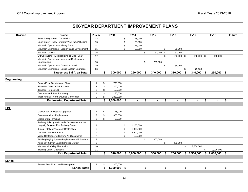| <b>Division</b>    | <b>Project</b>                                    | Priority       |               | <b>FY13</b>    |                | <b>FY14</b>               | <b>FY15</b>   |            | <b>FY16</b>    | <b>FY17</b>            |            | <b>FY18</b>                   | <b>Future</b> |
|--------------------|---------------------------------------------------|----------------|---------------|----------------|----------------|---------------------------|---------------|------------|----------------|------------------------|------------|-------------------------------|---------------|
|                    | Snow Safety - Radio Conversion                    | 12             |               |                | \$             | 25,000                    |               |            |                |                        |            |                               |               |
|                    | Snow Safety - New Two Story "A-Frame" Building    | 13             |               |                | $\mathfrak s$  | 75,000                    |               |            |                |                        |            |                               |               |
|                    | Mountain Operations - Hiking Trails               | 14             |               |                | $\mathbb{S}$   | 25,000                    |               |            |                |                        |            |                               |               |
|                    | Mountain Operations - Cropley Lake Development    | 15             |               |                | $\mathfrak{S}$ | 50,000                    |               | \$         | 25,000         |                        |            |                               |               |
|                    | <b>Mountain Cabins</b>                            | 16             |               |                |                |                           | \$<br>50,000  | $\sqrt{3}$ | 50,000         |                        |            |                               |               |
|                    | Lift Operations - Electrical Line to Black Bear   | 17             |               |                |                |                           |               | \$         | $150,000$ \$   | 150,000                | \$         | 150,000                       |               |
|                    | Mountain Operations - Increased/Replacement       |                |               |                |                |                           |               |            |                |                        |            |                               |               |
|                    | Snowmaking                                        | 18             |               |                |                |                           | \$<br>200,000 |            |                |                        |            |                               |               |
|                    | Mountain Operations - Caretaker Shack             | 19             |               |                |                |                           |               | \$         | 35,000         |                        |            |                               |               |
|                    | Mountain Operations - Septic System Upgrades      | 20             |               |                |                |                           |               |            |                | \$<br>75,000           |            |                               |               |
|                    | Eaglecrest Ski Area Total:                        |                | \$            | 300,000        | $\sqrt[6]{3}$  | 290,000                   | \$<br>340,000 | \$         | 310,000        | \$<br>340,000          | $\vert$ \$ | 250,000                       | \$            |
|                    |                                                   |                |               |                |                |                           |               |            |                |                        |            |                               |               |
| <b>Engineering</b> |                                                   |                |               |                |                |                           |               |            |                |                        |            |                               |               |
|                    | Eagles Edge Subdivision - Phase I                 | $\mathbf{1}$   | \$            | 700,000        |                |                           |               |            |                |                        |            |                               |               |
|                    | Riverside Drive DOT/PF Match                      | $\overline{2}$ | $\mathfrak s$ | 300,000        |                |                           |               |            |                |                        |            |                               |               |
|                    | Tanner's Terrace LID                              | 3              | $\mathfrak s$ | 150,000        |                |                           |               |            |                |                        |            |                               |               |
|                    | <b>Contaminated Sites Reporting</b>               | 4              | \$            | 50,000         |                |                           |               |            |                |                        |            |                               |               |
|                    | West Juneau - North Douglas Connection            | 5              | \$            | 1,300,000      |                |                           |               |            |                |                        |            |                               |               |
|                    | <b>Engineering Department Total:</b>              |                | \$            | $2,500,000$ \$ |                | $\blacksquare$            | \$            | \$         | $\blacksquare$ | \$                     | \$         | $\blacksquare$                | \$            |
|                    |                                                   |                |               |                |                |                           |               |            |                |                        |            |                               |               |
| Fire               |                                                   |                |               |                |                |                           |               |            |                |                        |            |                               |               |
|                    | <b>Glacier Station Repairs/Upgrades</b>           | -1             | \$            | 75,000         |                |                           |               |            |                |                        |            |                               |               |
|                    | <b>Communications Replacement</b>                 | $\overline{2}$ | $\mathfrak s$ | 375,000        |                |                           |               |            |                |                        |            |                               |               |
|                    | <b>Mobile Data Terminals</b>                      | 3              | \$            | 66,000         |                |                           |               |            |                |                        |            |                               |               |
|                    | Training Building & Grounds Development at the    |                |               |                |                |                           |               |            |                |                        |            |                               |               |
|                    | Hagevig Regional Fire Training Center             | $\overline{4}$ |               |                | \$             | 1,250,000                 |               |            |                |                        |            |                               |               |
|                    | Juneau Station Pavement Restoration               | 5              |               |                | \$             | 1,000,000                 |               |            |                |                        |            |                               |               |
|                    | Lemon Creek Fire Station                          | 6              |               |                | \$             | 6,500,000                 |               |            |                |                        |            |                               |               |
|                    | Video Conferencing System, All Classrooms         | $\overline{7}$ |               |                | $\mathfrak s$  | 150,000                   |               |            |                |                        |            |                               |               |
|                    | Building Paging System Replacement - All Stations | 8              |               |                |                |                           | \$<br>300,000 |            |                |                        |            |                               |               |
|                    | Auke Bay & Lynn Canal Sprinkler System            | 9              |               |                |                |                           |               | \$         | 200,000        |                        |            |                               |               |
|                    | Mendenhall Valley Fire Station                    | 10             |               |                |                |                           |               |            |                | \$<br>8,500,000        |            |                               |               |
|                    | <b>Training Center Upgrades</b>                   | 11             |               |                |                |                           |               |            |                |                        | \$         | 2.000.000                     |               |
|                    | <b>Fire Department Total:</b>                     |                | \$            |                |                | $516,000$ \$ 8,900,000 \$ | $300,000$ \$  |            |                | $200,000$ \$ 8,500,000 |            | $\frac{1}{2}$ \$ 2,000,000 \$ |               |
|                    |                                                   |                |               |                |                |                           |               |            |                |                        |            |                               |               |
| Lands              |                                                   |                |               |                |                |                           |               |            |                |                        |            |                               |               |
|                    | Switzer Area Muni Land Development                | $\mathbf{1}$   | \$            | 1,300,000      |                |                           |               |            |                |                        |            |                               |               |
|                    | <b>Lands Total:</b>                               |                | \$            | $1,300,000$ \$ |                |                           | \$            | \$         |                | \$                     | \$         |                               | \$            |
|                    |                                                   |                |               |                |                |                           |               |            |                |                        |            |                               |               |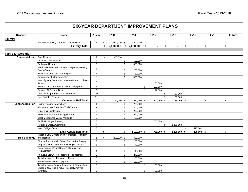|                               | <b>SIX-YEAR DEPARTMENT IMPROVEMENT PLANS</b>                                   |                |                      |                |                               |                |                |               |                      |              |               |
|-------------------------------|--------------------------------------------------------------------------------|----------------|----------------------|----------------|-------------------------------|----------------|----------------|---------------|----------------------|--------------|---------------|
| <b>Division</b>               | Project                                                                        | Priority       | <b>FY13</b>          |                | <b>FY14</b>                   | <b>FY15</b>    | <b>FY16</b>    | <b>FY17</b>   | <b>FY18</b>          |              | <b>Future</b> |
| Library                       |                                                                                |                |                      |                |                               |                |                |               |                      |              |               |
|                               | Mendenhall Valley Library at Dimond Park                                       | $\mathbf{1}$   | \$<br>$7,000,000$ \$ |                | 7,000,000                     |                |                |               |                      |              |               |
|                               | <b>Library Total:</b>                                                          |                | \$                   |                | $7,000,000$ \$ $7,000,000$ \$ | $\blacksquare$ | \$             | \$<br>$\sim$  | \$<br>$\blacksquare$ | \$           |               |
|                               |                                                                                |                |                      |                |                               |                |                |               |                      |              |               |
| <b>Parks &amp; Recreation</b> |                                                                                |                |                      |                |                               |                |                |               |                      |              |               |
| <b>Centennial Hall</b>        | Roof Repairs                                                                   | $\mathbf{1}$   | \$                   |                |                               |                |                |               |                      |              |               |
|                               |                                                                                | $\overline{2}$ | 1,300,000            |                |                               |                |                |               |                      |              |               |
|                               | <b>Plumbing Replacement</b>                                                    |                |                      | $\mathbb{S}$   | 600,000                       |                |                |               |                      |              |               |
|                               | Bathroom Upgrade                                                               | $\mathsf 3$    |                      | \$             | 400,000                       |                |                |               |                      |              |               |
|                               | Interior Finishes-Paint, Patch, Wallpaper, Meeting<br>Room Carpets             | $\overline{4}$ |                      | \$             | 260,000                       |                |                |               |                      |              |               |
|                               | Track Wall in Former JCVB Space                                                | $\overline{5}$ |                      | \$             | 30,000                        |                |                |               |                      |              |               |
|                               | <b>Emergency Shelter Generator</b>                                             | $6\phantom{1}$ |                      | $\mathbb S$    | 400,000                       |                |                |               |                      |              |               |
|                               | New Lighting-Bathrooms, Meeting Rooms, Lobbies,                                |                |                      |                |                               |                |                |               |                      |              |               |
|                               | Atrium                                                                         | $\overline{7}$ |                      |                |                               | \$<br>230,000  |                |               |                      |              |               |
|                               | Kitchen Upgrade-Flooring, Kitchen Equipment                                    | 8              |                      |                |                               | \$<br>100,000  |                |               |                      |              |               |
|                               | Replace All Exterior Doors                                                     | 9              |                      |                |                               | \$<br>72,000   |                |               |                      |              |               |
|                               | ADA Door Operators-Three Entrances                                             | 10             |                      |                |                               |                | \$<br>30,000   |               |                      |              |               |
|                               | New Portable Staging                                                           | 11             |                      |                |                               |                | \$<br>50,000   |               |                      |              |               |
|                               | <b>Centennial Hall Total:</b>                                                  |                | \$<br>$1,300,000$ \$ |                | $1,690,000$ \$                | 402,000 \$     | $80,000$ \$    |               | \$                   | \$<br>$\sim$ |               |
| <b>Land Acquisition</b>       | <b>Under Thunder Connections</b>                                               | $\mathbf{1}$   |                      | \$             | 200,000                       |                |                |               |                      |              |               |
|                               | Montana Creek Greenbelt/Trail Corridors                                        | $\overline{2}$ |                      | \$             | 400,000                       |                |                |               |                      |              |               |
|                               | <b>Outer Point Waterfront</b>                                                  | 3              |                      | $$\mathbb{S}$$ | 200,000                       |                |                |               |                      |              |               |
|                               | West Juneau Waterfront Application                                             | $\overline{4}$ |                      | \$             | 950,000                       |                |                |               |                      |              |               |
|                               | West Mendenhall Valley Wetlands                                                | $\overline{5}$ |                      | $\mathbb S$    | 430,000                       |                |                |               |                      |              |               |
|                               |                                                                                | 6              |                      |                |                               | \$<br>750,000  |                |               |                      |              |               |
|                               | Smith/Honsinger Property<br>Peterson Creek/Outer Point                         | $\overline{7}$ |                      |                |                               |                | \$             |               |                      |              |               |
|                               |                                                                                | 8              |                      |                |                               |                | 1,300,000      |               |                      |              |               |
|                               | North Bridget Cove                                                             |                |                      |                |                               |                |                | \$<br>475,000 |                      |              |               |
|                               | <b>Land Acquisition Total:</b><br>Museum-JDCM Mechanical Ventilation, Humidity |                | \$<br>$\blacksquare$ | Ŝ.             | $2,180,000$ \$                | 750,000 \$     | $1,300,000$ \$ | 475,000 \$    |                      | \$<br>$\sim$ |               |
| <b>Rec Buildings</b>          | and Heating                                                                    | $\mathbf{1}$   | \$<br>$200,000$ \$   |                | 400,000                       |                |                |               |                      |              |               |
|                               | Dimond Park Aquatic Center Parking Lot Paving                                  | 2              |                      | \$             | 50,000                        |                |                |               |                      |              |               |
|                               | Augustus Brown Pool-Refurbishing of Lockers                                    | 3              |                      | $$\mathbb{S}$$ | 40,000                        |                |                |               |                      |              |               |
|                               | Zach Gordon-Weight Room & Hallway Floor                                        |                |                      |                |                               |                |                |               |                      |              |               |
|                               | Replacement                                                                    | 4              |                      | \$             | 15,000                        |                |                |               |                      |              |               |
|                               | Augustus Brown Pool Floor/Tile Replacement                                     | $\overline{5}$ |                      | $$\mathbb{S}$$ | 240,000                       |                |                |               |                      |              |               |
|                               | Treadwell Arena - Parking Lot Paving                                           | $\,6$          |                      | \$             | 260,000                       |                |                |               |                      |              |               |
|                               | Zach Gordon-Kitchen Upgrade                                                    | $\overline{7}$ |                      | $\mathbb{S}$   | 150,000                       |                |                |               |                      |              |               |
|                               | Treadwell Area-Custom Bleachers & Storage Unit                                 | 8              |                      |                |                               | \$<br>80,000   |                |               |                      |              |               |
|                               | Museum-CBJ Public Art & Historical Archives                                    |                |                      |                |                               |                |                |               |                      |              |               |
|                               | Inventory                                                                      | $\mathbf{Q}$   |                      |                |                               | \$<br>30,000   |                |               |                      |              |               |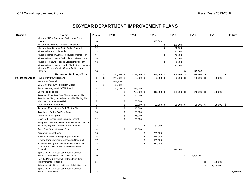| Museum-JDCM Basement Collections Storage<br>Upgrade<br>\$<br>340,000<br>10<br>Museum-New Exhibit Design & Installation<br>11<br>\$<br>270,000<br>Museum-Last Chance Basin Bridge-Phase II<br>\$<br>12<br>60,000<br>Museum-Bathroom Remodel<br>13<br>\$<br>80,000<br>Museum-Historic/Cultural Resources Master Plan<br>14<br>\$<br>40,000<br>Museum-Last Chance Basin Historic Master Plan<br>15<br>\$<br>30,000<br>16<br>$\mathfrak s$<br>Museum-Treadwell Historic District Master Plan<br>30,000<br>Museum-Last Chance Historic District Improvements<br>17<br>\$<br>30,000<br>Museum-Museum/Visitor Center Architectural<br>Planning<br>18<br>\$<br>175,000<br>\$<br><b>Recreation Buildings Total:</b><br>\$<br>$1,155,000$ \$<br>450,000 \$<br>$540,000$ \$<br>175,000<br>\$<br>$200,000$ \$<br>$\blacksquare$<br>$\mathbf{r}$<br>Park & Playground Repairs<br>275,000 \$<br><b>Parks/Rec Areas</b><br>\$<br>175,000 \$<br>$180,000$ \$<br>$190,000$ \$<br>205,000<br>\$<br>220,000<br>$\overline{\mathbf{1}}$<br><b>Waterfront Seawalk</b><br>$\sqrt{2}$<br>\$<br>671,800<br>LCB Mine Museum Pedestrian Bridge<br>3<br>\$<br>100,000<br>\$<br>Auke Lake Wayside DOT/PF Match<br>\$<br>$\overline{4}$<br>170,000<br>1,375,000<br><b>Sports Field Repairs</b><br>5<br>$295,000$ \$<br>\$<br>$310,000$ \$<br>$325,000$ \$<br>340,000<br><b>S</b><br>355,000<br>Treadwell Mine Area Site Characterization Plan<br>\$<br>6<br>50,000<br>Twin Lakes "Jerry Schach Accessible Fishing Pier"<br>abutment replacement--ADA<br>$\overline{7}$<br>30,000<br>\$<br>\$<br>Park Deferred Maintenance<br>$$\mathbb{S}$$<br>8<br>$25,000$ \$<br>$25,000$ \$<br>$25,000$ \$<br>$25,000$ \$<br>25,000<br>$\sim$<br><b>Treadwell Mine Historic Park Master Plan</b><br>\$<br>9<br>10,000<br>Twin Lakes Park ADA Path Repairs<br>\$<br>10<br>75,000<br>\$<br>Arboretum Parking Lot<br>11<br>75,000<br>$\mathbb{S}$<br>Cope Park Tennis Court Repairs/Repaint<br>12<br>65,000<br>Evergreen Cemetery Headstone Restoration for City<br>Founding Figures Juneau, Harris, Kowee<br>\$<br>30,000<br>13<br>Auke Cape/X'unaxi Master Plan<br>\$<br>45,000<br>14<br>Arboretum Greenhouse<br>\$<br>15<br>200,000<br>$\mathfrak s$<br>Hank Harmon Rifle Range Improvements<br>16<br>375,000<br>Dimond Park Restroom/Concession Construct<br>17<br>\$<br>550,000<br>$$\mathbb{S}$$<br>Riverside Rotary Park Pathway Reconstruction<br>18<br>250,000<br>Dimond Park Field 3 Soccer/Baseball Field<br>Expansion<br>19<br>\$<br>315,000<br>Sports Field Turf Installation Adair/Kennedy<br>Memorial Park Field 1 and Melvin Park<br>20<br>\$<br>4,700,000<br>Savikko Park & Treadwell Historic Mine Trail<br>Improvements - Phase II<br>21<br>\$<br>300,000<br>Arboretum Multi Purpose Room, Public Restroom<br>22<br>\$<br>1,000,000<br>Sports Field Turf Installation Adair/Kennedy | <b>Division</b> | Project                      | Priority | <b>FY13</b> | <b>FY14</b> | <b>FY15</b> | <b>FY16</b> | <b>FY17</b> | <b>FY18</b> | <b>Future</b>   |
|-----------------------------------------------------------------------------------------------------------------------------------------------------------------------------------------------------------------------------------------------------------------------------------------------------------------------------------------------------------------------------------------------------------------------------------------------------------------------------------------------------------------------------------------------------------------------------------------------------------------------------------------------------------------------------------------------------------------------------------------------------------------------------------------------------------------------------------------------------------------------------------------------------------------------------------------------------------------------------------------------------------------------------------------------------------------------------------------------------------------------------------------------------------------------------------------------------------------------------------------------------------------------------------------------------------------------------------------------------------------------------------------------------------------------------------------------------------------------------------------------------------------------------------------------------------------------------------------------------------------------------------------------------------------------------------------------------------------------------------------------------------------------------------------------------------------------------------------------------------------------------------------------------------------------------------------------------------------------------------------------------------------------------------------------------------------------------------------------------------------------------------------------------------------------------------------------------------------------------------------------------------------------------------------------------------------------------------------------------------------------------------------------------------------------------------------------------------------------------------------------------------------------------------------------------------------------------------------------------------------------------------------------------------------------------------------------------------------------------------------------------------------------------------------------------------------------------------------------------------|-----------------|------------------------------|----------|-------------|-------------|-------------|-------------|-------------|-------------|-----------------|
|                                                                                                                                                                                                                                                                                                                                                                                                                                                                                                                                                                                                                                                                                                                                                                                                                                                                                                                                                                                                                                                                                                                                                                                                                                                                                                                                                                                                                                                                                                                                                                                                                                                                                                                                                                                                                                                                                                                                                                                                                                                                                                                                                                                                                                                                                                                                                                                                                                                                                                                                                                                                                                                                                                                                                                                                                                                           |                 |                              |          |             |             |             |             |             |             |                 |
|                                                                                                                                                                                                                                                                                                                                                                                                                                                                                                                                                                                                                                                                                                                                                                                                                                                                                                                                                                                                                                                                                                                                                                                                                                                                                                                                                                                                                                                                                                                                                                                                                                                                                                                                                                                                                                                                                                                                                                                                                                                                                                                                                                                                                                                                                                                                                                                                                                                                                                                                                                                                                                                                                                                                                                                                                                                           |                 |                              |          |             |             |             |             |             |             |                 |
|                                                                                                                                                                                                                                                                                                                                                                                                                                                                                                                                                                                                                                                                                                                                                                                                                                                                                                                                                                                                                                                                                                                                                                                                                                                                                                                                                                                                                                                                                                                                                                                                                                                                                                                                                                                                                                                                                                                                                                                                                                                                                                                                                                                                                                                                                                                                                                                                                                                                                                                                                                                                                                                                                                                                                                                                                                                           |                 |                              |          |             |             |             |             |             |             |                 |
|                                                                                                                                                                                                                                                                                                                                                                                                                                                                                                                                                                                                                                                                                                                                                                                                                                                                                                                                                                                                                                                                                                                                                                                                                                                                                                                                                                                                                                                                                                                                                                                                                                                                                                                                                                                                                                                                                                                                                                                                                                                                                                                                                                                                                                                                                                                                                                                                                                                                                                                                                                                                                                                                                                                                                                                                                                                           |                 |                              |          |             |             |             |             |             |             |                 |
|                                                                                                                                                                                                                                                                                                                                                                                                                                                                                                                                                                                                                                                                                                                                                                                                                                                                                                                                                                                                                                                                                                                                                                                                                                                                                                                                                                                                                                                                                                                                                                                                                                                                                                                                                                                                                                                                                                                                                                                                                                                                                                                                                                                                                                                                                                                                                                                                                                                                                                                                                                                                                                                                                                                                                                                                                                                           |                 |                              |          |             |             |             |             |             |             |                 |
|                                                                                                                                                                                                                                                                                                                                                                                                                                                                                                                                                                                                                                                                                                                                                                                                                                                                                                                                                                                                                                                                                                                                                                                                                                                                                                                                                                                                                                                                                                                                                                                                                                                                                                                                                                                                                                                                                                                                                                                                                                                                                                                                                                                                                                                                                                                                                                                                                                                                                                                                                                                                                                                                                                                                                                                                                                                           |                 |                              |          |             |             |             |             |             |             |                 |
|                                                                                                                                                                                                                                                                                                                                                                                                                                                                                                                                                                                                                                                                                                                                                                                                                                                                                                                                                                                                                                                                                                                                                                                                                                                                                                                                                                                                                                                                                                                                                                                                                                                                                                                                                                                                                                                                                                                                                                                                                                                                                                                                                                                                                                                                                                                                                                                                                                                                                                                                                                                                                                                                                                                                                                                                                                                           |                 |                              |          |             |             |             |             |             |             |                 |
|                                                                                                                                                                                                                                                                                                                                                                                                                                                                                                                                                                                                                                                                                                                                                                                                                                                                                                                                                                                                                                                                                                                                                                                                                                                                                                                                                                                                                                                                                                                                                                                                                                                                                                                                                                                                                                                                                                                                                                                                                                                                                                                                                                                                                                                                                                                                                                                                                                                                                                                                                                                                                                                                                                                                                                                                                                                           |                 |                              |          |             |             |             |             |             |             |                 |
|                                                                                                                                                                                                                                                                                                                                                                                                                                                                                                                                                                                                                                                                                                                                                                                                                                                                                                                                                                                                                                                                                                                                                                                                                                                                                                                                                                                                                                                                                                                                                                                                                                                                                                                                                                                                                                                                                                                                                                                                                                                                                                                                                                                                                                                                                                                                                                                                                                                                                                                                                                                                                                                                                                                                                                                                                                                           |                 |                              |          |             |             |             |             |             |             |                 |
|                                                                                                                                                                                                                                                                                                                                                                                                                                                                                                                                                                                                                                                                                                                                                                                                                                                                                                                                                                                                                                                                                                                                                                                                                                                                                                                                                                                                                                                                                                                                                                                                                                                                                                                                                                                                                                                                                                                                                                                                                                                                                                                                                                                                                                                                                                                                                                                                                                                                                                                                                                                                                                                                                                                                                                                                                                                           |                 |                              |          |             |             |             |             |             |             |                 |
|                                                                                                                                                                                                                                                                                                                                                                                                                                                                                                                                                                                                                                                                                                                                                                                                                                                                                                                                                                                                                                                                                                                                                                                                                                                                                                                                                                                                                                                                                                                                                                                                                                                                                                                                                                                                                                                                                                                                                                                                                                                                                                                                                                                                                                                                                                                                                                                                                                                                                                                                                                                                                                                                                                                                                                                                                                                           |                 |                              |          |             |             |             |             |             |             |                 |
|                                                                                                                                                                                                                                                                                                                                                                                                                                                                                                                                                                                                                                                                                                                                                                                                                                                                                                                                                                                                                                                                                                                                                                                                                                                                                                                                                                                                                                                                                                                                                                                                                                                                                                                                                                                                                                                                                                                                                                                                                                                                                                                                                                                                                                                                                                                                                                                                                                                                                                                                                                                                                                                                                                                                                                                                                                                           |                 |                              |          |             |             |             |             |             |             |                 |
|                                                                                                                                                                                                                                                                                                                                                                                                                                                                                                                                                                                                                                                                                                                                                                                                                                                                                                                                                                                                                                                                                                                                                                                                                                                                                                                                                                                                                                                                                                                                                                                                                                                                                                                                                                                                                                                                                                                                                                                                                                                                                                                                                                                                                                                                                                                                                                                                                                                                                                                                                                                                                                                                                                                                                                                                                                                           |                 |                              |          |             |             |             |             |             |             |                 |
|                                                                                                                                                                                                                                                                                                                                                                                                                                                                                                                                                                                                                                                                                                                                                                                                                                                                                                                                                                                                                                                                                                                                                                                                                                                                                                                                                                                                                                                                                                                                                                                                                                                                                                                                                                                                                                                                                                                                                                                                                                                                                                                                                                                                                                                                                                                                                                                                                                                                                                                                                                                                                                                                                                                                                                                                                                                           |                 |                              |          |             |             |             |             |             |             |                 |
|                                                                                                                                                                                                                                                                                                                                                                                                                                                                                                                                                                                                                                                                                                                                                                                                                                                                                                                                                                                                                                                                                                                                                                                                                                                                                                                                                                                                                                                                                                                                                                                                                                                                                                                                                                                                                                                                                                                                                                                                                                                                                                                                                                                                                                                                                                                                                                                                                                                                                                                                                                                                                                                                                                                                                                                                                                                           |                 |                              |          |             |             |             |             |             |             |                 |
|                                                                                                                                                                                                                                                                                                                                                                                                                                                                                                                                                                                                                                                                                                                                                                                                                                                                                                                                                                                                                                                                                                                                                                                                                                                                                                                                                                                                                                                                                                                                                                                                                                                                                                                                                                                                                                                                                                                                                                                                                                                                                                                                                                                                                                                                                                                                                                                                                                                                                                                                                                                                                                                                                                                                                                                                                                                           |                 |                              |          |             |             |             |             |             |             |                 |
|                                                                                                                                                                                                                                                                                                                                                                                                                                                                                                                                                                                                                                                                                                                                                                                                                                                                                                                                                                                                                                                                                                                                                                                                                                                                                                                                                                                                                                                                                                                                                                                                                                                                                                                                                                                                                                                                                                                                                                                                                                                                                                                                                                                                                                                                                                                                                                                                                                                                                                                                                                                                                                                                                                                                                                                                                                                           |                 |                              |          |             |             |             |             |             |             |                 |
|                                                                                                                                                                                                                                                                                                                                                                                                                                                                                                                                                                                                                                                                                                                                                                                                                                                                                                                                                                                                                                                                                                                                                                                                                                                                                                                                                                                                                                                                                                                                                                                                                                                                                                                                                                                                                                                                                                                                                                                                                                                                                                                                                                                                                                                                                                                                                                                                                                                                                                                                                                                                                                                                                                                                                                                                                                                           |                 |                              |          |             |             |             |             |             |             |                 |
|                                                                                                                                                                                                                                                                                                                                                                                                                                                                                                                                                                                                                                                                                                                                                                                                                                                                                                                                                                                                                                                                                                                                                                                                                                                                                                                                                                                                                                                                                                                                                                                                                                                                                                                                                                                                                                                                                                                                                                                                                                                                                                                                                                                                                                                                                                                                                                                                                                                                                                                                                                                                                                                                                                                                                                                                                                                           |                 |                              |          |             |             |             |             |             |             |                 |
|                                                                                                                                                                                                                                                                                                                                                                                                                                                                                                                                                                                                                                                                                                                                                                                                                                                                                                                                                                                                                                                                                                                                                                                                                                                                                                                                                                                                                                                                                                                                                                                                                                                                                                                                                                                                                                                                                                                                                                                                                                                                                                                                                                                                                                                                                                                                                                                                                                                                                                                                                                                                                                                                                                                                                                                                                                                           |                 |                              |          |             |             |             |             |             |             |                 |
|                                                                                                                                                                                                                                                                                                                                                                                                                                                                                                                                                                                                                                                                                                                                                                                                                                                                                                                                                                                                                                                                                                                                                                                                                                                                                                                                                                                                                                                                                                                                                                                                                                                                                                                                                                                                                                                                                                                                                                                                                                                                                                                                                                                                                                                                                                                                                                                                                                                                                                                                                                                                                                                                                                                                                                                                                                                           |                 |                              |          |             |             |             |             |             |             |                 |
|                                                                                                                                                                                                                                                                                                                                                                                                                                                                                                                                                                                                                                                                                                                                                                                                                                                                                                                                                                                                                                                                                                                                                                                                                                                                                                                                                                                                                                                                                                                                                                                                                                                                                                                                                                                                                                                                                                                                                                                                                                                                                                                                                                                                                                                                                                                                                                                                                                                                                                                                                                                                                                                                                                                                                                                                                                                           |                 |                              |          |             |             |             |             |             |             |                 |
|                                                                                                                                                                                                                                                                                                                                                                                                                                                                                                                                                                                                                                                                                                                                                                                                                                                                                                                                                                                                                                                                                                                                                                                                                                                                                                                                                                                                                                                                                                                                                                                                                                                                                                                                                                                                                                                                                                                                                                                                                                                                                                                                                                                                                                                                                                                                                                                                                                                                                                                                                                                                                                                                                                                                                                                                                                                           |                 |                              |          |             |             |             |             |             |             |                 |
|                                                                                                                                                                                                                                                                                                                                                                                                                                                                                                                                                                                                                                                                                                                                                                                                                                                                                                                                                                                                                                                                                                                                                                                                                                                                                                                                                                                                                                                                                                                                                                                                                                                                                                                                                                                                                                                                                                                                                                                                                                                                                                                                                                                                                                                                                                                                                                                                                                                                                                                                                                                                                                                                                                                                                                                                                                                           |                 |                              |          |             |             |             |             |             |             |                 |
|                                                                                                                                                                                                                                                                                                                                                                                                                                                                                                                                                                                                                                                                                                                                                                                                                                                                                                                                                                                                                                                                                                                                                                                                                                                                                                                                                                                                                                                                                                                                                                                                                                                                                                                                                                                                                                                                                                                                                                                                                                                                                                                                                                                                                                                                                                                                                                                                                                                                                                                                                                                                                                                                                                                                                                                                                                                           |                 |                              |          |             |             |             |             |             |             |                 |
|                                                                                                                                                                                                                                                                                                                                                                                                                                                                                                                                                                                                                                                                                                                                                                                                                                                                                                                                                                                                                                                                                                                                                                                                                                                                                                                                                                                                                                                                                                                                                                                                                                                                                                                                                                                                                                                                                                                                                                                                                                                                                                                                                                                                                                                                                                                                                                                                                                                                                                                                                                                                                                                                                                                                                                                                                                                           |                 |                              |          |             |             |             |             |             |             |                 |
|                                                                                                                                                                                                                                                                                                                                                                                                                                                                                                                                                                                                                                                                                                                                                                                                                                                                                                                                                                                                                                                                                                                                                                                                                                                                                                                                                                                                                                                                                                                                                                                                                                                                                                                                                                                                                                                                                                                                                                                                                                                                                                                                                                                                                                                                                                                                                                                                                                                                                                                                                                                                                                                                                                                                                                                                                                                           |                 |                              |          |             |             |             |             |             |             |                 |
|                                                                                                                                                                                                                                                                                                                                                                                                                                                                                                                                                                                                                                                                                                                                                                                                                                                                                                                                                                                                                                                                                                                                                                                                                                                                                                                                                                                                                                                                                                                                                                                                                                                                                                                                                                                                                                                                                                                                                                                                                                                                                                                                                                                                                                                                                                                                                                                                                                                                                                                                                                                                                                                                                                                                                                                                                                                           |                 |                              |          |             |             |             |             |             |             |                 |
|                                                                                                                                                                                                                                                                                                                                                                                                                                                                                                                                                                                                                                                                                                                                                                                                                                                                                                                                                                                                                                                                                                                                                                                                                                                                                                                                                                                                                                                                                                                                                                                                                                                                                                                                                                                                                                                                                                                                                                                                                                                                                                                                                                                                                                                                                                                                                                                                                                                                                                                                                                                                                                                                                                                                                                                                                                                           |                 |                              |          |             |             |             |             |             |             |                 |
|                                                                                                                                                                                                                                                                                                                                                                                                                                                                                                                                                                                                                                                                                                                                                                                                                                                                                                                                                                                                                                                                                                                                                                                                                                                                                                                                                                                                                                                                                                                                                                                                                                                                                                                                                                                                                                                                                                                                                                                                                                                                                                                                                                                                                                                                                                                                                                                                                                                                                                                                                                                                                                                                                                                                                                                                                                                           |                 |                              |          |             |             |             |             |             |             |                 |
|                                                                                                                                                                                                                                                                                                                                                                                                                                                                                                                                                                                                                                                                                                                                                                                                                                                                                                                                                                                                                                                                                                                                                                                                                                                                                                                                                                                                                                                                                                                                                                                                                                                                                                                                                                                                                                                                                                                                                                                                                                                                                                                                                                                                                                                                                                                                                                                                                                                                                                                                                                                                                                                                                                                                                                                                                                                           |                 |                              |          |             |             |             |             |             |             |                 |
|                                                                                                                                                                                                                                                                                                                                                                                                                                                                                                                                                                                                                                                                                                                                                                                                                                                                                                                                                                                                                                                                                                                                                                                                                                                                                                                                                                                                                                                                                                                                                                                                                                                                                                                                                                                                                                                                                                                                                                                                                                                                                                                                                                                                                                                                                                                                                                                                                                                                                                                                                                                                                                                                                                                                                                                                                                                           |                 |                              |          |             |             |             |             |             |             |                 |
|                                                                                                                                                                                                                                                                                                                                                                                                                                                                                                                                                                                                                                                                                                                                                                                                                                                                                                                                                                                                                                                                                                                                                                                                                                                                                                                                                                                                                                                                                                                                                                                                                                                                                                                                                                                                                                                                                                                                                                                                                                                                                                                                                                                                                                                                                                                                                                                                                                                                                                                                                                                                                                                                                                                                                                                                                                                           |                 |                              |          |             |             |             |             |             |             |                 |
|                                                                                                                                                                                                                                                                                                                                                                                                                                                                                                                                                                                                                                                                                                                                                                                                                                                                                                                                                                                                                                                                                                                                                                                                                                                                                                                                                                                                                                                                                                                                                                                                                                                                                                                                                                                                                                                                                                                                                                                                                                                                                                                                                                                                                                                                                                                                                                                                                                                                                                                                                                                                                                                                                                                                                                                                                                                           |                 |                              |          |             |             |             |             |             |             |                 |
|                                                                                                                                                                                                                                                                                                                                                                                                                                                                                                                                                                                                                                                                                                                                                                                                                                                                                                                                                                                                                                                                                                                                                                                                                                                                                                                                                                                                                                                                                                                                                                                                                                                                                                                                                                                                                                                                                                                                                                                                                                                                                                                                                                                                                                                                                                                                                                                                                                                                                                                                                                                                                                                                                                                                                                                                                                                           |                 |                              |          |             |             |             |             |             |             |                 |
|                                                                                                                                                                                                                                                                                                                                                                                                                                                                                                                                                                                                                                                                                                                                                                                                                                                                                                                                                                                                                                                                                                                                                                                                                                                                                                                                                                                                                                                                                                                                                                                                                                                                                                                                                                                                                                                                                                                                                                                                                                                                                                                                                                                                                                                                                                                                                                                                                                                                                                                                                                                                                                                                                                                                                                                                                                                           |                 |                              |          |             |             |             |             |             |             |                 |
|                                                                                                                                                                                                                                                                                                                                                                                                                                                                                                                                                                                                                                                                                                                                                                                                                                                                                                                                                                                                                                                                                                                                                                                                                                                                                                                                                                                                                                                                                                                                                                                                                                                                                                                                                                                                                                                                                                                                                                                                                                                                                                                                                                                                                                                                                                                                                                                                                                                                                                                                                                                                                                                                                                                                                                                                                                                           |                 |                              |          |             |             |             |             |             |             |                 |
|                                                                                                                                                                                                                                                                                                                                                                                                                                                                                                                                                                                                                                                                                                                                                                                                                                                                                                                                                                                                                                                                                                                                                                                                                                                                                                                                                                                                                                                                                                                                                                                                                                                                                                                                                                                                                                                                                                                                                                                                                                                                                                                                                                                                                                                                                                                                                                                                                                                                                                                                                                                                                                                                                                                                                                                                                                                           |                 |                              |          |             |             |             |             |             |             |                 |
|                                                                                                                                                                                                                                                                                                                                                                                                                                                                                                                                                                                                                                                                                                                                                                                                                                                                                                                                                                                                                                                                                                                                                                                                                                                                                                                                                                                                                                                                                                                                                                                                                                                                                                                                                                                                                                                                                                                                                                                                                                                                                                                                                                                                                                                                                                                                                                                                                                                                                                                                                                                                                                                                                                                                                                                                                                                           |                 |                              |          |             |             |             |             |             |             |                 |
|                                                                                                                                                                                                                                                                                                                                                                                                                                                                                                                                                                                                                                                                                                                                                                                                                                                                                                                                                                                                                                                                                                                                                                                                                                                                                                                                                                                                                                                                                                                                                                                                                                                                                                                                                                                                                                                                                                                                                                                                                                                                                                                                                                                                                                                                                                                                                                                                                                                                                                                                                                                                                                                                                                                                                                                                                                                           |                 | <b>Memorial Park Field 2</b> | 23       |             |             |             |             |             |             | \$<br>1,750,000 |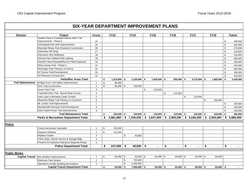| <b>Division</b>          | Project                                         | Priority                | <b>FY13</b>        |    | <b>FY14</b>                                         | <b>FY15</b>   |      | <b>FY16</b>  | <b>FY17</b>          |      | <b>FY18</b>  |    | <b>Future</b> |
|--------------------------|-------------------------------------------------|-------------------------|--------------------|----|-----------------------------------------------------|---------------|------|--------------|----------------------|------|--------------|----|---------------|
|                          | Savikko Park & Treadwell Historic Mine Trail    |                         |                    |    |                                                     |               |      |              |                      |      |              |    |               |
|                          | Improvements - Phase II                         | 24                      |                    |    |                                                     |               |      |              |                      |      |              | \$ | 330,000       |
|                          | Homestead Park ADA Improvements                 | 25                      |                    |    |                                                     |               |      |              |                      |      |              | \$ | 320,000       |
|                          | Riverside Rotary Park Restroom Construction     | 26                      |                    |    |                                                     |               |      |              |                      |      |              | \$ | 275,000       |
|                          | Arboretum Gift Shop                             | 27                      |                    |    |                                                     |               |      |              |                      |      |              | \$ | 110,000       |
|                          | Arboretum ADA Walkways                          | 28                      |                    |    |                                                     |               |      |              |                      |      |              | \$ | 220,000       |
|                          | Dimond Park Softball Field Lighting             | 29                      |                    |    |                                                     |               |      |              |                      |      |              | \$ | 600,000       |
|                          | Dzantik'i Heeni Baseball/Soccer Field Expansion | $30\,$                  |                    |    |                                                     |               |      |              |                      |      |              | \$ | 200,000       |
|                          | West Juneau Park - Phase II                     | 31                      |                    |    |                                                     |               |      |              |                      |      |              | \$ | 420,000       |
|                          | Renninger Park Parking Lot Paving               | 32                      |                    |    |                                                     |               |      |              |                      |      |              | \$ | 285,000       |
|                          | DZ Soccer Field Development                     | 33                      |                    |    |                                                     |               |      |              |                      |      |              | \$ | 500,000       |
|                          | <b>DZ Restroom Construction</b>                 | 34                      |                    |    |                                                     |               |      |              |                      |      |              | \$ | 425,000       |
|                          | <b>Parks/Rec Areas Total:</b>                   |                         | \$<br>1,216,800    | S. | $2,220,000$ \$                                      | 1,920,000     | - \$ | 855,000 \$   | 5,270,000            | - \$ | 1,900,000    | S. | 5,435,000     |
| <b>Trail Maintenance</b> | <b>Bridget Cove Trail Safety Improvements</b>   | $\overline{\mathbf{1}}$ | \$<br>80,000       |    |                                                     |               |      |              |                      |      |              |    |               |
|                          | <b>OHV Trail Construction</b>                   | $\overline{2}$          | \$<br>85,000       | \$ | 100,000                                             |               |      |              |                      |      |              |    |               |
|                          | Horse Tram Trail                                | 3                       |                    |    |                                                     | \$<br>125,000 |      |              |                      |      |              |    |               |
|                          | Treadwell Ditch Trail - Bonnie Brae Access      | $\overline{4}$          |                    |    |                                                     |               | \$   | 125,000      |                      |      |              |    |               |
|                          | Auke Lake to Montana Creek Corridor             | 5                       |                    |    |                                                     |               |      |              | \$<br>125,000        |      |              |    |               |
|                          | Blackerby Ridge Trail Parking Lot Construct.    | 6                       |                    |    |                                                     |               |      |              |                      | \$   | 150,000      |    |               |
|                          | Mt. Jumbo Trail Improvements                    | $\overline{7}$          |                    |    |                                                     |               |      |              |                      |      |              | \$ | 150,000       |
|                          | Mendenhall Peninsula Trail Development          | 8                       |                    |    |                                                     |               |      |              |                      |      |              | \$ | 150,000       |
|                          | Auke Cape/X'unaxi Trail Improvements            | 9                       |                    |    |                                                     |               |      |              |                      |      |              | \$ | 150,000       |
|                          | <b>Trail Maintenance Total:</b>                 |                         | \$<br>$165,000$ \$ |    | $100,000$ \$                                        | $125,000$ \$  |      | $125,000$ \$ | 125,000              | -\$  | $150,000$ \$ |    | 450,000       |
|                          | <b>Parks &amp; Recreation Department Total:</b> |                         | \$<br>2,881,800    |    | $$7,345,000$ $$3,647,000$ $$2,900,000$ $$6,045,000$ |               |      |              |                      |      | \$2,050,000  | \$ | 5,885,000     |
|                          |                                                 |                         |                    |    |                                                     |               |      |              |                      |      |              |    |               |
| <b>Police</b>            |                                                 |                         |                    |    |                                                     |               |      |              |                      |      |              |    |               |
|                          | <b>Crises Intervention Specialist</b>           | $\overline{1}$          | \$<br>125,000      |    |                                                     |               |      |              |                      |      |              |    |               |
|                          | Dispatch Software                               | $\overline{2}$          | \$<br>122,000      |    |                                                     |               |      |              |                      |      |              |    |               |
|                          | <b>Replace Carpet</b>                           | 3                       |                    | \$ | 40,000                                              |               |      |              |                      |      |              |    |               |
|                          | Police Dept. Vehicle Service & Storage Bldg     | $\overline{4}$          |                    |    |                                                     |               |      |              |                      |      |              |    |               |
|                          | Firearms & Explosive Ordinance Disposal Range   | 5                       |                    |    |                                                     |               |      |              |                      |      |              |    |               |
|                          | <b>Police Department Total:</b>                 |                         | \$<br>247,000      | \$ | $40,000$ \$                                         |               | \$   |              | \$<br>$\blacksquare$ | \$   | $\sim$       | \$ |               |
|                          |                                                 |                         |                    |    |                                                     |               |      |              |                      |      |              |    |               |
| <b>Public Works</b>      |                                                 |                         |                    |    |                                                     |               |      |              |                      |      |              |    |               |
|                          | Capital Transit   Bus Shelters Improvements     | $\overline{1}$          | \$<br>$50,000$ \$  |    | $50,000$ \$                                         | $50,000$ \$   |      | $50,000$ \$  | $50,000$ \$          |      | 50,000       |    |               |
|                          | Electronic Fare System                          | $\overline{2}$          |                    | \$ | 750,000                                             |               |      |              |                      |      |              |    |               |
|                          | Operations Facility Building Renovations        | 3                       |                    | \$ | 6,200,000                                           |               |      |              |                      |      |              |    |               |
|                          | <b>Capital Transit Department Total:</b>        |                         | \$<br>50,000       | \$ | $7,000,000$ \$                                      | $50,000$ \$   |      | $50.000$ \$  | $50,000$ \$          |      | $50,000$ \$  |    |               |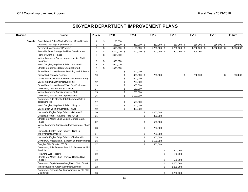| <b>Division</b> | Project                                                               | Priority       |                | <b>FY13</b>    | <b>FY14</b>        | <b>FY15</b>     |             | <b>FY16</b>    | <b>FY17</b>    | <b>FY18</b>    | <b>Future</b> |
|-----------------|-----------------------------------------------------------------------|----------------|----------------|----------------|--------------------|-----------------|-------------|----------------|----------------|----------------|---------------|
| <b>Streets</b>  | Consolidated Public Works Facility - Shop Security                    | $\mathbf 1$    | \$             | 30,000         |                    |                 |             |                |                |                |               |
|                 | Areawide Drainage Improvements                                        | $\sqrt{2}$     | $$\mathbb{S}$$ | 250,000 \$     | $250,000$ \$       | $250,000$ \$    |             | $250,000$ \$   | $250,000$ \$   | $250,000$ \$   | 250,000       |
|                 | Pavement Management Program                                           | 3              | $$\mathbb{S}$$ | $850,000$ \$   | $1,100,000$ \$     | $1,200,000$ \$  |             | $1,200,000$ \$ | $1,200,000$ \$ | $1,200,000$ \$ | 1,200,000     |
|                 | Areawide Snow Storage Facilities Development                          | $\overline{4}$ | $\mathfrak s$  | $3,200,000$ \$ | 400,000 \$         | $400,000$ \$    |             | $400,000$ \$   | 400,000        |                |               |
|                 | Pioneer Avenue - Phase II                                             | 5              | $$\mathbb{S}$$ | 1,300,000      |                    |                 |             |                |                |                |               |
|                 | Valley, Lakewood Subdv. Improvements - Ph II<br>(Meander)             | 6              | \$             | 600,000        |                    |                 |             |                |                |                |               |
|                 | North Douglas, Bayview Subdiv. - Horizon Dr.                          | $\overline{7}$ | $$\mathbb{S}$$ | 1,900,000      |                    |                 |             |                |                |                |               |
|                 | Street/Fleet Consolidation-Chemical Shed                              | 8              | \$             | 1,500,000      |                    |                 |             |                |                |                |               |
|                 | Street/Fleet Consolidation - Retaining Wall & Fence                   | 9              |                |                | \$<br>300,000      |                 |             |                |                |                |               |
|                 | Sidewalk & Stairway Repairs                                           | 10             |                |                | \$<br>$300,000$ \$ | 200,000         |             |                | \$<br>200,000  |                | \$<br>200,000 |
|                 | Valley, Meadow Ln Improvements (Stikine to End)                       | 11             |                |                | \$<br>600,000      |                 |             |                |                |                |               |
|                 | Valley, Columbia Blvd Improvements                                    | 12             |                |                | \$<br>200,000      |                 |             |                |                |                |               |
|                 | Street/Fleet Consolidation-Wash Bay Equipment                         | 13             |                |                | \$<br>950,000      |                 |             |                |                |                |               |
|                 | Downtown, Distin/W. 8th St (Design)                                   | 14             |                |                | \$<br>150,000      |                 |             |                |                |                |               |
|                 | Valley, Lakewood Subdiv Improvs, Ph III                               | 15             |                |                | \$<br>750,000      |                 |             |                |                |                |               |
|                 | Downtown, Whittier Ave. Improvements                                  | 16             |                |                | \$<br>1,100,000    |                 |             |                |                |                |               |
|                 | Downtown, Side Streets-3rd St between Gold &<br><b>Telephone Hill</b> | 17             |                |                | \$<br>500,000      |                 |             |                |                |                |               |
|                 | North Douglas, Bayview Subdiv. - Misty Ln                             | 18             |                |                | \$<br>400,000      |                 |             |                |                |                |               |
|                 | Valley, Birch Ln Improvements, Phase I                                | 19             |                |                | \$<br>800,000      |                 |             |                |                |                |               |
|                 | Lemon Ck, Eagles Edge Subdiv. - Brittany Pl.                          | 20             |                |                |                    | \$<br>1,000,000 |             |                |                |                |               |
|                 | Douglas, Front St - Savikko Rd to "D" St                              | 21             |                |                |                    | \$<br>300,000   |             |                |                |                |               |
|                 | Street/Fleet Maint. Shop-Vehicle Garage Bays,                         |                |                |                |                    |                 |             |                |                |                |               |
|                 | Phase I                                                               | 22             |                |                |                    | \$<br>500,000   |             |                |                |                |               |
|                 | Valley, Lakewood Subdivision Improvements, Phase                      |                |                |                |                    |                 |             |                |                |                |               |
|                 | IV                                                                    | 23             |                |                |                    | \$<br>750,000   |             |                |                |                |               |
|                 | Lemon Ck, Eagles Edge Subdiv. - Birch Ln                              |                |                |                |                    |                 |             |                |                |                |               |
|                 | Improvements, Phase II                                                | 24             |                |                |                    | \$<br>750,000   |             |                |                |                |               |
|                 | Lemon Ck, Eagles Edge Subdiv. - Chatham Dr                            | 25             |                |                |                    | \$<br>800,000   |             |                |                |                |               |
|                 | Downtown, West Ninth St & Indian St Improvements                      | 26             |                |                |                    | \$<br>1,100,000 |             |                |                |                |               |
|                 | Douglas Side Streets - "D" St                                         | 27             |                |                |                    | \$<br>500,000   |             |                |                |                |               |
|                 | Downtown, Side Streets - Fourth St Between Gold &<br>Franklin         | 28             |                |                |                    |                 | \$          | 500,000        |                |                |               |
|                 | <b>Retaining Wall Repairs</b>                                         | 29             |                |                |                    |                 | $\mathbb S$ | 100,000        |                |                |               |
|                 | Street/Fleet Maint. Shop - Vehicle Garage Bays -                      |                |                |                |                    |                 |             |                |                |                |               |
|                 | Phase II                                                              | 30             |                |                |                    |                 | \$          | 500,000        |                |                |               |
|                 | Downtown, Capital Ave-Willoughby to Ninth Street                      | 31             |                |                |                    |                 | \$          | 1,000,000      |                |                |               |
|                 | Mtnside Estates, Abbey Way Improvements                               | 32             |                |                |                    |                 | $\mathbb S$ | 1,000,000      |                |                |               |
|                 | Downtown, Calhoun Ave Improvements-W 8th St to<br><b>Gold Creek</b>   | 33             |                |                |                    |                 | \$          | 1,200,000      |                |                |               |
|                 |                                                                       |                |                |                |                    |                 |             |                |                |                |               |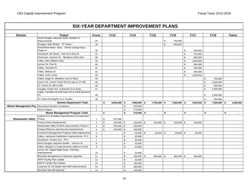┑

|                           | <b>SIX-YEAR DEPARTMENT IMPROVEMENT PLANS</b>       |                 |               |                |                    |                    |               |                |               |                |                      |               |
|---------------------------|----------------------------------------------------|-----------------|---------------|----------------|--------------------|--------------------|---------------|----------------|---------------|----------------|----------------------|---------------|
| <b>Division</b>           | Project                                            | <b>Priority</b> |               | <b>FY13</b>    | <b>FY14</b>        | <b>FY15</b>        |               | <b>FY16</b>    |               | <b>FY17</b>    | <b>FY18</b>          | <b>Future</b> |
|                           | North Douglas, Bayview Subd, Starlight Ct          |                 |               |                |                    |                    |               |                |               |                |                      |               |
|                           | Improvements                                       | 34              |               |                |                    |                    | \$            | 750,000        |               |                |                      |               |
|                           | Douglas, Side Streets - "E" Street                 | 35              |               |                |                    |                    | $\mathfrak s$ | 600,000        |               |                |                      |               |
|                           | Street/Fleet Maint. Shop - Vehicle Garage Bays -   |                 |               |                |                    |                    |               |                |               |                |                      |               |
|                           | Phase III                                          | 36              |               |                |                    |                    |               |                | \$            | 500,000        |                      |               |
|                           | Downtown, 6th Street - Park St to East St          | 37              |               |                |                    |                    |               |                | $\mathfrak s$ | 470,000        |                      |               |
|                           | Downtown, Jackson St. - Blueberry Hill to End      | 38              |               |                |                    |                    |               |                | \$            | 800,000        |                      |               |
|                           | Valley, Slim Williams Way                          | 39              |               |                |                    |                    |               |                | \$            | 1,000,000      |                      |               |
|                           | Lemon Ck, Pine St                                  | 40              |               |                |                    |                    |               |                | $\$$          | 900,000        |                      |               |
|                           | Valley, Cascade St                                 | 41              |               |                |                    |                    |               |                | \$            | 650,000        |                      |               |
|                           | Valley, Malissa Dr                                 | 42              |               |                |                    |                    |               |                | \$            | 250,000        |                      |               |
|                           | Valley, Arctic Circle                              | 43              |               |                |                    |                    |               |                | \$            | 1,000,000      |                      |               |
|                           | Valley, Eagle St. (Meadow Lane to Muir)            | 44              |               |                |                    |                    |               |                |               |                | \$<br>750,000        |               |
|                           | Lemon Ck, Lemon Creek Rd (Ch way to Ch Hill)       | 45              |               |                |                    |                    |               |                |               |                | \$<br>1,000,000      |               |
|                           | DT, Harris St. (4th to 5th)                        | 46              |               |                |                    |                    |               |                |               |                | \$<br>500,000        |               |
|                           | Douglas, Foster Ave. (Fairbanks St to End)         | 47              |               |                |                    |                    |               |                |               |                | \$<br>1,000,000      |               |
|                           | Valley, Yandukin Dr (Old Dairy Rd to Shell Simmons |                 |               |                |                    |                    |               |                |               |                |                      |               |
|                           | Dr)                                                | 48              |               |                |                    |                    |               |                |               |                | \$<br>2,300,000      |               |
|                           | DT, Basin Rd (Eighth St to Trestle)                | 49              |               |                |                    |                    |               |                |               |                | \$<br>550,000        |               |
|                           | <b>Streets Department Total:</b>                   |                 | \$            | $9,630,000$ \$ | $7,800,000$ \$     | 7,750,000 \$       |               | $7,500,000$ \$ |               | 7,620,000      | \$<br>$7,550,000$ \$ | 1,650,000     |
|                           | Waste Management Prg Recycling Drop-Box Containers | $\mathbf{1}$    |               |                | \$<br>100,000      |                    |               |                |               |                |                      |               |
|                           | <b>Wood Chipper</b>                                | $\overline{2}$  |               |                | \$<br>275,000      |                    |               |                |               |                |                      |               |
|                           | <b>Waste Management Program Total:</b>             |                 | \$            | $\blacksquare$ | \$<br>$375,000$ \$ | $\sim$             | $\mathbf{s}$  | $\sim$         | s.            | $\overline{a}$ | \$<br>$\sim$         | \$<br>$\sim$  |
|                           | Lawson Ck Lift Station Improvements (Construction  |                 |               |                |                    |                    |               |                |               |                |                      |               |
| <b>Wastewater Utility</b> | Phase)                                             | $\mathbf{1}$    | \$            | 575,000        |                    |                    |               |                |               |                |                      |               |
|                           | Pump & Motor Replacement                           | 2               | \$            | $100,000$ \$   | $100,000$ \$       | $100,000$ \$       |               | 100,000 \$     |               | 100,000        |                      |               |
|                           | Wastewater Utility SCADA Improvements, Phase II    | $\mathbf{3}$    | $\mathfrak s$ | $100,000$ \$   | 100,000            |                    |               |                |               |                |                      |               |
|                           | Energy Efficiency and Security Improvements        | $\overline{4}$  | \$            | 100,000 \$     | 100,000            |                    |               |                |               |                |                      |               |
|                           | Pavement Management Program-Utility Adjustments    | 5               |               |                | \$<br>$20,000$ \$  | $20,000$ \$        |               | $20,000$ \$    |               | 20,000         |                      |               |
|                           | Valley, Lakewood Subdivision Improvements, Ph II   | 6               |               |                | \$<br>30,000       |                    |               |                |               |                |                      |               |
|                           | Downtown, Pioneer Ave - Ph II                      | $\overline{7}$  |               |                | \$<br>20,000       |                    |               |                |               |                |                      |               |
|                           | North Douglas, Bayview Subdiv. - Horizon Dr.       | 8               |               |                | \$<br>20,000       |                    |               |                |               |                |                      |               |
|                           | Valley, Meadow Ln Improvements (Stikine to End)    | 9               |               |                | \$<br>20,000       |                    |               |                |               |                |                      |               |
|                           | Lemon Ck, Eagles Edge Subd., Gull Way              |                 |               |                |                    |                    |               |                |               |                |                      |               |
|                           | Improvements                                       | 10              |               |                | \$<br>20,000       |                    |               |                |               |                |                      |               |
|                           | Biosolids Management & Disposal Upgrades           | 11              |               |                | \$<br>$100,000$ \$ | 400,000 $\vert$ \$ |               | 400,000 \$     |               | 400,000        |                      |               |
|                           | <b>ABTP Facility Plan Update</b>                   | 12              |               |                | \$<br>20,000       |                    |               |                |               |                |                      |               |
|                           | <b>MWTP Facility Plan Update</b>                   | 13              |               |                | \$<br>100,000      |                    |               |                |               |                |                      |               |
|                           | Long Run Dr Lift Station Wet Well Improvements     | 14              |               |                | \$<br>300,000      |                    |               |                |               |                |                      |               |
|                           | <b>Biosolids Monofill Disposal</b>                 | 15              |               |                | \$<br>100,000      |                    |               |                |               |                |                      |               |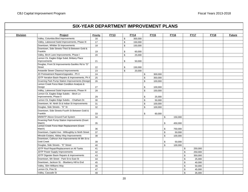| Valley, Columbia Blvd Improvements<br>\$<br>16<br>300,000<br>Valley, Lakewood Subd Improvements, Phase III<br>\$<br>17<br>150,000<br>Downtown, Whittier St Improvements<br>$\mathbb S$<br>18<br>150,000<br>Downtown, Side Streets-Third St Between Gold &<br>Franklin<br>\$<br>19<br>60,000 |  |
|---------------------------------------------------------------------------------------------------------------------------------------------------------------------------------------------------------------------------------------------------------------------------------------------|--|
|                                                                                                                                                                                                                                                                                             |  |
|                                                                                                                                                                                                                                                                                             |  |
|                                                                                                                                                                                                                                                                                             |  |
|                                                                                                                                                                                                                                                                                             |  |
|                                                                                                                                                                                                                                                                                             |  |
| Valley, Birch Lane Improvements, Phase I<br>$\mathbb S$<br>20<br>25,000                                                                                                                                                                                                                     |  |
| Lemon Ck, Eagles Edge Subd, Brittany Place                                                                                                                                                                                                                                                  |  |
| Improvements<br>\$<br>50,000<br>21                                                                                                                                                                                                                                                          |  |
| Douglas, Front St Improvements-Savikko Rd to "D"<br><b>Street</b><br>22<br>\$<br>150,000                                                                                                                                                                                                    |  |
| Areawide Sewer Cleanout Improvements<br>$\mathbb{S}$<br>23<br>20,000                                                                                                                                                                                                                        |  |
| JD Pretreatment Repairs/Upgrades - Ph II<br>24<br>300,000<br>\$                                                                                                                                                                                                                             |  |
| JDTP Aeration Basin Repairs & Improvements, Ph II<br>25<br>\$<br>350,000                                                                                                                                                                                                                    |  |
| Gruening Park Pump Station Improvements (Design)<br>26<br>\$<br>100,000                                                                                                                                                                                                                     |  |
| Lemon Creek Force Main Condition Analysis &                                                                                                                                                                                                                                                 |  |
| Design<br>27<br>\$<br>100,000                                                                                                                                                                                                                                                               |  |
| Valley, Lakewood Subd Improvements, Phase III<br>28<br>\$<br>150,000                                                                                                                                                                                                                        |  |
| Lemon Ck, Eagles Edge Subdiv. - Birch Ln                                                                                                                                                                                                                                                    |  |
| Improvements, Phase II<br>29<br>\$<br>25,000                                                                                                                                                                                                                                                |  |
| Lemon Ck, Eagles Edge Subdiv. - Chatham Dr.<br>\$<br>30<br>50,000                                                                                                                                                                                                                           |  |
| Downtown, W. Ninth St & Indian St Improvements<br>31<br>\$<br>100,000                                                                                                                                                                                                                       |  |
| Douglas, Side Streets - "D" St<br>32<br>\$<br>100,000                                                                                                                                                                                                                                       |  |
| Downtown, Side Streets-Fourth St Between Gold &                                                                                                                                                                                                                                             |  |
| Franklin<br>33<br>\$<br>60,000                                                                                                                                                                                                                                                              |  |
| MWWTP Above Ground Fuel System<br>\$<br>34<br>150,000                                                                                                                                                                                                                                       |  |
| Gruening Park Pump Station Improvements (Grant                                                                                                                                                                                                                                              |  |
| Match)<br>35<br>\$<br>450,000<br>Lemon Creek Force Main Replacement (Grant                                                                                                                                                                                                                  |  |
| Match)<br>36<br>\$<br>750,000                                                                                                                                                                                                                                                               |  |
| Downtown, Capitol Ave - Willoughby to Ninth Street<br>\$<br>37<br>50,000                                                                                                                                                                                                                    |  |
| Mtnside Estates, Abbey Way Improvements<br>\$<br>38<br>100,000                                                                                                                                                                                                                              |  |
| Downtown, Calhoun Ave Improvements-W 8th St to                                                                                                                                                                                                                                              |  |
| <b>Gold Creek</b><br>39<br>\$<br>50,000                                                                                                                                                                                                                                                     |  |
| Douglas, Side Streets - "E" Street<br>\$<br>40<br>100,000                                                                                                                                                                                                                                   |  |
| 41<br>JDTP Roof Repair/Replacement on All Tanks<br>\$<br>250,000                                                                                                                                                                                                                            |  |
| <b>JDTP Power Supply Improvements</b><br>42<br>$\$$<br>250,000                                                                                                                                                                                                                              |  |
| JDTP Digester Basin Repairs & Improvements<br>43<br>\$<br>350,000                                                                                                                                                                                                                           |  |
| Downtown, 6th Street - Park St to East St<br>44<br>$\$$<br>25,000                                                                                                                                                                                                                           |  |
| $\mathfrak s$<br>Downtown, Jackson St. - Blueberry Hill to End<br>45<br>40,000                                                                                                                                                                                                              |  |
| Valley, Slim Williams Way<br>\$<br>46<br>50,000                                                                                                                                                                                                                                             |  |
| Lemon Ck, Pine St<br>47<br>$\,$<br>45,000                                                                                                                                                                                                                                                   |  |
| Valley, Cascade St<br>\$<br>48<br>35,000                                                                                                                                                                                                                                                    |  |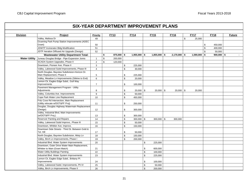| <b>Division</b>      |                                                           | <b>FY13</b><br><b>FY14</b><br><b>FY15</b><br>Project<br>Priority |    |              |    |                | <b>FY17</b><br><b>FY16</b> |                |                | <b>FY18</b>    | <b>Future</b>  |               |        |
|----------------------|-----------------------------------------------------------|------------------------------------------------------------------|----|--------------|----|----------------|----------------------------|----------------|----------------|----------------|----------------|---------------|--------|
|                      | Valley, Malissa Dr                                        | 49                                                               |    |              |    |                |                            |                |                | $$\mathbb{S}$$ | 25,000         |               |        |
|                      | Gruening Park Pump Station Improvements (ADEC             |                                                                  |    |              |    |                |                            |                |                |                |                |               |        |
|                      | Grant)                                                    | 50                                                               |    |              |    |                |                            |                |                |                |                | \$<br>450,000 |        |
|                      | JDWTP Incinerator Bldg Modification                       | 51                                                               |    |              |    |                |                            |                |                |                |                | \$<br>400,000 |        |
|                      | JDTP Aeration Diffused Air Upgrade (Design)               | 52                                                               |    |              |    |                |                            |                |                |                |                | \$<br>50,000  |        |
|                      | <b>Wastewater Utility Department Total:</b>               |                                                                  | \$ | $875,000$ \$ |    | $1,955,000$ \$ |                            | $1,855,000$ \$ | $2,170,000$ \$ |                | $1,590,000$ \$ | $900,000$ \$  | $\sim$ |
| <b>Water Utility</b> | Juneau Douglas Bridge - Pipe Expansion Joints             | $\overline{1}$                                                   | \$ | 200,000      |    |                |                            |                |                |                |                |               |        |
|                      | SCADA System Upgrades, Phase II                           | 2                                                                | \$ | 120,000      |    |                |                            |                |                |                |                |               |        |
|                      | Downtown, Pioneer Ave. Phase II                           | 3                                                                |    |              | \$ | 225,000        |                            |                |                |                |                |               |        |
|                      | Valley, Lakewood Subd Improvements, Phase III             | $\overline{4}$                                                   |    |              | \$ | 30,000         |                            |                |                |                |                |               |        |
|                      | North Douglas, Bayview Subdivision-Horizon Dr.            |                                                                  |    |              |    |                |                            |                |                |                |                |               |        |
|                      | Main Replacement, Phase II                                | $\sqrt{5}$                                                       |    |              | \$ | 225,000        |                            |                |                |                |                |               |        |
|                      | Valley, Meadow Ln Improvements (Stikine to End)           | 6                                                                |    |              | \$ | 20,000         |                            |                |                |                |                |               |        |
|                      | Lemon Ck, Eagles Edge Subd., Gull Way                     |                                                                  |    |              |    |                |                            |                |                |                |                |               |        |
|                      | Improvements                                              | $\overline{7}$                                                   |    |              | \$ | 100,000        |                            |                |                |                |                |               |        |
|                      | Pavement Management Program - Utility<br>Adjustments      | 8                                                                |    |              | \$ | $20,000$ \$    |                            | $20,000$ \$    | $20,000$ \$    |                | 20,000         |               |        |
|                      | Valley, Columbia Ave. Improvements                        | 9                                                                |    |              | \$ | 50,000         |                            |                |                |                |                |               |        |
|                      | Cope Park Water Line Replacement                          |                                                                  |    |              | \$ |                |                            |                |                |                |                |               |        |
|                      | Fritz Cove Rd Intersection, Main Replacement              | 10                                                               |    |              |    | 450,000        |                            |                |                |                |                |               |        |
|                      | (Utility relocate w/DOT&PF Proj)                          |                                                                  |    |              | \$ | 250,000        |                            |                |                |                |                |               |        |
|                      | Douglas, Douglas Highway Watermain Replacement            | 11                                                               |    |              |    |                |                            |                |                |                |                |               |        |
|                      | (Design)                                                  | 12                                                               |    |              | \$ | 300,000        |                            |                |                |                |                |               |        |
|                      | Valley, Industrial Blvd, Main Improvements                |                                                                  |    |              |    |                |                            |                |                |                |                |               |        |
|                      | (w/DOT&PF Proj.)                                          | 13                                                               |    |              | \$ | 300,000        |                            |                |                |                |                |               |        |
|                      | Reservoir Painting and Repairs                            | 14                                                               |    |              | \$ | $300,000$ \$   |                            | $300,000$ \$   | 300,000        |                |                |               |        |
|                      | Valley, Lakewood Subd Improvs., Phase III                 | 15                                                               |    |              | \$ | 50,000         |                            |                |                |                |                |               |        |
|                      | Downtown, Whittier Ave. Improvs.                          | 16                                                               |    |              | \$ | 150,000        |                            |                |                |                |                |               |        |
|                      | Downtown Side Streets - Third St. Between Gold &          |                                                                  |    |              |    |                |                            |                |                |                |                |               |        |
|                      | Tel. Hill                                                 | 17                                                               |    |              | \$ | 50,000         |                            |                |                |                |                |               |        |
|                      | North Douglas, Bayview Subdivision, Misty Ln              | 18                                                               |    |              | \$ | 150,000        |                            |                |                |                |                |               |        |
|                      | Valley, Birch Ln Improvements, Phase I                    | 19                                                               |    |              | \$ | 200,000        |                            |                |                |                |                |               |        |
|                      | Industrial Blvd. Water System Improvements                | 20                                                               |    |              |    |                | \$                         | 225,000        |                |                |                |               |        |
|                      | Downtown, Outer Drive Water Main Replacement,             |                                                                  |    |              |    |                |                            |                |                |                |                |               |        |
|                      | Whittier to Main (Grant Match)                            | 21                                                               |    |              |    |                | \$                         | 600,000        |                |                |                |               |        |
|                      | <b>Water Utility Buildings Painting</b>                   | 22                                                               |    |              |    |                | \$                         | 100,000        |                |                |                |               |        |
|                      | Industrial Blvd. Water System Improvements                | 23                                                               |    |              |    |                | $\mathbb S$                | 225,000        |                |                |                |               |        |
|                      | Lemon Ck, Eagles Edge Subd., Brittany Pl.<br>Improvements | 24                                                               |    |              |    |                | \$                         | 100,000        |                |                |                |               |        |
|                      | Valley, Lakewood Subd. Improvements, Ph IV                | 25                                                               |    |              |    |                | \$                         | 50,000         |                |                |                |               |        |
|                      | Valley, Birch Ln Improvements, Phase II                   |                                                                  |    |              |    |                | \$                         |                |                |                |                |               |        |
|                      |                                                           | 26                                                               |    |              |    |                |                            | 200,000        |                |                |                |               |        |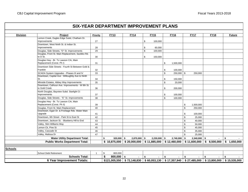| <b>Division</b> | Project                                                             | Priority             | <b>FY13</b>                 | <b>FY14</b>                                | <b>FY15</b>    |                | <b>FY16</b>    |              | <b>FY17</b>                               | <b>FY18</b> |             | <b>Future</b> |
|-----------------|---------------------------------------------------------------------|----------------------|-----------------------------|--------------------------------------------|----------------|----------------|----------------|--------------|-------------------------------------------|-------------|-------------|---------------|
|                 | Lemon Creek, Eagles Edge Subd, Chatham Dr.                          |                      |                             |                                            |                |                |                |              |                                           |             |             |               |
|                 | <b>Improvements</b>                                                 | 27                   |                             |                                            | \$<br>100,000  |                |                |              |                                           |             |             |               |
|                 | Downtown, West Ninth St. & Indian St.                               |                      |                             |                                            |                |                |                |              |                                           |             |             |               |
|                 | Improvements                                                        | 28                   |                             |                                            | \$<br>60,000   |                |                |              |                                           |             |             |               |
|                 | Douglas, Side Streets, "D" St. Improvements                         | 29                   |                             |                                            | \$<br>100,000  |                |                |              |                                           |             |             |               |
|                 | Douglas, Front St. Main Replacement, Savikko Rd.                    |                      |                             |                                            |                |                |                |              |                                           |             |             |               |
|                 | to D St.                                                            | 30                   |                             |                                            | \$<br>150,000  |                |                |              |                                           |             |             |               |
|                 | Douglas Hwy - Br. To Lawson Crk, Main<br>Replacement (Const. Ph I)  | 31                   |                             |                                            |                | \$             | 1,500,000      |              |                                           |             |             |               |
|                 | Downtown Side Streets - Fourth St Between Gold &                    |                      |                             |                                            |                |                |                |              |                                           |             |             |               |
|                 | Franklin                                                            | 32                   |                             |                                            |                | \$             | 100,000        |              |                                           |             |             |               |
|                 | SCADA System Upgrades - Phases III and IV                           | 33                   |                             |                                            |                | \$             | $250,000$ \$   |              | 250,000                                   |             |             |               |
|                 | Downtown, Capital Ave - Willoughby Ave to Ninth                     |                      |                             |                                            |                |                |                |              |                                           |             |             |               |
|                 | St.                                                                 | 34                   |                             |                                            |                | \$             | 150,000        |              |                                           |             |             |               |
|                 | Mtnside Estates, Abbey Way Improvements                             | 35                   |                             |                                            |                | \$             | 20,000         |              |                                           |             |             |               |
|                 | Downtown, Calhoun Ave. Improvements - W 8th St.<br>to Gold Creek    |                      |                             |                                            |                |                |                |              |                                           |             |             |               |
|                 |                                                                     | 36                   |                             |                                            |                | \$             | 200,000        |              |                                           |             |             |               |
|                 | North Douglas, Bayview Subd. Starlight Ct<br>Improvements           | 37                   |                             |                                            |                | \$             | 100,000        |              |                                           |             |             |               |
|                 | Douglas, Side Streets - "E" St. Improvements                        | 38                   |                             |                                            |                | $\mathfrak{L}$ | 100,000        |              |                                           |             |             |               |
|                 |                                                                     |                      |                             |                                            |                |                |                |              |                                           |             |             |               |
|                 | Douglas Hwy - Br. To Lawson Crk, Main<br>Replacement (Const. Ph II) | 39                   |                             |                                            |                |                |                | \$           | 1,500,000                                 |             |             |               |
|                 | Douglas, Front St. Main Replacement                                 | 40                   |                             |                                            |                |                |                | \$           | 250,000                                   |             |             |               |
|                 | Downtown, Egan Dr. & Frontage Rds. Water Main                       |                      |                             |                                            |                |                |                |              |                                           |             |             |               |
|                 | Upgrade                                                             | 41                   |                             |                                            |                |                |                | \$           | 100,000                                   |             |             |               |
|                 | Downtown, 6th Street - Park St to East St                           | 42                   |                             |                                            |                |                |                | \$           | 25,000                                    |             |             |               |
|                 | Downtown, Jackson St. - Blueberry Hill to End                       | 43                   |                             |                                            |                |                |                | \$           | 40,000                                    |             |             |               |
|                 | Valley, Slim Williams Way                                           | 44                   |                             |                                            |                |                |                | \$           | 50,000                                    |             |             |               |
|                 | Lemon Ck, Pine St                                                   | 45                   |                             |                                            |                |                |                | \$           | 45,000                                    |             |             |               |
|                 | Valley, Cascade St                                                  | 46                   |                             |                                            |                |                |                | \$           | 35,000                                    |             |             |               |
|                 | Valley, Malissa Dr                                                  | 47                   |                             |                                            |                |                |                | \$           | 25,000                                    |             |             |               |
|                 | <b>Water Utility Department Total:</b>                              |                      | $320,000$ \$<br>\$          | $2,870,000$ \$                             | $2,230,000$ \$ |                | $2,740,000$ \$ |              | $2,340,000$ \$                            |             | $\sim$      | \$            |
|                 | <b>Public Works Department Total:</b>                               | \$10,875,000         | $$20,000,000$ $$11,885,000$ |                                            |                | \$12,460,000   |                | \$11,600,000 | \$8,500,000                               |             | \$1,650,000 |               |
|                 |                                                                     |                      |                             |                                            |                |                |                |              |                                           |             |             |               |
| <b>Schools</b>  |                                                                     |                      |                             |                                            |                |                |                |              |                                           |             |             |               |
|                 | School Debt Retirement                                              | -1                   | \$<br>800,000               |                                            |                |                |                |              |                                           |             |             |               |
|                 | <b>Schools Total:</b>                                               | \$<br>$800,000$   \$ |                             | \$<br>$\sim$                               | s.             |                | s.             |              | s.                                        |             | \$          |               |
|                 | <b>6 Year Improvement Totals:</b>                                   |                      |                             | $$121,005,550$ $$72,148,830$ $$60,053,130$ |                |                |                |              | $$17,357,940$ $$27,485,000$ $$13,800,000$ |             |             | \$15,535,000  |
|                 |                                                                     |                      |                             |                                            |                |                |                |              |                                           |             |             |               |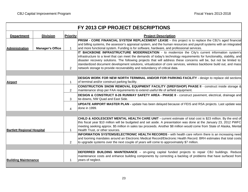|                                   |                         |                 | FY 2013 CIP PROJECT DESCRIPTIONS                                                                                                                                                                                                            |
|-----------------------------------|-------------------------|-----------------|---------------------------------------------------------------------------------------------------------------------------------------------------------------------------------------------------------------------------------------------|
| <b>Department</b>                 | <b>Division</b>         | <b>Priority</b> | <b>Project Description</b>                                                                                                                                                                                                                  |
|                                   |                         |                 | PRISM - CORE FINANCIAL SYSTEM REPLACEMENT LEASE - this project is to replace the CBJ's aged financial                                                                                                                                       |
|                                   |                         |                 | and billing systems, the assessor's appraisal system, and the human resources and payroll systems with an integrated                                                                                                                        |
| <b>Administration</b>             | <b>Manager's Office</b> | 1               | and more functional system. Funding is for software, hardware, and professional services.                                                                                                                                                   |
|                                   |                         |                 | IT BACKBONE INFRASTRUCTURE MODERNIZATION - to modernize the City's current information system's                                                                                                                                             |
|                                   |                         |                 | infrastructure to a level that can meet the demands of today's technology requirements for functionality, stability, and                                                                                                                    |
|                                   |                         |                 | disaster recovery solutions. The following projects that will address these concerns will be, but not be limited to:<br>standardized document development solutions, virtualization of core services, wireless backbone build out, and mass |
|                                   |                         | 2               | network storage to provide recoverability and redundancy of critical data.                                                                                                                                                                  |
|                                   |                         |                 |                                                                                                                                                                                                                                             |
|                                   |                         |                 |                                                                                                                                                                                                                                             |
|                                   |                         |                 | DESIGN WORK FOR NEW NORTH TERMINAL AND/OR FOR PARKING FACILITY - design to replace old sections<br>of terminal and/or construct parking facility.                                                                                           |
| Airport                           |                         | $\mathbf 1$     |                                                                                                                                                                                                                                             |
|                                   |                         | 2               | CONSTRUCTION SNOW REMOVAL EQUIPMENT FACILITY (SREF/SHOP) PHASE II - construct inside storage &<br>maintenance shop per FAA requirements to extend useful life of airfield equipment.                                                        |
|                                   |                         |                 |                                                                                                                                                                                                                                             |
|                                   |                         | 3               | DESIGN & CONSTRUCT 8-26 RUNWAY SAFETY AREA - PHASE II - construct pavement, electrical, drainage and<br>tie-downs, NW Quad and East Side.                                                                                                   |
|                                   |                         |                 | <b>UPDATE AIRPORT MASTER PLAN - update has been delayed because of FEIS and RSA projects. Last update was</b>                                                                                                                               |
|                                   |                         | $\overline{4}$  | done in 1999.                                                                                                                                                                                                                               |
|                                   |                         |                 |                                                                                                                                                                                                                                             |
|                                   |                         |                 |                                                                                                                                                                                                                                             |
|                                   |                         |                 | <b>CHILD &amp; ADOLESCENT MENTAL HEALTH CARE UNIT - current estimate of total cost is \$23 million. By the end of</b>                                                                                                                       |
|                                   |                         |                 | this fiscal year \$10 million will be budgeted and set aside. A presentation was done at the January 23, 2012 PWFC                                                                                                                          |
| <b>Bartlett Regional Hospital</b> |                         | $\mathbf{1}$    | meeting seeking approx. \$5 million in sales tax proceeds. Another \$8 million would come from State of Alaska, Mental<br>Health Trust, or other sources.                                                                                   |
|                                   |                         |                 | INFORMATION SYSTEMS/ELECTRONIC HEALTH RECORDS - with health care reform there is an increasing need                                                                                                                                         |
|                                   |                         |                 | and looming mandates around an Electronic Medical Record/Electronic Health Record. BRH estimates that total costs                                                                                                                           |
|                                   |                         | 2               | to upgrade systems over the next couple of years will come to approximately \$7 million.                                                                                                                                                    |
|                                   |                         |                 |                                                                                                                                                                                                                                             |
|                                   |                         |                 | <b>DEFERRED BUILDING MAINTENANCE</b> - on-going capital funded projects to repair CBJ buildings. Reduce                                                                                                                                     |
|                                   |                         |                 | maintenance costs and enhance building components by correcting a backlog of problems that have surfaced from                                                                                                                               |
| <b>Building Maintenance</b>       |                         | 1               | years of neglect.                                                                                                                                                                                                                           |
|                                   |                         |                 |                                                                                                                                                                                                                                             |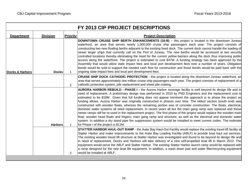|                            |                 |                 | FY 2013 CIP PROJECT DESCRIPTIONS                                                                                                                                                                                                                                                                                                                                                                                                                                                                                                                                                                                                                                                                                                                                                                                                                                                                                                                                                                                                                                                                                       |
|----------------------------|-----------------|-----------------|------------------------------------------------------------------------------------------------------------------------------------------------------------------------------------------------------------------------------------------------------------------------------------------------------------------------------------------------------------------------------------------------------------------------------------------------------------------------------------------------------------------------------------------------------------------------------------------------------------------------------------------------------------------------------------------------------------------------------------------------------------------------------------------------------------------------------------------------------------------------------------------------------------------------------------------------------------------------------------------------------------------------------------------------------------------------------------------------------------------------|
| <b>Department</b>          | <b>Division</b> | <b>Priority</b> | <b>Project Description</b>                                                                                                                                                                                                                                                                                                                                                                                                                                                                                                                                                                                                                                                                                                                                                                                                                                                                                                                                                                                                                                                                                             |
| <b>Docks &amp; Harbors</b> | <b>Docks</b>    | $\mathbf 1$     | <b>DOWNTOWN CRUISE SHIP BERTH ENHANCEMENTS (16-B)</b> – this project is located in the downtown Juneau<br>waterfront, an area that serves nearly 1,000,000 cruise ship passengers each year. The project consists of<br>constructing two new floating berths adjacent to the existing fixed dock. The current dock cannot handle the loading of<br>newer larger ships that currently call on the Port of Juneau. The new berths would be accessed at two security<br>controlled locations thereby eliminating the need for the current yellow barriers along the dock thus improving public<br>access along the waterfront. The project is estimated to cost \$47M. A funding strategy has been approved by the<br>Assembly that would utilize state impact fees and local port development fees over a number of years. Obligation<br>bonds would be sold to support the needed cash flow for construction and those bonds would be paid back with the<br>ongoing state impact fees and local port development fees.                                                                                                  |
|                            |                 | 2               | <b>CRUISE SHIP DOCK CATHODIC PROTECTION - this project is located along the downtown Juneau waterfront, an</b><br>area that serves approximately one million cruise ship passengers each year. The project consists of replacement of a<br>cathodic protection system, pile replacement and sheet pile coating.                                                                                                                                                                                                                                                                                                                                                                                                                                                                                                                                                                                                                                                                                                                                                                                                        |
|                            | <b>Harbors</b>  |                 | AURORA HARBOR REBUILD - PHASE I - the Aurora Harbor moorage facility is well beyond its design life and in<br>need of replacement. A preliminary design was performed in 2010 by PND Engineers and the replacement cost is<br>estimated to be \$18M. Given that full funding does not appear imminent the approach is to phase the project as<br>funding allows. Aurora Harbor was originally constructed in phases over time. The oldest section (south end) was<br>constructed with wooden floats, whereas the remaining portion was of concrete construction. The floats, electrical,<br>domestic water systems all need replacement. In recent years all but the main gang ramp was replaced and these<br>newer ramps will be re-used in the replacement project. The first phase of the project would replace the wooden main<br>float; wooden head floats and fingers; main gang ramp and structure; as well as the electrical and domestic water<br>system. In addition a dry stand pipe fire suppression system would be installed to meet current codes. The estimate<br>for Phase I of the project is \$11M. |
|                            |                 | 2               | STATTER HARBOR HAUL-OUT RAMP - the Auke Bay Haul-Out Facility would replace the existing travel lift facility at<br>Statter Harbor and make improvements to the Auke Bay Loading Facility (ABLF) to provide boat haul out services.<br>The existing wooden travel lift structure at Statter Harbor was investigated and found to be beyond its design life and<br>in need of replacement. Docks and Harbors will take delivery of a new self-propelled boat lift in March 2012. The<br>equipment would serve the ABLF and Statter Harbor. The existing Statter Harbor launch ramp would be replaced with<br>a ramp designed for the new boat life equipment. In addition, a wash down pad and water filter/recycling equipment<br>would be installed at ABLF.                                                                                                                                                                                                                                                                                                                                                          |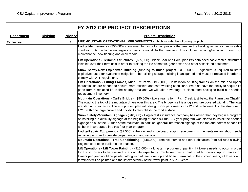|                   |                 |                 | FY 2013 CIP PROJECT DESCRIPTIONS                                                                                                                                                                                                                                                                                                                                                                                                                                      |
|-------------------|-----------------|-----------------|-----------------------------------------------------------------------------------------------------------------------------------------------------------------------------------------------------------------------------------------------------------------------------------------------------------------------------------------------------------------------------------------------------------------------------------------------------------------------|
| <b>Department</b> | <b>Division</b> | <b>Priority</b> | <b>Project Description</b>                                                                                                                                                                                                                                                                                                                                                                                                                                            |
| <b>Eaglecrest</b> |                 | $\mathbf{1}$    | LIFT/MOUNTAIN OPERATIONAL IMPROVEMENTS - which include the following projects:                                                                                                                                                                                                                                                                                                                                                                                        |
|                   |                 |                 | Lodge Maintenance - (\$50,000) - continued funding of small projects that ensure the building remains in serviceable<br>condition until the lodge undergoes a major remodel. In the near term this includes repairing/replacing doors, roof<br>maintenance, new flooring and deck repair.                                                                                                                                                                             |
|                   |                 |                 | Lift Operations - Terminal Structures - (\$25,000) - Black Bear and Porcupine lifts both need basic roofed structures<br>installed over their terminals in order to prolong the life of motors, gear boxes and other associated equipment.                                                                                                                                                                                                                            |
|                   |                 |                 | Snow Safety-New Explosives Building (funding to finish project - (\$10,000) - Eaglecrest is required to store<br>explosives used for avalanche mitigation. The existing storage building is antiquated and must be replaced in order to<br>comply with ATF regulations.                                                                                                                                                                                               |
|                   |                 |                 | Lift Operations - Lifting Frames, Misc Lift Parts - (\$35,000) - installation of lifting frames on the mid and upper<br>mountain lifts are needed to ensure more efficient and safe working conditions. We also have the ability to acquire lift<br>parts from a replaced lift in the nearby area and we will take advantage of discounted pricing to build our needed<br>replacement inventory.                                                                      |
|                   |                 |                 | Mountain Operations - Carl's Bridge - (\$80,000) - two streams form Fish Creek just below the Ptarmigan Chairlift.<br>The road to the top of the mountain drives over this area. The bridge itself is a log structure covered with dirt. The logs<br>are starting to rot away. This is a phased plan with design work performed in FY12 and replacement of the structure in<br>FY13 with one large culvert and backfill to reestablish the road surface.              |
|                   |                 |                 | Snow Safety-Mountain Signage - (\$10,000) - Eaglecrest's insurance company has asked that they begin a program<br>of installing run difficulty signage at the beginning of each ski run. A 4 year program was started to install the needed<br>signage on all of the 35 runs at the mountain. In addition, general information signage at the top and bottom of each lift<br>as been incorporated into this four year program.                                        |
|                   |                 |                 | Lodge-Repair Equipment - (\$7,500) - the ski and snowboard edging equipment in the rental/repair shop needs<br>replacing in order to provide proper function and service.                                                                                                                                                                                                                                                                                             |
|                   |                 |                 | Mountain Operations - Trail Conditioning - (\$15,000) - remove stumps and other obstacles from ski runs allowing<br>Eaglecrest to open earlier in the season.                                                                                                                                                                                                                                                                                                         |
|                   |                 |                 | Lift Operations - Lift Tower Painting - (\$15,000) - a long term program of painting lift towers needs to occur in order<br>for the lift towers to be assured of a long life expectancy. Eaglecrest has a total of 94 lift towers. Approximately 30<br>towers per year would be painted along with at least one top and bottom terminal. In the coming years, all towers and<br>terminals will be painted and the lift expectancy of the tower paint is 5 to 7 years. |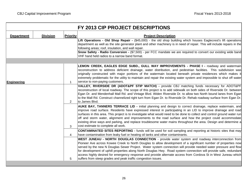|                   |                 |                 | FY 2013 CIP PROJECT DESCRIPTIONS                                                                                                                                                                                                                                                                                                                                                                                                                                                                                                                                                                                                           |
|-------------------|-----------------|-----------------|--------------------------------------------------------------------------------------------------------------------------------------------------------------------------------------------------------------------------------------------------------------------------------------------------------------------------------------------------------------------------------------------------------------------------------------------------------------------------------------------------------------------------------------------------------------------------------------------------------------------------------------------|
| <b>Department</b> | <b>Division</b> | <b>Priority</b> | <b>Project Description</b>                                                                                                                                                                                                                                                                                                                                                                                                                                                                                                                                                                                                                 |
|                   |                 |                 | Lift Operations - Old Shop Repair - (\$45,000) - the old shop building which houses Eaglecrest's lift operations<br>department as well as the site generator plant and other machinery is in need of repair. This will include repairs in the<br>following areas; roof, insulation, and wall repair.<br>Snow Safety - Radio Conversion - (\$7,500) - per FCC mandate we are required to convert our existing wide band<br>VHF hand held radios to a narrow band format.                                                                                                                                                                    |
|                   |                 |                 |                                                                                                                                                                                                                                                                                                                                                                                                                                                                                                                                                                                                                                            |
| Engineering       |                 | $\mathbf{1}$    | LEMON CREEK, EAGLES EDGE SUBD., GULL WAY IMPROVEMENTS - PHASE I - roadway and watermain<br>reconstruction to address deficient drainage, water distribution, and pedestrian facilities. This subdivision was<br>originally constructed with major portions of the watermain located beneath private residences which makes it<br>extremely problematic for the utility to maintain and repair the existing water system and impossible to shut off water<br>service to non-paying customers.                                                                                                                                               |
|                   |                 | $\overline{2}$  | VALLEY, RIVERSIDE DR (ADOT&PF STIP MATCH) - provide CBJ matching funds necessary for ADOT&PF<br>reconstruction of local roadway. The scope of this project is to add sidewalk on both sides of Riverside Dr. between<br>Egan Dr. and Mendenhall Mall Rd. and Vintage Blvd. Widen Riverside Dr. to allow two North bound lanes from Egan<br>to the Mall Rd. Construct channelized right turn from Egan Dr. to Riverside Dr. Rehab roadway surface from Egan Dr.<br>to James Blvd.                                                                                                                                                           |
|                   |                 | 3               | AUKE BAY, TANNERS TERRACE LID - initial planning and design to correct drainage, replace watermain, and<br>improve road surface. Residents have expressed interest in participating in an LID to improve drainage and road<br>surfaces in this area. This project is to investigate what would need to be done to collect and control ground water run<br>off and storm water, alignment and improvements to the road surface and how the project could accommodate<br>existing drive ways and parking, and replace troublesome water mains throughout the area. Design and determine a<br>cost estimate to complete all work.             |
|                   |                 | 4               | <b>CONTAMINATED SITES REPORTING -</b> funds will be used for soil sampling and reporting at historic sites that may<br>have contamination from leaky fuel or heating oil tanks and other contaminants.                                                                                                                                                                                                                                                                                                                                                                                                                                     |
|                   |                 | 5               | WEST JUNEAU - NORTH DOUGLAS CONNECTION - provide water system and roadway interconnection from<br>Pioneer Ave across Kowee Creek to North Douglas to allow development of a significant number of properties now<br>served by the new N Douglas Sewer Project. Water system connection will provide needed water pressure and flow<br>for development of uphill properties along North Douglas Hwy. Road system connection will provide safe, redundant<br>access highly desired for emergency response and provide alternate access from Cordova St in West Juneau which<br>suffers from steep grades and peak traffic congestion issues. |
|                   |                 |                 |                                                                                                                                                                                                                                                                                                                                                                                                                                                                                                                                                                                                                                            |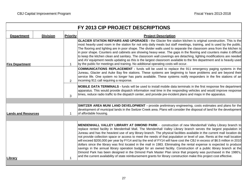|                            |                 |                 | FY 2013 CIP PROJECT DESCRIPTIONS                                                                                                                                                                                                                                                                                                                                                                                                                                                                                                                                                                                                                                                                                                                                                                                                                                                                                                                                                                                                                                                                      |
|----------------------------|-----------------|-----------------|-------------------------------------------------------------------------------------------------------------------------------------------------------------------------------------------------------------------------------------------------------------------------------------------------------------------------------------------------------------------------------------------------------------------------------------------------------------------------------------------------------------------------------------------------------------------------------------------------------------------------------------------------------------------------------------------------------------------------------------------------------------------------------------------------------------------------------------------------------------------------------------------------------------------------------------------------------------------------------------------------------------------------------------------------------------------------------------------------------|
| <b>Department</b>          | <b>Division</b> | <b>Priority</b> | <b>Project Description</b>                                                                                                                                                                                                                                                                                                                                                                                                                                                                                                                                                                                                                                                                                                                                                                                                                                                                                                                                                                                                                                                                            |
| <b>Fire Department</b>     |                 | $\mathbf 1$     | GLACIER STATION REPAIRS AND UPGRADES - the Glacier fire station kitchen is original construction. This is the<br>most heavily used room in the station for not only daily meals but staff meetings, training, and is used by the public.<br>The flooring and lighting are in poor shape. The divider walls used to separate the classroom area from the kitchen is<br>in poor shape. Counters and cabinets are showing heavy wear. The gaps in the flooring and counters make it difficult<br>to keep the kitchen clean and sanitary. The classroom wall coverings are detaching, lighting modifications are needed<br>and AV equipment needs updating as this is the largest classroom available to the fire department and is heavily used<br>by the public for meetings and training. No additional operating costs will occur.                                                                                                                                                                                                                                                                    |
|                            |                 | $\overline{2}$  | <b>COMMUNICATIONS REPLACEMENT - funds will be used to replace the 911 emergency paging systems in the</b><br>Juneau, Glacier and Auke Bay fire stations. These systems are beginning to have problems and are beyond their<br>service life. One system no longer has parts available. These systems notify responders in the fire stations of an<br>incoming 911 call requiring a response.                                                                                                                                                                                                                                                                                                                                                                                                                                                                                                                                                                                                                                                                                                           |
|                            |                 | 3               | MOBILE DATA TERMINALS - funds will be used to install mobile data terminals in the first response fire department<br>apparatus. This would provide dispatch information real time in the responding vehicles and would improve response<br>times, reduce radio traffic to the dispatch center, and provide pre-incident plans and maps in the apparatus.                                                                                                                                                                                                                                                                                                                                                                                                                                                                                                                                                                                                                                                                                                                                              |
|                            |                 |                 |                                                                                                                                                                                                                                                                                                                                                                                                                                                                                                                                                                                                                                                                                                                                                                                                                                                                                                                                                                                                                                                                                                       |
| <b>Lands and Resources</b> |                 | 1               | <b>SWITZER AREA MUNI LAND DEVELOPMENT</b> - provide preliminary engineering, costs estimates and plans for the<br>development of municipal lands in the Switzer Creek area. Plans will consider the disposal of land for the development<br>of affordable housing.                                                                                                                                                                                                                                                                                                                                                                                                                                                                                                                                                                                                                                                                                                                                                                                                                                    |
|                            |                 |                 |                                                                                                                                                                                                                                                                                                                                                                                                                                                                                                                                                                                                                                                                                                                                                                                                                                                                                                                                                                                                                                                                                                       |
| Library                    |                 | 1               | MENDENHALL VALLEY LIBRARY AT DIMOND PARK - construction of new Mendenhall Valley Library branch to<br>replace rented facility in Mendenhall Mall. The Mendenhall Valley Library branch serves the largest population in<br>Juneau and has the heaviest use of any library branch. The physical facilities available in the current mall location do<br>not provide collection space or access to meet the needs of that population or level of use. Rents at the mall location<br>will exceed \$200,000 per year by FY14 and by the end of FY14 will have cost the CBJ in excess of \$6.5 million in 2010<br>dollars since the library was first located in the mall in 1983. Eliminating the rental expense is expected to produce<br>savings in the annual library operation budget for an owned facility. Construction of a public library branch at the<br>Dimond Park has been designed in the Dimond Park Master Plan since that property was purchased in the 1980's,<br>and the current availability of state reimbursement grants for library construction make this project cost effective. |
|                            |                 |                 |                                                                                                                                                                                                                                                                                                                                                                                                                                                                                                                                                                                                                                                                                                                                                                                                                                                                                                                                                                                                                                                                                                       |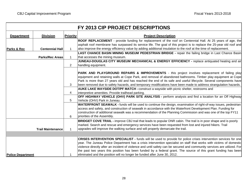|                          |                          |                 | FY 2013 CIP PROJECT DESCRIPTIONS                                                                                                                                                                                                                                                                                                                                                                                                                                                                                                                                         |
|--------------------------|--------------------------|-----------------|--------------------------------------------------------------------------------------------------------------------------------------------------------------------------------------------------------------------------------------------------------------------------------------------------------------------------------------------------------------------------------------------------------------------------------------------------------------------------------------------------------------------------------------------------------------------------|
| <b>Department</b>        | <b>Division</b>          | <b>Priority</b> | <b>Project Description</b>                                                                                                                                                                                                                                                                                                                                                                                                                                                                                                                                               |
| Parks & Rec              | <b>Centennial Hall</b>   | $\mathbf{1}$    | ROOF REPLACEMENT - provide funding for replacement of the roof on Centennial Hall. At 25 years of age, the<br>asphalt roof membrane has surpassed its service life. The goal of this project is to replace the 25-year old roof and<br>also improve the energy efficiency value by adding additional insulation to the roof at the time of replacement.                                                                                                                                                                                                                  |
|                          | <b>Parks/Rec Areas</b>   | $\mathbf{1}$    | LAST CHANCE BASIN MINING MUSEUM PEDESTRIAN BRIDGE - repair the failing bridge in Last Chance Basin<br>that accesses the mining museum.                                                                                                                                                                                                                                                                                                                                                                                                                                   |
|                          |                          | 2               | JUNEAU-DOUGLAS CITY MUSEUM MECHANICAL & ENERGY EFFICIENCY - replace antiquated heating and air<br>handling equipment.                                                                                                                                                                                                                                                                                                                                                                                                                                                    |
|                          |                          |                 | PARK AND PLAYGROUND REPAIRS & IMPROVEMENTS - this project involves replacement of failing play<br>equipment and retaining walls at Cope Park, and removal of abandoned bathrooms. Timber play equipment at Cope<br>Park is more than 27 years old and has reached the end of its safe and useful lifecycle. Several components have                                                                                                                                                                                                                                      |
|                          |                          | 3               | been removed due to safety hazards, and temporary modifications have been made to address strangulation hazards.<br>AUKE LAKE WAYSIDE DOT/PF MATCH - construct a wayside with picnic shelter, restrooms and                                                                                                                                                                                                                                                                                                                                                              |
|                          |                          | 4               | interpretive amenities. Provide trailhead parking.                                                                                                                                                                                                                                                                                                                                                                                                                                                                                                                       |
|                          |                          | 5               | OFF HIGHWAY VEHICLE (OHV) PARK SITE ANALYSIS - perform analysis and find a location for an Off Highway<br>Vehicle (OHV) Park in Juneau.                                                                                                                                                                                                                                                                                                                                                                                                                                  |
|                          |                          | 6               | WATERFRONT SEAWALK - funds will be used to continue the design, examination of right-of-way issues, pedestrian<br>access and safety, and construction of seawalk in accordance with the Waterfront Development Plan. Funding for<br>construction of additional seawalk was a recommendation of the Planning Commission and was one of the top FY11<br>priorities of the Assembly.                                                                                                                                                                                        |
|                          | <b>Trail Maintenance</b> | $\mathbf{1}$    | <b>BRIDGET COVE TRAIL</b> - improve CBJ trail that leads to popular DNR cabin. The trail is in poor shape and is poorly<br>marked. Search and rescue and emergency services have been requested from lost and injured hikers. Trail<br>upgrades will improve the walking surface and will properly demarcate the trail.                                                                                                                                                                                                                                                  |
|                          |                          |                 |                                                                                                                                                                                                                                                                                                                                                                                                                                                                                                                                                                          |
| <b>Police Department</b> |                          |                 | <b>CRISES INTERVENTION SPECIALIST -</b> funds will be used to provide for police crises intervention services for one<br>year. The Juneau Police Department has a crisis intervention specialist on staff that works with victims of domestic<br>violence directly after an incident of violence and until safety can be secured and community services are utilized. For<br>the past two years this position has been funded by a federal grant. The source of this grant funding has been<br>eliminated and the position will no longer be funded after June 30, 2012. |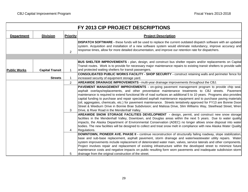|                     |                        |              | FY 2013 CIP PROJECT DESCRIPTIONS                                                                                                                                                                                                                                                                                                                                                                                                                                                                                                                                                                                                                                                                                                                |
|---------------------|------------------------|--------------|-------------------------------------------------------------------------------------------------------------------------------------------------------------------------------------------------------------------------------------------------------------------------------------------------------------------------------------------------------------------------------------------------------------------------------------------------------------------------------------------------------------------------------------------------------------------------------------------------------------------------------------------------------------------------------------------------------------------------------------------------|
| <b>Department</b>   | <b>Division</b>        | Priority     | <b>Project Description</b>                                                                                                                                                                                                                                                                                                                                                                                                                                                                                                                                                                                                                                                                                                                      |
|                     |                        | 2            | <b>DISPATCH SOFTWARE - these funds will be used to replace the current outdated dispatch software with an updated</b><br>system. Acquisition and installation of a new software system would eliminate redundancy, improve accuracy and<br>response times, allow for more detailed documentation, and improve our retention rate for dispatchers.                                                                                                                                                                                                                                                                                                                                                                                               |
|                     |                        |              |                                                                                                                                                                                                                                                                                                                                                                                                                                                                                                                                                                                                                                                                                                                                                 |
| <b>Public Works</b> | <b>Capital Transit</b> | $\mathbf 1$  | BUS SHELTER IMPROVEMENTS - plan, design, and construct bus shelter repairs and/or replacements on Capital<br>Transit routes. Work is to provide for necessary major maintenance repairs to existing transit shelters to provide safe<br>and protected waiting shelters for transit passengers.                                                                                                                                                                                                                                                                                                                                                                                                                                                  |
|                     | <b>Streets</b>         | $\mathbf{1}$ | <b>CONSOLIDATED PUBLIC WORKS FACILITY - SHOP SECURITY - construct retaining walls and perimeter fence for</b><br>increased security of equipment storage yard.                                                                                                                                                                                                                                                                                                                                                                                                                                                                                                                                                                                  |
|                     |                        | 2            | AREAWIDE DRAINAGE IMPROVEMENTS - multi-year drainage improvements throughout the CBJ.                                                                                                                                                                                                                                                                                                                                                                                                                                                                                                                                                                                                                                                           |
|                     |                        | 3            | PAVEMENT MANAGEMENT IMPROVEMENTS - on-going pavement management program to provide chip seal,<br>asphalt overlays/replacements, and other preventative maintenance treatments to CBJ streets. Pavement<br>maintenance is required to extend functional life of road surfaces an additional 5 to 10 years. Programs also provides<br>capital funding to purchase and repair specialized asphalt maintenance equipment and to purchase paving materials<br>(oil, aggregates, chemicals, etc.) for pavement maintenance. Streets tentatively approved for FY13 are Bonnie Doon<br>Street & Weeburn Drive in Bonnie Brae Subdivision; and Malissa Drive, Slim Williams Way, Steelhead Street, Wren<br>Drive, & River Road in the Mendenhall Valley. |
|                     |                        | 4            | AREAWIDE SNOW STORAGE FACILITIES DEVELOPMENT - design, permit, and construct new snow storage<br>facilities in the Mendenhall Valley, Downtown, and Douglas areas within the next 5 years. Due to water quality<br>impacts, the Alaska Department of Environmental Conservation (ADEC) no longer allows snow disposal into water<br>bodies. The new facilities will be designed to collect and treat snow melt in compliance with new Alaska Water Quality<br>Regulations.                                                                                                                                                                                                                                                                      |
|                     |                        | 5            | DOWNTOWN, PIONEER AVE. PHASE II - continue reconstruction of structurally failing roadway, slope stabilization,<br>base and sub-base replacement, asphalt pavement, storm drainage and water/wastewater utility repairs. Water<br>system improvements include replacement of deteriorated water main, valves, service laterals and other components.<br>Project involves repair and replacement of existing infrastructure within the developed street to minimize future<br>maintenance costs and negative impacts on public resulting form worn pavements and inadequate subdivision storm<br>drainage from the original construction of the street.                                                                                          |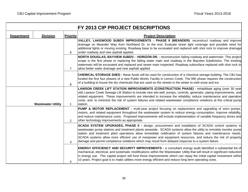|                   |                           |                 | FY 2013 CIP PROJECT DESCRIPTIONS                                                                                                                                                                                                                                                                                                                                                                                                                                                                                                                                     |
|-------------------|---------------------------|-----------------|----------------------------------------------------------------------------------------------------------------------------------------------------------------------------------------------------------------------------------------------------------------------------------------------------------------------------------------------------------------------------------------------------------------------------------------------------------------------------------------------------------------------------------------------------------------------|
| <b>Department</b> | <b>Division</b>           | <b>Priority</b> | <b>Project Description</b>                                                                                                                                                                                                                                                                                                                                                                                                                                                                                                                                           |
|                   |                           | 6               | VALLEY, LAKEWOOD SUBDV IMPROVEMENTS - PHASE II (MEANDER) reconstruct roadway and improve<br>drainage on Meander Way from Northland Dr. to the end. Evaluate street light coverage and possible need for<br>additional lights or moving existing. Roadway base to be excavated and replaced with shot rock to improve drainage<br>under roadway and new asphalt applied.                                                                                                                                                                                              |
|                   |                           | $\overline{7}$  | NORTH DOUGLAS, BAYVIEW SUBDV. - HORIZON DR. - reconstruction failing roadway and watermain. This project<br>scope is the first phase to replacing the failing water main and roadway in the Bayview Subdivision. The existing<br>watermain will be excavated and replaced and sewer main inspected. Roadway subsurface replaced with shot rock to<br>allow better water drainage and new asphalt applied.                                                                                                                                                            |
|                   |                           | 8               | <b>CHEMICAL STORAGE SHED - these funds will be used for construction of a chemical storage building. The CBJ has</b><br>funded the first four phases of a new Public Works Facility in Lemon Creek. The fifth phase requires the construction<br>of a building to house the dry chemicals that are used on the streets in the winter to melt snow and ice.                                                                                                                                                                                                           |
|                   | <b>Wastewater Utility</b> | $\mathbf{1}$    | LAWSON CREEK LIFT STATION IMPROVEMENTS (CONSTRUCTION PHASE) - rehabilitate aging (over 30 year<br>old) Lawson Creek Sewage Lift Station to include new wet well, pumps, controls, generator, piping improvements, and<br>related equipment. These improvements are intended to increase the reliability, reduce maintenance and operation<br>costs, and to minimize the risk of system failures and related wastewater compliance violations at this critical pump<br>station.                                                                                       |
|                   |                           | 2               | PUMP & MOTOR REPLACEMENT - multi-year project focusing on replacement and upgrading of worn pumps,<br>motors, and related equipment throughout the wastewater system to reduce energy consumption, improve reliability,<br>and reduce maintenance costs. Proposed improvements will include implementation of variable frequency drives and<br>other technology improvements as appropriate.                                                                                                                                                                         |
|                   |                           | 3               | <b>SCADA SYSTEM UPGRADES, PHASE II - design, procurement and installation of SCADA control systems in</b><br>wastewater pump stations and treatment plants areawide. SCADA systems allow the utility to remotely monitor pump<br>station and treatment plant operations allow immediate notification of system failures and maintenance needs.<br>SCADA systems allow more efficient use of manpower and equipment resources, and reduce the risk of property<br>damage and permit compliance violations which may result from delayed response to a system failure. |
|                   |                           | 4               | <b>ENERGY EFFICIENCY AND SECURITY IMPROVEMENTS - a consultant energy audit identified a substantial list of</b><br>mechanical, electrical, and systematic modifications within the Wastewater Utility that will result in significant reduction<br>in energy use. This capital project will fund those improvements which can repay the initial capital investment within<br>10 years. Project goal is to make utilities more energy efficient and reduce long term operating costs.                                                                                 |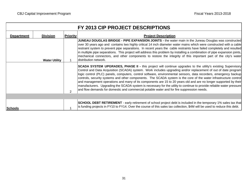|                   |                      |                 | FY 2013 CIP PROJECT DESCRIPTIONS                                                                                                                                                                                                                                                                                                                                                                                                                                                                                                                                                                                                                                                                                                                                                                                         |
|-------------------|----------------------|-----------------|--------------------------------------------------------------------------------------------------------------------------------------------------------------------------------------------------------------------------------------------------------------------------------------------------------------------------------------------------------------------------------------------------------------------------------------------------------------------------------------------------------------------------------------------------------------------------------------------------------------------------------------------------------------------------------------------------------------------------------------------------------------------------------------------------------------------------|
| <b>Department</b> | <b>Division</b>      | <b>Priority</b> | <b>Project Description</b>                                                                                                                                                                                                                                                                                                                                                                                                                                                                                                                                                                                                                                                                                                                                                                                               |
|                   | <b>Water Utility</b> |                 | JUNEAU DOUGLAS BRIDGE - PIPE EXPANSION JOINTS - the water main in the Juneau Douglas was constructed<br>over 30 years ago and contains two highly critical 14 inch diameter water mains which were constructed with a cable<br>restraint system to prevent pipe separations. In recent years the cable restraints have failed completely and resulted<br>in multiple pipe separations. This project will address this problem by installing a combination of pipe expansion joints,<br>mechanical connectors, and other components to restore the integrity of this important part of the city's water<br>distribution network.                                                                                                                                                                                          |
|                   |                      | $\overline{2}$  | <b>SCADA SYSTEM UPGRADES, PHASE II - this project will continue upgrades to the utility's existing Supervisory</b><br>Control and Data Acquisition (SCADA) system. Work includes upgrading and/or replacement of out of date program<br>logic control (PLC) panels, computers, control software, environmental sensors, data recorders, emergency backup<br>controls, security systems and other components. The SCADA system is the core of the water infrastructure control<br>and management operations and many of its components are 15 to 20 years old and are no longer supported by their<br>manufacturers. Upgrading the SCADA system is necessary for the utility to continue to provide reliable water pressure<br>and flow demands for domestic and commercial potable water and for fire suppression needs. |
|                   |                      |                 | <b>SCHOOL DEBT RETIREMENT</b> - early retirement of school project debt is included in the temporary 1% sales tax that                                                                                                                                                                                                                                                                                                                                                                                                                                                                                                                                                                                                                                                                                                   |
| <b>Schools</b>    |                      |                 | is funding projects in FY10 to FY14. Over the course of this sales tax collection, \$4M will be used to reduce this debt.                                                                                                                                                                                                                                                                                                                                                                                                                                                                                                                                                                                                                                                                                                |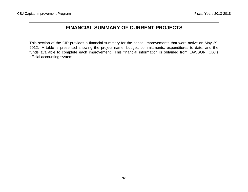## **FINANCIAL SUMMARY OF CURRENT PROJECTS**

This section of the CIP provides <sup>a</sup> financial summary for the capital improvements that were active on May 29, 2012. A table is presented showing the project name, budget, committments, expenditures to date, and the funds available to complete each improvement. This financial information is obtained from LAWSON, CBJ's official accounting system.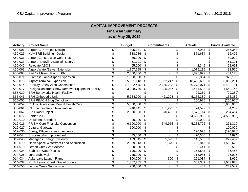| <b>CAPITAL IMPROVEMENT PROJECTS</b> |                                                  |                                      |                        |                           |                    |                           |                |                         |                        |  |  |  |
|-------------------------------------|--------------------------------------------------|--------------------------------------|------------------------|---------------------------|--------------------|---------------------------|----------------|-------------------------|------------------------|--|--|--|
| <b>Financial Summary</b>            |                                                  |                                      |                        |                           |                    |                           |                |                         |                        |  |  |  |
| as of May 29, 2012                  |                                                  |                                      |                        |                           |                    |                           |                |                         |                        |  |  |  |
|                                     |                                                  |                                      |                        |                           |                    |                           |                |                         |                        |  |  |  |
| <b>Activity</b>                     | <b>Project Name</b>                              |                                      | <b>Budget</b>          |                           | <b>Commitments</b> |                           | <b>Actuals</b> |                         | <b>Funds Available</b> |  |  |  |
| A50-001                             | Airport CIP Project Design                       | \$                                   | 305,331                | $\overline{\mathbf{e}}$   |                    | \$                        | 47,983         | \$                      | 257,348                |  |  |  |
| A50-026                             | New SRE Building - Design                        | \$                                   | 888,086                | $\overline{\mathbf{e}}$   |                    | \$                        | 871,684        | \$                      | 16,402                 |  |  |  |
| A50-031                             | <b>Airport Construction Cont. Res</b>            | $\overline{\mathcal{L}}$             | 80,000                 | \$                        | $\blacksquare$     | \$                        |                | \$                      | 80,000                 |  |  |  |
| A50-033                             | <b>Airport Revovling Capital Reserve</b>         | \$                                   | 51,101                 | \$                        | $\blacksquare$     | \$                        |                | \$                      | 51,101                 |  |  |  |
| A50-046                             | Relocate ASOS                                    | \$                                   | 65,000                 | $\boldsymbol{\mathsf{S}}$ | $\blacksquare$     | \$                        | 42,349         | \$                      | 22,651                 |  |  |  |
| A50-061                             | Airport Water/Sewer Extension                    | \$                                   | 1,107,695              | \$                        | $\sim$             | $\boldsymbol{\mathsf{S}}$ | 1,075,135      | \$                      | 32,560                 |  |  |  |
| A50-068                             | Part 121 Ramp Recon. Ph I                        | \$                                   | 2,300,000              | \$                        |                    | \$                        | 1,898,827      | \$                      | 401,173                |  |  |  |
| A50-071                             | <b>Purchase Land/Airport Expansion</b>           | \$                                   | 1,000,000              | \$                        |                    | \$                        | 20,834         | \$                      | 979,166                |  |  |  |
| A50-073                             | <b>Airport Terminal Expansion</b>                | \$                                   | 25,501,118             | \$                        | 1,002,247          | \$                        | 18,463,660     | \$                      | 6,035,211              |  |  |  |
| A50-074                             | Runway Safety Area Construction                  | \$                                   | 57,832,475             | \$                        | 2,155,223          | \$                        | 50,275,071     | \$                      | 5,402,181              |  |  |  |
| A50-077                             | Design/Construct Snow Removal Equipment Facility | \$                                   | 3,288,786              | \$                        | 305,047            | \$                        | 1,441,593      | \$                      | 1,542,145              |  |  |  |
| B55-030                             | <b>BRH Behaviorial Health Facility</b>           | \$                                   |                        | \$                        |                    | \$                        | 99,259         | \$                      | (99, 259)              |  |  |  |
| B55-046                             | <b>BRH Orthopedic Unit</b>                       | \$                                   | 5,734,000              | \$                        | 421,228            | \$                        | 5,156,389      | \$                      | 156,382                |  |  |  |
| B55-055                             | <b>BRH REACH Bldg Demolition</b>                 | \$                                   |                        | \$                        |                    | \$                        | 250,976        | \$                      | (250, 976)             |  |  |  |
| B55-059                             | Child & Adolescent Mental Health Care            | \$                                   | 5,000,000              | \$                        |                    | $\mathfrak{S}$            |                | \$                      | 5,000,000              |  |  |  |
| B55-061                             | <b>CT Scanner Room Renovations</b>               | \$                                   | 940,141                | \$                        | 181,292            | \$                        | 724,597        | \$                      | 34,252                 |  |  |  |
| B55-062                             | <b>BRH Roof Project</b>                          | \$                                   | 2,500,000              | \$                        | 670,432            | \$                        | 1,575,114      | \$                      | 254,454                |  |  |  |
| B55-072                             | Bartlett 2005                                    | \$                                   |                        | \$                        |                    | \$                        | 64,538,968     | \$                      | (64, 538, 968)         |  |  |  |
| D12-010                             | <b>Document Shredder</b>                         | $\overline{\boldsymbol{\mathsf{s}}}$ | 20,000                 | $\overline{\mathbf{S}}$   |                    | $\overline{\mathcal{S}}$  | 20,000         | \$                      |                        |  |  |  |
| D12-016                             | <b>PRISM Core Financial Conversion</b>           | $\overline{\mathbf{3}}$              | $\overline{6,}100,000$ | \$                        | 549,955            | \$                        | 5,288,726      | \$                      | 261,319                |  |  |  |
| D12-027                             | <b>Cultural Gateway</b>                          | \$                                   | 100,000                | \$                        |                    | \$                        |                | \$                      | 100,000                |  |  |  |
| D12-030                             | <b>Energy Efficiency Improvements</b>            | \$                                   |                        | \$                        | $\sim$             | \$                        | 190,678        | \$                      | (190, 678)             |  |  |  |
| D12-044                             | Sustainability Improvement                       | $\overline{\mathbf{e}}$              | 75,000                 | \$                        |                    | \$                        | 70,306         | \$                      | 4,694                  |  |  |  |
| D12-045                             | Manager's Energy Efficiency                      | $\overline{\mathbf{e}}$              | 429,645                | \$                        | 5,593              | \$                        | 146,585        | \$                      | 277,467                |  |  |  |
| D12-070                             | Open Space Waterfront Land Acquisition           | \$                                   | 2,359,813              | \$                        | 1,370              | \$                        | 795,815        | \$                      | 1,562,628              |  |  |  |
| D14-019                             | <b>Lemon Creek 2nd Access</b>                    | \$                                   | 300,000                | \$                        |                    | \$                        | 130,441        | \$                      | 169,559                |  |  |  |
| D14-024                             | <b>Stabler's Water/Scales</b>                    | $\overline{\mathbf{S}}$              | 190,000                | \$                        | $\blacksquare$     | $\overline{\mathbf{3}}$   | 153,543        | \$                      | 36,457                 |  |  |  |
| D14-026                             | Lena Subdivision                                 | $\overline{\mathbf{e}}$              | 745,000                | $\overline{\mathbf{s}}$   | $\sim$             | $\overline{\mathbf{s}}$   | 718,985        | $\sqrt[6]{\frac{1}{2}}$ | 26,015                 |  |  |  |
| D14-034                             | Auke Lake Launch Ramp                            | \$                                   | 300,000                | \$                        | 300                | \$                        | 291,034        | \$                      | 8,666                  |  |  |  |
| D14-037                             | North Lemon Creek Gravel Source                  | \$                                   | 1,387,265              | \$                        |                    | \$                        | 303,389        | \$                      | 1,083,876              |  |  |  |
| D14-050                             | Lemon Creek Subdivision                          | \$                                   | 250,000                | $\boldsymbol{\mathsf{S}}$ | $\sim$             | $\mathfrak{S}$            | 453            | $\sqrt[6]{\frac{1}{2}}$ | 249,547                |  |  |  |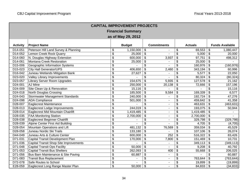| <b>CAPITAL IMPROVEMENT PROJECTS</b> |                                        |                                  |               |                                  |                    |                            |                |                              |                          |  |  |  |
|-------------------------------------|----------------------------------------|----------------------------------|---------------|----------------------------------|--------------------|----------------------------|----------------|------------------------------|--------------------------|--|--|--|
| <b>Financial Summary</b>            |                                        |                                  |               |                                  |                    |                            |                |                              |                          |  |  |  |
| as of May 29, 2012                  |                                        |                                  |               |                                  |                    |                            |                |                              |                          |  |  |  |
|                                     |                                        |                                  |               |                                  |                    |                            |                |                              |                          |  |  |  |
| <b>Activity</b>                     | <b>Project Name</b>                    |                                  | <b>Budget</b> |                                  | <b>Commitments</b> |                            | <b>Actuals</b> |                              | <b>Funds Available</b>   |  |  |  |
| D14-051                             | Peterson Hill Land Survey & Planning   | \$                               | 1,150,000     | $\boldsymbol{\theta}$            |                    | \$                         | 69,553         | \$                           | 1,080,447                |  |  |  |
| D14-052                             | Lemon Creek Rock Quarry                | \$                               | 25,000        | \$                               |                    | \$                         | 5,000          | $\sqrt[6]{\frac{1}{2}}$      | 20,000                   |  |  |  |
| D14-060                             | N. Douglas Highway Extension           | \$                               | 600,000       | \$                               | 3,937              | \$                         | 97,751         | $\boldsymbol{\mathsf{S}}$    | 498,312                  |  |  |  |
| D14-061                             | Montana Creek Restoration              | \$                               | 25,000        | \$                               |                    | \$                         | 25,000         | $\boldsymbol{\mathsf{S}}$    |                          |  |  |  |
| D15-006                             | Geographic Information Systems         | \$                               |               | \$                               |                    | \$                         | 160,976        | $\boldsymbol{\hat{\varphi}}$ | (160, 976)               |  |  |  |
| D15-023                             | <b>City Hall Generator/UPS</b>         | \$                               | 406,650       | \$                               | 2,460              | \$                         | 343,194        | \$                           | 60,996                   |  |  |  |
| D16-042                             | Juneau Wetlands Mitigation Bank        | \$                               | 27,627        | \$                               |                    | \$                         | 5,577          | \$                           | 22,050                   |  |  |  |
| D23-020                             | <b>Valley Library Improvements</b>     | \$                               |               | \$                               |                    | \$                         | 80,324         | \$                           | (80, 324)                |  |  |  |
| D23-057                             | Library Server Room Upgrades           | \$                               | 154,675       | \$                               | 5,935              | \$                         | 127,578        | $\boldsymbol{\hat{\varphi}}$ | 21,162                   |  |  |  |
| D24-001                             | AJ Mine                                | \$                               | 250,000       | \$                               | 20,138             | \$                         | 72,666         | \$                           | 157,196                  |  |  |  |
| D24-009                             | Site Clean Up & Renovation             | \$                               | 15,116        | \$                               |                    | \$                         |                | \$                           | 15,116                   |  |  |  |
| D24-018                             | <b>North Douglas Crossing</b>          | $\overline{\mathbf{S}}$          | 185,500       | $\overline{\boldsymbol{\theta}}$ | 9,584              | $\overline{\mathbf{e}}$    | 169,339        | \$                           | 6,577                    |  |  |  |
| D24-043                             | Stormwater Management Standards        | $\overline{\mathbf{S}}$          | 240,000       | $\overline{\boldsymbol{\theta}}$ |                    | \$                         | 192,724        | \$                           | 47,276                   |  |  |  |
| D24-098                             | <b>ADA</b> Compliance                  | $\overline{\mathbf{S}}$          | 501,000       | $\overline{\boldsymbol{\theta}}$ | $\blacksquare$     | $\overline{\mathbf{e}}$    | 459,642        | \$                           | 41,358                   |  |  |  |
| D <sub>28</sub> -007                | <b>Eaglecrest Maintenance</b>          | \$                               |               | $\overline{\mathbf{S}}$          | $\blacksquare$     | \$                         | 463,631        | \$                           | (463, 631)               |  |  |  |
| D <sub>28</sub> -013                | Eaglecrest Lodge Improvements          | $\overline{\mathbf{S}}$          | 244,019       | \$                               |                    | $\overline{\mathcal{G}}$   | 193,075        | \$                           | 50,944                   |  |  |  |
| D <sub>28</sub> -014                | Eaglecrest Mid Mountain Chairlift      | $\overline{\boldsymbol{\theta}}$ | 1,419,485     | \$                               |                    | $\overline{\mathcal{S}}$   | 1,419,485      | \$                           | $\sim$                   |  |  |  |
| D <sub>28</sub> -035                | <b>FAA Monitoring Station</b>          | $\overline{\boldsymbol{\theta}}$ | 2,700,000     | \$                               | $\sim$             | $\overline{\mathcal{G}}$   | 2,700,000      | \$                           | $\overline{\phantom{a}}$ |  |  |  |
| D28-038                             | <b>Eaglecrest Beginner Chairlift</b>   | \$                               |               | \$                               | $\blacksquare$     | \$                         | 329,798        | \$                           | (329, 798)               |  |  |  |
| D28-039                             | Alpine Center First Aid Building       | \$                               |               | \$                               |                    | \$                         | 4,705          | $\boldsymbol{\mathsf{S}}$    | (4,705)                  |  |  |  |
| D <sub>28</sub> -054                | Mountain Operations and Lift           | $\overline{\boldsymbol{\theta}}$ | 481,132       | \$                               | 76,569             | \$                         | 359,034        | $\frac{1}{2}$                | 45,529                   |  |  |  |
| D28-058                             | Juneau Nordic Ski Trails               | \$                               | 133,180       | $\boldsymbol{\mathsf{S}}$        |                    | \$                         | 107,106        | $\boldsymbol{\mathsf{S}}$    | 26,074                   |  |  |  |
| D44-049                             | Juneau Arts & Culture Center           | \$                               | 600,000       | $\boldsymbol{\mathsf{S}}$        | 252                | \$                         | 516,322        | $\boldsymbol{\mathsf{S}}$    | 83,426                   |  |  |  |
| D71-031                             | Capital Transit Development Plan       | \$                               | 170,000       | \$                               | 7,800              | $\boldsymbol{\mathsf{\$}}$ | 151,469        | \$                           | 10,731                   |  |  |  |
| D71-036                             | Capital Transit Shop Site Improvements | \$                               |               | \$                               |                    | \$                         | 349,113        | $\boldsymbol{\mathsf{S}}$    | (349, 113)               |  |  |  |
| D71-048                             | <b>Capital Transit Ops Facility</b>    | $\overline{\mathcal{S}}$         | 50,000        | \$                               |                    | \$                         | 9,208          | $\sqrt[6]{3}$                | 40,792                   |  |  |  |
| D71-053                             | <b>Capital Transit Bus Shelters</b>    | $\overline{\mathcal{S}}$         | 262,093       | \$                               | 400                | \$                         | 55,668         | $\boldsymbol{\mathsf{S}}$    | 206,025                  |  |  |  |
| D71-056                             | Bus Barn Maintenance & Site Paving     | $\overline{\mathcal{S}}$         | 60,887        | \$                               | $\sim$             | \$                         |                | \$                           | 60,887                   |  |  |  |
| D71-083                             | <b>Transit Bus Replacement</b>         | \$                               | L.            | \$                               | $\blacksquare$     | \$                         | 763,644        | $\boldsymbol{\mathsf{S}}$    | (763, 644)               |  |  |  |
| D72-078                             | Safe Routes to School                  | \$                               |               | \$                               | $\sim$             | \$                         | 19,899         | $\boldsymbol{\mathsf{S}}$    | (19, 899)                |  |  |  |
| E28-059                             | Eaglecrest Long Range Master Plan      | $\overline{\mathbf{S}}$          | 50,000        | \$                               | $\sim$             | \$                         | 84,833         | $\sqrt[6]{\frac{1}{2}}$      | (34, 833)                |  |  |  |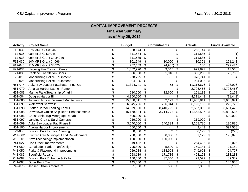| <b>CAPITAL IMPROVEMENT PROJECTS</b> |                                         |                                      |               |                                  |                    |                           |                |                              |                        |  |  |  |
|-------------------------------------|-----------------------------------------|--------------------------------------|---------------|----------------------------------|--------------------|---------------------------|----------------|------------------------------|------------------------|--|--|--|
| <b>Financial Summary</b>            |                                         |                                      |               |                                  |                    |                           |                |                              |                        |  |  |  |
| as of May 29, 2012                  |                                         |                                      |               |                                  |                    |                           |                |                              |                        |  |  |  |
|                                     |                                         |                                      |               |                                  |                    |                           |                |                              |                        |  |  |  |
| <b>Activity</b>                     | <b>Project Name</b>                     |                                      | <b>Budget</b> |                                  | <b>Commitments</b> |                           | <b>Actuals</b> |                              | <b>Funds Available</b> |  |  |  |
| F12-032                             | 07MMRS GR34044                          | \$                                   | 258,144       | $\overline{\boldsymbol{\theta}}$ |                    | $\boldsymbol{\theta}$     | 258,144        | \$                           |                        |  |  |  |
| F12-036                             | 08MMRS GR34045                          | \$                                   | 311,584       | \$                               | ۰                  | \$                        | 311,585        | $\pmb{\$}$                   | (1)                    |  |  |  |
| F12-038                             | 09MMRS Grant GF34046                    | \$                                   | 311,585       | \$                               |                    | \$                        | 311,585        | \$                           |                        |  |  |  |
| F12-039                             | 10MMRS Grant 34066                      | \$                                   | 301,549       | \$                               | 10,000             | $\boldsymbol{\theta}$     | 30,301         | \$                           | 261,248                |  |  |  |
| F12-040                             | 11MMRS Grant 34076                      | \$                                   | 267,609       | \$                               | (24, 965)          | $\boldsymbol{\mathsf{S}}$ | 100            | \$                           | 292,474                |  |  |  |
| F21-034                             | <b>Hagevig Fire Training Center</b>     | \$                                   | 1,002,990     | \$                               | 9,545              | $\boldsymbol{\theta}$     | 979,877        | \$                           | 13,568                 |  |  |  |
| F21-035                             | <b>Replace Fire Station Doors</b>       | \$                                   | 336,000       | \$                               | 1,040              | $\boldsymbol{\theta}$     | 306,200        | \$                           | 28,760                 |  |  |  |
| F22-018                             | <b>Modernizing Police Equipment</b>     | \$                                   | 978,795       | \$                               |                    | $\boldsymbol{\theta}$     | 978,741        | \$                           | 54                     |  |  |  |
| F22-025                             | Modernizing Police Equipment II         | \$                                   | 904,085       | \$                               |                    | \$                        | 904,085        | \$                           |                        |  |  |  |
| H51-074                             | Auke Bay Loader Fac/Statter Elec. Up    | \$                                   | 11,324,741    | \$                               | 58                 | $\boldsymbol{\theta}$     | 11,216,676     | \$                           | 108,006                |  |  |  |
| H51-079                             | Amalga Harbor Launch Ramp               | \$                                   |               | \$                               |                    | $\boldsymbol{\mathsf{S}}$ | 2,796,466      | \$                           | (2,796,466)            |  |  |  |
| H51-083                             | Marine Park/Steamship Wharf II          | \$                                   | 210,000       | $\boldsymbol{\mathsf{S}}$        | 12,650             | $\boldsymbol{\mathsf{S}}$ | 151,188        | \$                           | 46,162                 |  |  |  |
| H51-084                             | Douglas Harbor III                      | $\overline{\boldsymbol{\theta}}$     | 4,300,000     | $\boldsymbol{\theta}$            |                    | \$                        | 4,311,443      | \$                           | (11, 443)              |  |  |  |
| H51-085                             | Juneau Harbors Deferred Maintenance     | $\overline{\boldsymbol{\theta}}$     | 15,688,011    | $\boldsymbol{\mathsf{S}}$        | 82,129             | $\boldsymbol{\mathsf{S}}$ | 11,937,811     | \$                           | 3,668,071              |  |  |  |
| H51-091                             | <b>Waterfront Seawalk</b>               | $\overline{\boldsymbol{\theta}}$     | 6,645,256     | $\boldsymbol{\mathsf{S}}$        | 226,344            | $\boldsymbol{\mathsf{S}}$ | 6,190,138      | \$                           | 228,773                |  |  |  |
| H51-093                             | <b>Statter Harbor Loading Fac/El</b>    | $\overline{\boldsymbol{\theta}}$     | 14,579,600    | $\boldsymbol{\mathsf{S}}$        | 8,410,722          | $\boldsymbol{\mathsf{S}}$ | 2,567,399      | \$                           | 3,601,479              |  |  |  |
| H51-095                             | Downtown Cruise Ship Berth Enhancements | $\overline{\boldsymbol{\theta}}$     | 46,168,834    | $\boldsymbol{\mathsf{\$}}$       | 3,714,772          | $\frac{1}{2}$             | 11,563,527     | $\overline{\mathcal{S}}$     | 30,890,535             |  |  |  |
| H51-096                             | Cruise Ship Tug Moorgage Rehab          | \$                                   | 500,000       | \$                               |                    | \$                        |                | \$                           | 500,000                |  |  |  |
| H51-097                             | Landing Craft & Survl Cameras           | $\frac{1}{2}$                        | 219,000       | $\sqrt[6]{3}$                    | $\overline{a}$     | \$                        | 219,000        | \$                           |                        |  |  |  |
| H51-099                             | Auke Bay Loader Fac Phase II            | $\overline{\boldsymbol{\theta}}$     | 3,640,000     | $\boldsymbol{\mathsf{S}}$        | 240,334            | $\boldsymbol{\mathsf{S}}$ | 3,268,786      | \$                           | 130,880                |  |  |  |
| H51-100                             | Aurora Harbor Improvements              | $\overline{\boldsymbol{\theta}}$     | 600,000       | $\boldsymbol{\mathsf{S}}$        |                    | \$                        | 2,443          | \$                           | 597,558                |  |  |  |
| L23-058                             | Dimond Park Library Planning            | $\boldsymbol{\mathsf{S}}$            | 50,000        | $\sqrt[6]{3}$                    | 82                 | $\boldsymbol{\mathsf{S}}$ | 50,192         | \$                           | (273)                  |  |  |  |
| M14-062                             | Switzer Area Municipal Land Development | \$                                   | 250,000       | \$                               | 50,000             | $\boldsymbol{\mathsf{S}}$ | 1,122          | \$                           | 198,878                |  |  |  |
| M15-001                             | New Technology Implementation           | $\boldsymbol{\mathsf{S}}$            | 100,000       | $\sqrt[6]{3}$                    | 100,000            | $\boldsymbol{\theta}$     |                | \$                           |                        |  |  |  |
| P41-027                             | <b>Fish Creek Improvements</b>          | $\boldsymbol{\mathsf{S}}$            | 319,432       | $\boldsymbol{\mathcal{F}}$       |                    | $\boldsymbol{\mathsf{S}}$ | 264,406        | \$                           | 55,026                 |  |  |  |
| P41-050                             | Gunakadeit Park - Plan/Design           | $\overline{\boldsymbol{\mathsf{s}}}$ | 795,800       | $\sqrt[6]{3}$                    | 5,500              | $\boldsymbol{\mathsf{S}}$ | 769,141        | $\boldsymbol{\hat{\varphi}}$ | 21,159                 |  |  |  |
| P41-059                             | Parks & Playground Improvements         | $\overline{\boldsymbol{\mathsf{s}}}$ | 959,284       | $\boldsymbol{\mathsf{S}}$        | 184,904            | $\boldsymbol{\mathsf{S}}$ | 749,603        | $\boldsymbol{\mathsf{S}}$    | 24,777                 |  |  |  |
| P41-085                             | <b>Sportfield Repairs</b>               | \$                                   | 958,139       | \$                               | 171,785            | \$                        | 498,123        | \$                           | 288,231                |  |  |  |
| P41-087                             | Dimond Park Entrance & Paths            | \$                                   | 150,000       | $\sqrt[6]{3}$                    | 37,546             | \$                        | 23,072         | \$                           | 89,382                 |  |  |  |
| P41-088                             | <b>Outer Point Trail</b>                | \$                                   | 145,000       | \$                               |                    | \$                        |                | \$                           | 145,000                |  |  |  |
| P42-075                             | Jensen-Olson Arboretum                  | $\overline{\mathcal{S}}$             | $91,000$ \$   |                                  | 500                | $\boldsymbol{\mathsf{S}}$ | 87,335         | \$                           | 3,165                  |  |  |  |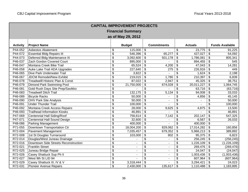| <b>CAPITAL IMPROVEMENT PROJECTS</b> |                                      |                                      |                |                           |                          |                           |                |                              |                        |  |  |  |
|-------------------------------------|--------------------------------------|--------------------------------------|----------------|---------------------------|--------------------------|---------------------------|----------------|------------------------------|------------------------|--|--|--|
| <b>Financial Summary</b>            |                                      |                                      |                |                           |                          |                           |                |                              |                        |  |  |  |
| as of May 29, 2012                  |                                      |                                      |                |                           |                          |                           |                |                              |                        |  |  |  |
|                                     |                                      |                                      |                |                           |                          |                           |                |                              |                        |  |  |  |
| <b>Activity</b>                     | <b>Project Name</b>                  |                                      | <b>Budget</b>  |                           | <b>Commitments</b>       |                           | <b>Actuals</b> |                              | <b>Funds Available</b> |  |  |  |
| P44-052                             | <b>Asbestos Abatement</b>            | \$                                   | 115,000        | \$                        |                          | $\boldsymbol{\theta}$     | 23,775         | \$                           | 91,225                 |  |  |  |
| P44-072                             | <b>Essential Bldg Repairs III</b>    | \$                                   | 546,396        | $\boldsymbol{\mathsf{S}}$ | 65,277                   | $\boldsymbol{\theta}$     | 427,027        | \$                           | 54,092                 |  |  |  |
| P44-073                             | Deferred Bldg Maintenance III        | \$                                   | 3,092,600      | \$                        | 501,178                  | $\boldsymbol{\theta}$     | 1,786,081      | \$                           | 805,341                |  |  |  |
| P46-037                             | Zach Gordon Covered Court            | \$                                   | 895,000        | \$                        |                          | \$                        | 894,455        | \$                           | 545                    |  |  |  |
| P46-047                             | Montana Creek Bike Trail             | \$                                   | 65,524         | \$                        | 4,200                    | $\boldsymbol{\mathsf{S}}$ | 47,043         | \$                           | 14,281                 |  |  |  |
| P46-058                             | Auke Lake Trail ADA Upgrades         | \$                                   | 227,640        | \$                        | 275                      | $\boldsymbol{\theta}$     | 226,916        | \$                           | 449                    |  |  |  |
| P46-065                             | Dive Park Underwater Trail           | \$                                   | 3,822          | \$                        |                          | \$                        | 1,624          | \$                           | 2,198                  |  |  |  |
| P46-067                             | <b>JDCM Remodel/New Exhibit</b>      | \$                                   | 219,015        | \$                        | 1,780                    | $\boldsymbol{\mathsf{S}}$ | 210,397        | \$                           | 6,839                  |  |  |  |
| P46-078                             | Treadwelll Historic Plan & Const     | \$                                   | 87,022         | \$                        | 2,947                    | $\boldsymbol{\mathsf{S}}$ | 45,325         | \$                           | 38,751                 |  |  |  |
| P46-079                             | Dimond Park Swimming Pool            | \$                                   | 21,750,000     | \$                        | 674,028                  | $\boldsymbol{\theta}$     | 20,011,227     | \$                           | 1,064,745              |  |  |  |
| P46-081                             | Gold Rush Days Site Prep/Savikko     | \$                                   |                | \$                        |                          | $\boldsymbol{\theta}$     | 63,716         | \$                           | (63, 716)              |  |  |  |
| P46-083                             | <b>Treadwell Ditch Trail</b>         | $\overline{\mathbf{e}}$              | 132,175        | $\overline{\mathbf{s}}$   | 5,134                    | $\boldsymbol{\mathsf{S}}$ | 94,008         | $\overline{\mathcal{E}}$     | 33,033                 |  |  |  |
| P46-089                             | <b>Bicycle Racks</b>                 | $\overline{\boldsymbol{\theta}}$     | 50,000         | $\boldsymbol{\mathsf{S}}$ |                          | \$                        | 4,856          | $\overline{\mathcal{E}}$     | 45,145                 |  |  |  |
| P46-090                             | <b>OHV Park Site Analysis</b>        | $\overline{\boldsymbol{\theta}}$     | 50,000         | $\overline{\mathbf{s}}$   | $\frac{1}{2}$            | $\overline{\mathbf{3}}$   |                | $\overline{\mathcal{S}}$     | 50,000                 |  |  |  |
| P46-091                             | <b>Under Thunder Trail</b>           | $\overline{\boldsymbol{\theta}}$     | 100,000        | $\boldsymbol{\theta}$     |                          | \$                        |                | \$                           | 100,000                |  |  |  |
| P46-092                             | Montana Creek Access Repairs         | $\overline{\boldsymbol{\theta}}$     | 28,000         | $\overline{\mathbf{3}}$   | 9,625                    | $\boldsymbol{\mathsf{S}}$ | 4,875          | \$                           | 13,500                 |  |  |  |
| P46-093                             | <b>Trailhead Information Kiosks</b>  | $\overline{\boldsymbol{\theta}}$     | 46,891         | $\overline{\mathcal{S}}$  |                          | $\overline{\mathbf{3}}$   |                | $\overline{\mathcal{S}}$     | 46,891                 |  |  |  |
| P47-069                             | <b>Centennial Hall Siding/Roof</b>   | $\overline{\boldsymbol{\theta}}$     | 756,614        | $\overline{\mathbf{3}}$   | 7,142                    | $\overline{\mathbf{3}}$   | 202,147        | $\overline{\mathcal{S}}$     | 547,325                |  |  |  |
| P47-071                             | Centennial Hall Sound Design         | \$                                   | 32,600         | $\boldsymbol{\mathsf{S}}$ |                          | \$                        | 6,567          | \$                           | 26,033                 |  |  |  |
| P48-086                             | <b>Parking Management</b>            | $\frac{1}{2}$                        | 400,000        | $\boldsymbol{\mathsf{S}}$ | $\blacksquare$           | \$                        | 400,000        | \$                           |                        |  |  |  |
| P71-055                             | Downtown Transportation Ctr          | $\overline{\boldsymbol{\theta}}$     | 18,004,200     | $\boldsymbol{\mathsf{S}}$ | 829,062                  | \$                        | 17,014,282     | \$                           | 160,856                |  |  |  |
| R72-004                             | Pavement Management                  | $\boldsymbol{\mathsf{S}}$            | 7,035,457      | \$                        | 679,352                  | $\boldsymbol{\theta}$     | 5,966,213      | \$                           | 389,892                |  |  |  |
| R72-008                             | 1st St Douglas Turnaround            | $\boldsymbol{\mathsf{S}}$            | 103,000        | \$                        | 802                      | $\boldsymbol{\theta}$     | 95,375         | $\boldsymbol{\hat{\varphi}}$ | 6,823                  |  |  |  |
| R72-014                             | Douglas/West Juneau Drainage         | \$                                   |                | \$                        | $\blacksquare$           | \$                        | 256,245        | \$                           | (256, 245)             |  |  |  |
| R72-016                             | Downtown Side Streets Reconstruction | $\boldsymbol{\mathsf{S}}$            | $\blacksquare$ | \$                        | $\blacksquare$           | \$                        | 1,226,109      | \$                           | (1,226,109)            |  |  |  |
| R72-021                             | <b>Franklin Street</b>               | $\overline{\boldsymbol{\mathsf{s}}}$ | ÷              | \$                        | $\overline{\phantom{0}}$ | \$                        | 269,476        | $\sqrt[6]{\frac{1}{2}}$      | (269, 476)             |  |  |  |
| R72-025                             | Juneau Bridge Repair                 | $\overline{\boldsymbol{\mathsf{s}}}$ | $\blacksquare$ | \$                        | ٠                        | $\boldsymbol{\mathsf{S}}$ | 24,047         | \$                           | (24, 047)              |  |  |  |
| R72-026                             | Casey Shattuck Sup Ph II             | $\overline{\mathcal{S}}$             | ٠              | \$                        | $\blacksquare$           | $\boldsymbol{\mathsf{S}}$ | 1,003,436      | \$                           | (1,003,436)            |  |  |  |
| R72-027                             | West 9th St LID 94                   | $\boldsymbol{\mathsf{S}}$            |                | \$                        | $\overline{a}$           | \$                        | 607,964        | \$                           | (607, 964)             |  |  |  |
| R72-029                             | Casey Shattuck III, IV & V           | $\boldsymbol{\mathsf{S}}$            | 3,318,444      | \$                        |                          | \$                        | 3,294,421      | \$                           | 24,023                 |  |  |  |
| R72-031                             | <b>Pioneer Avenue Repairs</b>        | \$                                   | 2,430,000      | $\boldsymbol{\mathsf{S}}$ | 135,617                  | \$                        | 1,110,488      | \$                           | 1,183,895              |  |  |  |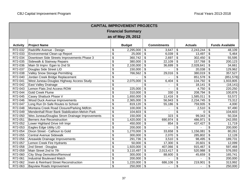| <b>CAPITAL IMPROVEMENT PROJECTS</b> |                                                 |                                  |               |                           |                    |                           |                |                           |                        |  |  |  |
|-------------------------------------|-------------------------------------------------|----------------------------------|---------------|---------------------------|--------------------|---------------------------|----------------|---------------------------|------------------------|--|--|--|
| <b>Financial Summary</b>            |                                                 |                                  |               |                           |                    |                           |                |                           |                        |  |  |  |
| as of May 29, 2012                  |                                                 |                                  |               |                           |                    |                           |                |                           |                        |  |  |  |
|                                     |                                                 |                                  |               |                           |                    |                           |                |                           |                        |  |  |  |
| <b>Activity</b>                     | <b>Project Name</b>                             |                                  | <b>Budget</b> |                           | <b>Commitments</b> |                           | <b>Actuals</b> |                           | <b>Funds Available</b> |  |  |  |
| R72-032                             | Radcliffe Avenue - Design                       | \$                               | 2,295,000     | \$                        | 3,647              | \$                        | 2,243,244      | \$                        | 48,109                 |  |  |  |
| R72-033                             | Environmental Clean-up Report                   | \$                               | 25,000        | \$                        | 6,039              | \$                        | 13,497         | $\boldsymbol{\mathsf{S}}$ | 5,464                  |  |  |  |
| R72-034                             | Downtown Side Streets Improvements Phase 3      | \$                               | 360,742       | \$                        | 2,697              | \$                        | 302,450        | \$                        | 55,595                 |  |  |  |
| R72-035                             | Sidewalk & Stairway Repairs                     | \$                               | 380,000       | \$                        | 22,109             | \$                        | 157,768        | \$                        | 200,123                |  |  |  |
| R72-036                             | Main St Imprv: Egan to 2nd St                   | \$                               | 2,100,000     | \$                        | 36,699             | \$                        | 2,028,641      | \$                        | 34,661                 |  |  |  |
| R72-037                             | Douglas Side Street LID                         | $\overline{\mathbf{S}}$          | 150,000       | \$                        |                    | \$                        | 20,038         | \$                        | 129,962                |  |  |  |
| R72-038                             | Valley Snow Storage Permitting                  | \$                               | 766,562       | \$                        | 29,016             | \$                        | 380,019        | $\sqrt[6]{\frac{1}{2}}$   | 357,527                |  |  |  |
| R72-040                             | Jordan Creek Bridge Replacement                 | \$                               |               | \$                        |                    | \$                        | 851,578        | \$                        | (851, 578)             |  |  |  |
| R72-041                             | West Juneau-Douglas Highway Access Study        | \$                               | 2,075,000     | \$                        | 6,404              | \$                        | 134,792        | \$                        | 1,933,805              |  |  |  |
| R72-042                             | East Valley Drainage                            | $\overline{\mathbf{S}}$          |               | \$                        |                    | \$                        | 18,141         | \$                        | (18, 141)              |  |  |  |
| R72-043                             | Lemon Flats 2nd Access ROW                      | \$                               | 225,000       | \$                        |                    | \$                        | 4,750          | \$                        | 220,250                |  |  |  |
| R72-044                             | Gold Creek Flume                                | \$                               | 310,000       | \$                        | 330                | \$                        | 208,794        | $\boldsymbol{\mathsf{S}}$ | 100,876                |  |  |  |
| R72-045                             | Casey Shattuck Phase V                          | \$                               | 1,650,000     | \$                        | 11,416             | \$                        | 1,585,011      | $\boldsymbol{\mathsf{S}}$ | 53,572                 |  |  |  |
| R72-046                             | <b>Wood Duck Avenue Improvements</b>            | $\overline{\boldsymbol{\theta}}$ | 2,365,000     | \$                        | 56,943             | \$                        | 2,234,745      | \$                        | 73,312                 |  |  |  |
| R72-047                             | Long Run Dr-Safe Routes to School               | \$                               | 819,120       | \$                        | 55,186             | \$                        | 759,935        | $\frac{1}{2}$             | 4,000                  |  |  |  |
| R72-048                             | Montana Creek Road Closure/Parking Mdfctn       | $\overline{\boldsymbol{\theta}}$ | 100,000       | \$                        |                    | \$                        | 2,510          | $\boldsymbol{\mathsf{S}}$ | 97,490                 |  |  |  |
| R72-049                             | Mendenhall River Bank Stabilization-Melvin Park | $\overline{\$}$                  | 104,603       | \$                        |                    | $\overline{\mathbf{e}}$   | 0              | \$                        | 104,603                |  |  |  |
| R72-050                             | Wes Juneau/Douglas Strom Drainage Improvements  | $\overline{\$}$                  | 150,000       | \$                        | $\overline{323}$   | $\overline{\mathcal{S}}$  | 99,343         | \$                        | 50,334                 |  |  |  |
| R72-051                             | <b>Berners Ave Reconstruction</b>               | $\overline{\$}$                  | 1,420,000     | $\boldsymbol{\mathsf{S}}$ | 690,974            | \$                        | 486,971        | \$                        | 242,055                |  |  |  |
| R72-052                             | Lower Highland Drive Infr Impr                  | $\overline{\boldsymbol{\theta}}$ | 450,000       | $\boldsymbol{\mathsf{S}}$ | 854                | \$                        | 437,427        | $\boldsymbol{\mathsf{S}}$ | 11,719                 |  |  |  |
| R72-053                             | Eagles Edge Utility LID                         | $\overline{\boldsymbol{\theta}}$ | 200,000       | $\boldsymbol{\mathsf{S}}$ |                    | $\overline{\mathcal{S}}$  |                | \$                        | 200,000                |  |  |  |
| R72-054                             | Dixon Street - Calhoun to Gold                  | \$                               | 1,270,000     | \$                        | 33,658             | \$                        | 1,156,081      | \$                        | 80,261                 |  |  |  |
| R72-055                             | <b>Central Avenue Sidewalk</b>                  | \$                               | 300,000       | \$                        | 2,070              | $\boldsymbol{\mathsf{S}}$ | 285,802        | \$                        | 12,128                 |  |  |  |
| R72-056                             | Areawide Drainage Improvements                  | \$                               | 291,736       | \$                        | 3,510              | \$                        | 98,495         | $\frac{1}{2}$             | 189,731                |  |  |  |
| R72-057                             | Lemon Creek Fire Hydrants                       | $\overline{\mathcal{S}}$         | 50,000        | \$                        | 17,300             | \$                        | 20,601         | $\boldsymbol{\mathsf{S}}$ | 12,099                 |  |  |  |
| R72-058                             | 2nd Street - Douglas                            | \$                               | 1,920,000     | \$                        | 407,066            | \$                        | 915,467        | \$                        | 597,468                |  |  |  |
| R72-059                             | Main Street 2nd to 7th                          | \$                               | 3,110,497     | \$                        | 2,013,417          | \$                        | 520,988        | \$                        | 576,093                |  |  |  |
| R72-060                             | <b>City Shop Demolition/Removal</b>             | \$                               | 300,000       | \$                        | 88,600             | \$                        | 45,659         | \$                        | 165,741                |  |  |  |
| R72-061                             | <b>Industrial Boulevard Match</b>               | $\overline{\mathbf{e}}$          | 200,000       | \$                        |                    | \$                        |                | \$                        | 200,000                |  |  |  |
| R72-062                             | Irwin & Reinhard Street Reconstruction          | \$                               | 1,220,000     | \$                        | 686,106            | \$                        | 219,901        | \$                        | 313,992                |  |  |  |
| R72-063                             | <b>Bayview Roads Improvement</b>                | \$                               | 250,000       | $\boldsymbol{\mathsf{S}}$ |                    | \$                        |                | \$                        | 250,000                |  |  |  |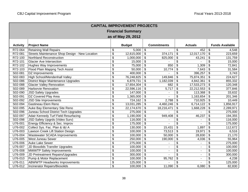| <b>CAPITAL IMPROVEMENT PROJECTS</b> |                                                |                                  |               |                                  |                    |                           |                |                            |                        |  |  |  |
|-------------------------------------|------------------------------------------------|----------------------------------|---------------|----------------------------------|--------------------|---------------------------|----------------|----------------------------|------------------------|--|--|--|
| <b>Financial Summary</b>            |                                                |                                  |               |                                  |                    |                           |                |                            |                        |  |  |  |
| as of May 29, 2012                  |                                                |                                  |               |                                  |                    |                           |                |                            |                        |  |  |  |
|                                     |                                                |                                  |               |                                  |                    |                           |                |                            |                        |  |  |  |
| <b>Activity</b>                     | <b>Project Name</b>                            |                                  | <b>Budget</b> |                                  | <b>Commitments</b> |                           | <b>Actuals</b> |                            | <b>Funds Available</b> |  |  |  |
| R72-064                             | <b>Retaining Wall Repairs</b>                  | \$                               | 5,000         | $\boldsymbol{\mathsf{S}}$        |                    | \$                        | 452            | \$                         | 4,548                  |  |  |  |
| R72-081                             | Streets Maintenance Shop Design - New Location | \$                               | 12,615,000    | \$                               | 374,171            | \$                        | 12,017,170     | $\boldsymbol{\mathsf{\$}}$ | 223,659                |  |  |  |
| R72-100                             | Northland Reconstruction                       | \$                               | 1,000,000     | \$                               | 825,000            | \$                        | 43,241         | \$                         | 131,759                |  |  |  |
| R72-101                             | <b>Glacier Ave Intersection</b>                | $\overline{\mathcal{S}}$         | 15,000        | \$                               |                    | \$                        |                | \$                         | 15,000                 |  |  |  |
| R72-102                             | Hughes Way Improvements                        | $\overline{\mathcal{S}}$         | 75,000        | \$                               | 850                | \$                        | 1,309          | \$                         | 72,841                 |  |  |  |
| R72-103                             | Flood Plain Mappng Tech Assist                 | \$                               | 50,000        | \$                               | 10,774             | \$                        | 7,643          | \$                         | 31,584                 |  |  |  |
| S02-081                             | DZ Improvements                                | \$                               | 400,000       | \$                               |                    | \$                        | 396,257        | \$                         | 3,743                  |  |  |  |
| S02-083                             | High School/Mendenhall Valley                  | \$                               | 76,248,825    | \$                               | 149,846            | \$                        | 75,874,351     | \$                         | 224,627                |  |  |  |
| S02-086                             | District Major Maintenance Upgrades            | $\overline{\mathcal{S}}$         | 6,879,731     | \$                               | 1,182,039          | \$                        | 4,842,361      | \$                         | 855,332                |  |  |  |
| S02-088                             | <b>Glacier Valley Renovation</b>               | \$                               | 17,654,304    | \$                               | 682                | \$                        | 17,533,273     | \$                         | 120,348                |  |  |  |
| S02-089                             | <b>Harborvie Renovation</b>                    | \$                               | 22,596,116    | \$                               | 5,717              | \$                        | 22,212,553     | \$                         | 377,846                |  |  |  |
| S02-090                             | <b>JSD Safety Upgrades</b>                     | $\overline{\mathbf{S}}$          | 147,000       | \$                               |                    | \$                        | 113,368        | \$                         | 33,632                 |  |  |  |
| S02-091                             | DZ Covered Play Area                           | $\overline{\boldsymbol{\theta}}$ | 1,365,000     | \$                               |                    | $\overline{\mathcal{S}}$  | 1,163,654      | \$                         | 201,346                |  |  |  |
| S02-092                             | <b>JSD Site Improvements</b>                   | $\overline{\boldsymbol{\theta}}$ | 724,162       | \$                               | 2,788              | \$                        | 710,925        | \$                         | 10,449                 |  |  |  |
| S02-094                             | <b>Gastineau Elem Reno</b>                     | \$                               | 13,031,285    | \$                               | 4,460,246          | \$                        | 6,714,122      | \$                         | 1,856,917              |  |  |  |
| S02-095                             | Auke Bay Elementary Site Reno                  | \$                               | 22,174,670    | \$                               | 18,216,471         | \$                        | 1,668,228      | \$                         | 2,289,971              |  |  |  |
| S02-096                             | Juneau School District Tech Upgrades           | $\overline{\boldsymbol{\theta}}$ | 275,000       | \$                               |                    | \$                        |                | \$                         | 275,000                |  |  |  |
| S02-097                             | Adair Kennedy Turf Field Resurfacing           | $\overline{\mathbf{e}}$          | 1,190,000     | \$                               | 949,408            | \$                        | 46,237         | \$                         | 194,355                |  |  |  |
| S02-098                             | JSD Safety Upgrds (Video Surv)                 | $\overline{\boldsymbol{\theta}}$ | 116,000       | $\overline{\boldsymbol{\theta}}$ |                    | $\overline{\mathbf{e}}$   | $\blacksquare$ | \$                         | 116,000                |  |  |  |
| U76-001                             | Energy Efficiency & Sec. Improv                | $\overline{\mathcal{S}}$         | 175,000       | $\boldsymbol{\theta}$            |                    | \$                        | $\blacksquare$ | \$                         | 175,000                |  |  |  |
| U76-002                             | Collect Sys. Fac. Plan & I&I A                 | $\overline{\boldsymbol{\theta}}$ | 130,000       | $\boldsymbol{\mathsf{S}}$        | 15,431             | \$                        | 1,897          | \$                         | 112,672                |  |  |  |
| U76-003                             | Lawson Creek Lift Station Design               | \$                               | 100,000       | $\boldsymbol{\mathsf{S}}$        | 73,513             | \$                        | 19,971         | $\boldsymbol{\mathsf{S}}$  | 6,516                  |  |  |  |
| U76-004                             | Wastewater SCADA Improvements                  | $\overline{\mathcal{S}}$         | 100,000       | $\boldsymbol{\mathsf{S}}$        | 50,000             | \$                        | 28,830         | $\boldsymbol{\mathsf{S}}$  | 21,170                 |  |  |  |
| U76-005                             | West Juneau Sewer                              | \$                               | 250,000       | $\boldsymbol{\mathsf{S}}$        | 190,000            | $\boldsymbol{\mathsf{S}}$ | 4,036          | $\boldsymbol{\mathsf{S}}$  | 55,964                 |  |  |  |
| U76-006                             | <b>Auke Lake Sewer</b>                         | \$                               | 275,000       | $\boldsymbol{\theta}$            |                    | \$                        | $\blacksquare$ | \$                         | 275,000                |  |  |  |
| U76-007                             | JD Biosolids Transfer Upgrades                 | \$                               | 100,000       | \$                               | $\sim$             | \$                        | $\blacksquare$ | \$                         | 100,000                |  |  |  |
| U76-008                             | <b>MWWTP Safety Improvements</b>               | $\overline{\mathcal{S}}$         | 100,000       | \$                               |                    | \$                        | $\blacksquare$ | \$                         | 100,000                |  |  |  |
| U76-009                             | JD Pretreatment Repairs/Upgrades               | $\overline{\mathcal{S}}$         | 300,000       | \$                               |                    | $\boldsymbol{\mathsf{S}}$ | $\blacksquare$ | \$                         | 300,000                |  |  |  |
| U76-010                             | Pump & Motor Replacement                       | \$                               | 100,000       | \$                               | 95,762             | \$                        | $\blacksquare$ | \$                         | 4,238                  |  |  |  |
| U76-011                             | <b>ABWWTP Headworks Improvements</b>           | \$                               | 125,000       | \$                               |                    | \$                        |                | \$                         | 125,000                |  |  |  |
| U76-012                             | Incinerator Repairs/Biosolids                  | \$                               | 100,000       | \$                               | 11,090             | \$                        | 6,080          | $\boldsymbol{\mathsf{S}}$  | 82,830                 |  |  |  |